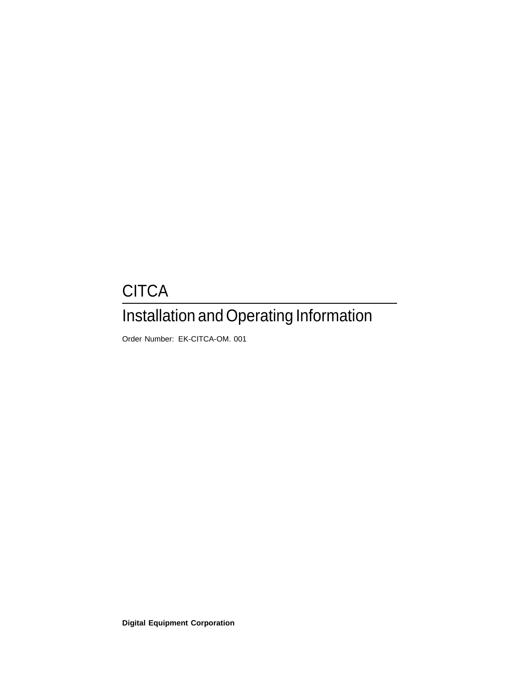# **CITCA** Installation and Operating Information

Order Number: EK-CITCA-OM. 001

**Digital Equipment Corporation**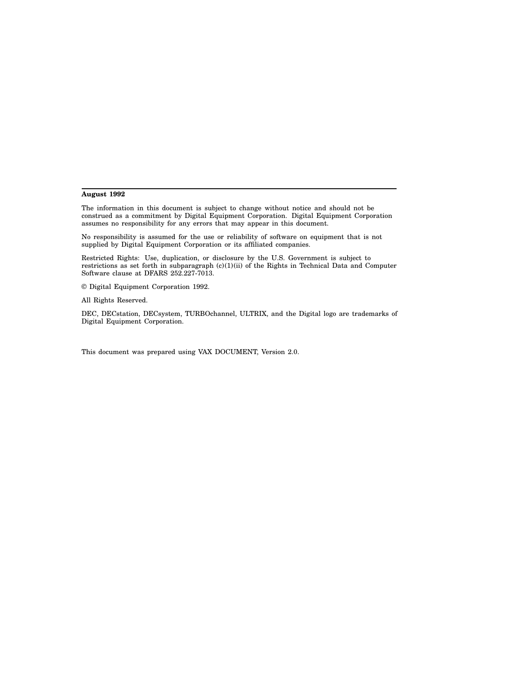#### **August 1992**

The information in this document is subject to change without notice and should not be construed as a commitment by Digital Equipment Corporation. Digital Equipment Corporation assumes no responsibility for any errors that may appear in this document.

No responsibility is assumed for the use or reliability of software on equipment that is not supplied by Digital Equipment Corporation or its affiliated companies.

Restricted Rights: Use, duplication, or disclosure by the U.S. Government is subject to restrictions as set forth in subparagraph (c)(1)(ii) of the Rights in Technical Data and Computer Software clause at DFARS 252.227-7013.

© Digital Equipment Corporation 1992.

All Rights Reserved.

DEC, DECstation, DECsystem, TURBOchannel, ULTRIX, and the Digital logo are trademarks of Digital Equipment Corporation.

This document was prepared using VAX DOCUMENT, Version 2.0.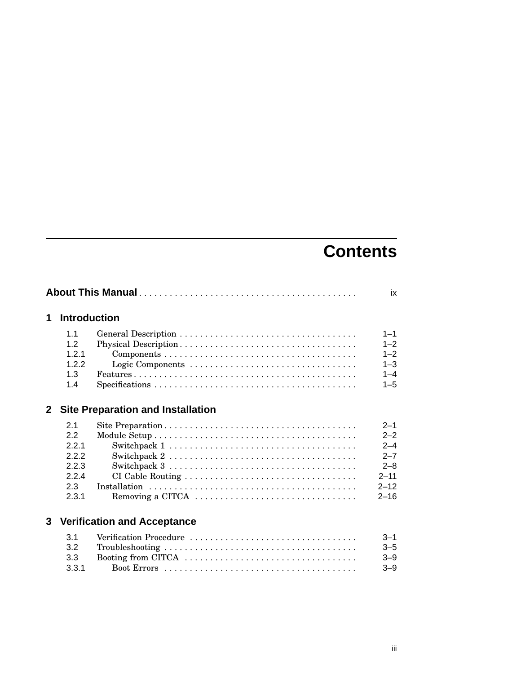## **Contents**

|              |                     | ix                                                                                                          |                    |
|--------------|---------------------|-------------------------------------------------------------------------------------------------------------|--------------------|
| 1            | <b>Introduction</b> |                                                                                                             |                    |
|              | 1.1<br>1.2          |                                                                                                             | $1 - 1$<br>$1 - 2$ |
|              | 1.2.1<br>1.2.2      | Logic Components                                                                                            | $1 - 2$<br>$1 - 3$ |
|              | 1.3<br>1.4          | $Specifications \ldots \ldots \ldots \ldots \ldots \ldots \ldots \ldots \ldots \ldots \ldots \ldots \ldots$ | $1 - 4$<br>$1 - 5$ |
| $\mathbf{2}$ |                     | <b>Site Preparation and Installation</b>                                                                    |                    |
|              | 2.1                 |                                                                                                             | $2 - 1$            |
|              | 2.2                 |                                                                                                             | $2 - 2$            |
|              | 2.2.1               |                                                                                                             | $2 - 4$            |
|              | 2.2.2               |                                                                                                             | $2 - 7$            |
|              | 2.2.3               | Switchpack $3 \ldots \ldots \ldots \ldots \ldots \ldots \ldots \ldots \ldots \ldots \ldots$                 | $2 - 8$            |
|              | 2.2.4               |                                                                                                             | $2 - 11$           |
|              | 2.3                 |                                                                                                             | $2 - 12$           |
|              | 2.3.1               | Removing a CITCA $\dots \dots \dots \dots \dots \dots \dots \dots \dots \dots \dots$                        | $2 - 16$           |
|              |                     | <b>3 Verification and Acceptance</b>                                                                        |                    |
|              | 3.1                 |                                                                                                             | $3 - 1$            |
|              | 3.2                 |                                                                                                             | $3 - 5$            |
|              | 3.3                 |                                                                                                             | $3 - 9$            |
|              | 3.3.1               |                                                                                                             | $3 - 9$            |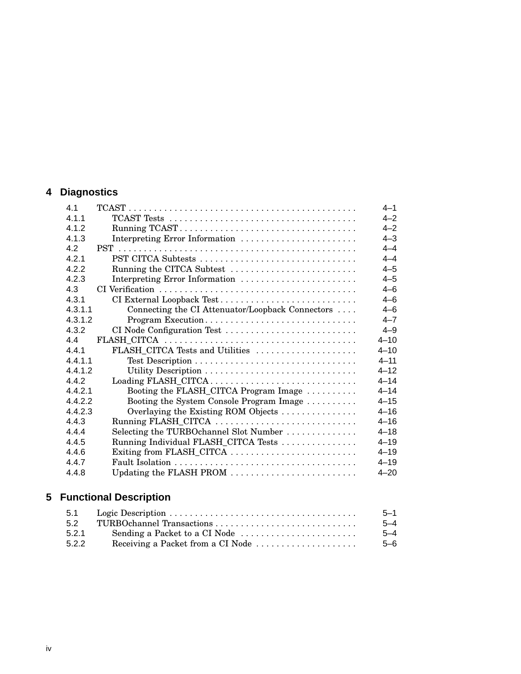## **4 Diagnostics**

| 4.1     |                                                  | $4 - 1$  |
|---------|--------------------------------------------------|----------|
| 4.1.1   |                                                  | $4 - 2$  |
| 4.1.2   |                                                  | $4 - 2$  |
| 4.1.3   | Interpreting Error Information                   | $4 - 3$  |
| 4.2     |                                                  | $4 - 4$  |
| 4.2.1   | PST CITCA Subtests                               | $4 - 4$  |
| 4.2.2   | Running the CITCA Subtest                        | $4 - 5$  |
| 4.2.3   | Interpreting Error Information                   | $4 - 5$  |
| 4.3     |                                                  | $4 - 6$  |
| 4.3.1   | CI External Loopback Test                        | $4 - 6$  |
| 4.3.1.1 | Connecting the CI Attenuator/Loopback Connectors | $4 - 6$  |
| 4.3.1.2 | Program Execution                                | $4 - 7$  |
| 4.3.2   | CI Node Configuration Test                       | $4 - 9$  |
| 4.4     |                                                  | $4 - 10$ |
| 441     | FLASH_CITCA Tests and Utilities                  | $4 - 10$ |
| 4.4.1.1 |                                                  | $4 - 11$ |
| 4.4.1.2 |                                                  | $4 - 12$ |
| 4.4.2   | Loading FLASH_CITCA                              | $4 - 14$ |
| 4.4.2.1 | Booting the FLASH_CITCA Program Image            | $4 - 14$ |
| 4.4.2.2 | Booting the System Console Program Image         | $4 - 15$ |
| 4.4.2.3 | Overlaying the Existing ROM Objects              | $4 - 16$ |
| 4.4.3   | Running FLASH_CITCA                              | $4 - 16$ |
| 4.4.4   | Selecting the TURBOchannel Slot Number           | $4 - 18$ |
| 4.4.5   | Running Individual FLASH_CITCA Tests             | $4 - 19$ |
| 4.4.6   |                                                  | $4 - 19$ |
| 4.4.7   |                                                  | $4 - 19$ |
| 4.4.8   | Updating the FLASH PROM                          | $4 - 20$ |

## **5 Functional Description**

| 5.1   |                                   | $5 - 1$ |
|-------|-----------------------------------|---------|
| 5.2   |                                   | $5 - 4$ |
| 5.2.1 |                                   | $5 - 4$ |
| 5.2.2 | Receiving a Packet from a CI Node | 5-6     |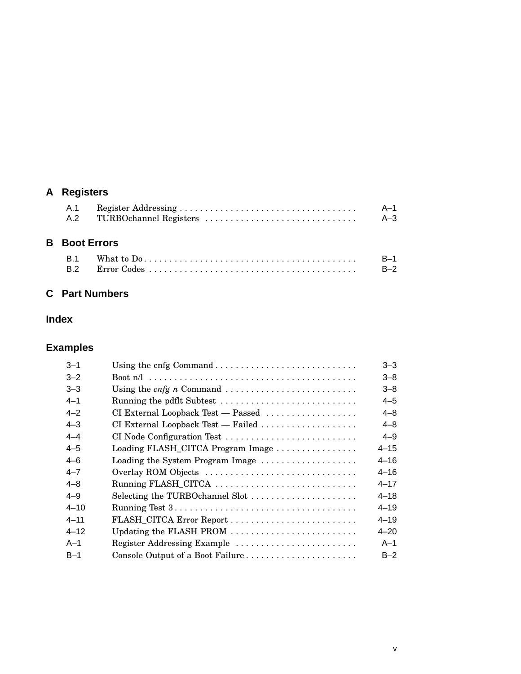## **A Registers**

| A.1 | A–1   |
|-----|-------|
| A.2 | $A-3$ |

## **B Boot Errors**

| <b>B.1</b> |  |
|------------|--|
|            |  |

## **C Part Numbers**

## **Index**

## **Examples**

|                                    | $3 - 3$  |
|------------------------------------|----------|
|                                    | $3 - 8$  |
|                                    | $3 - 8$  |
| Running the pdflt Subtest          | $4 - 5$  |
| CI External Loopback Test — Passed | $4 - 8$  |
| CI External Loopback Test — Failed | 4–8      |
| CI Node Configuration Test         | $4 - 9$  |
| Loading FLASH_CITCA Program Image  | $4 - 15$ |
| Loading the System Program Image   | $4 - 16$ |
| Overlay ROM Objects                | $4 - 16$ |
| Running FLASH_CITCA                | $4 - 17$ |
| Selecting the TURBOchannel Slot    | $4 - 18$ |
|                                    | $4 - 19$ |
|                                    | $4 - 19$ |
| Updating the FLASH PROM            | $4 - 20$ |
| Register Addressing Example        | $A-1$    |
| Console Output of a Boot Failure   | $B-2$    |
|                                    |          |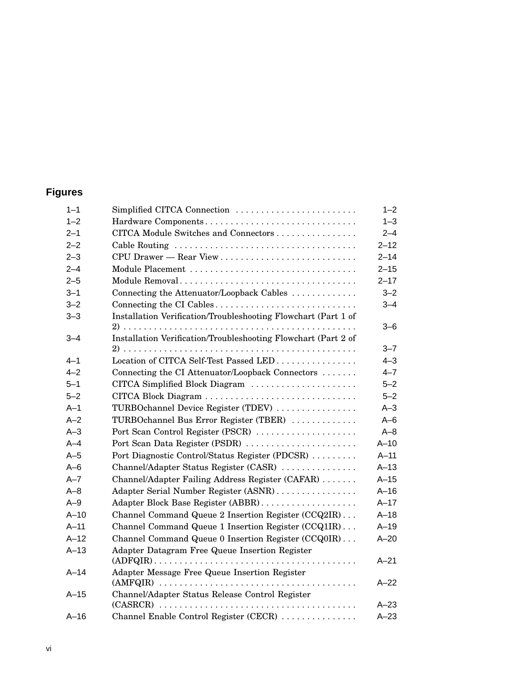## **Figures**

| $1 - 1$ | Simplified CITCA Connection                                    | $1 - 2$  |
|---------|----------------------------------------------------------------|----------|
| $1 - 2$ | Hardware Components                                            | $1 - 3$  |
| $2 - 1$ | CITCA Module Switches and Connectors                           | $2 - 4$  |
| $2 - 2$ |                                                                | $2 - 12$ |
| $2 - 3$ |                                                                | $2 - 14$ |
| $2 - 4$ | Module Placement                                               | $2 - 15$ |
| $2 - 5$ | Module Removal                                                 | $2 - 17$ |
| $3 - 1$ | Connecting the Attenuator/Loopback Cables                      | $3 - 2$  |
| $3 - 2$ | Connecting the CI Cables                                       | $3 - 4$  |
| $3 - 3$ | Installation Verification/Troubleshooting Flowchart (Part 1 of |          |
|         |                                                                | $3 - 6$  |
| $3 - 4$ | Installation Verification/Troubleshooting Flowchart (Part 2 of |          |
|         |                                                                | $3 - 7$  |
| $4 - 1$ | Location of CITCA Self-Test Passed LED                         | $4 - 3$  |
| $4 - 2$ | Connecting the CI Attenuator/Loopback Connectors               | $4 - 7$  |
| $5 - 1$ | CITCA Simplified Block Diagram                                 | $5 - 2$  |
| $5 - 2$ |                                                                | $5 - 2$  |
| $A-1$   | TURBOchannel Device Register (TDEV)                            | $A-3$    |
| $A-2$   | TURBOchannel Bus Error Register (TBER)                         | $A - 6$  |
| $A-3$   | Port Scan Control Register (PSCR)                              | $A - 8$  |
| $A-4$   | Port Scan Data Register (PSDR)                                 | $A-10$   |
| $A-5$   | Port Diagnostic Control/Status Register (PDCSR)                | $A-11$   |
| $A-6$   | Channel/Adapter Status Register (CASR)                         | $A-13$   |
| $A - 7$ | Channel/Adapter Failing Address Register (CAFAR)               | $A-15$   |
| $A - 8$ | Adapter Serial Number Register (ASNR)                          | $A-16$   |
| $A-9$   |                                                                | $A-17$   |
| $A-10$  | Channel Command Queue 2 Insertion Register (CCQ2IR)            | $A-18$   |
| $A-11$  | Channel Command Queue 1 Insertion Register (CCQ1IR)            | $A-19$   |
| $A-12$  | Channel Command Queue 0 Insertion Register (CCQ0IR)            | $A - 20$ |
| $A-13$  | Adapter Datagram Free Queue Insertion Register                 | $A - 21$ |
| $A-14$  | Adapter Message Free Queue Insertion Register                  |          |
|         |                                                                | $A-22$   |
| $A-15$  | Channel/Adapter Status Release Control Register                |          |
|         |                                                                | $A-23$   |
| $A-16$  | Channel Enable Control Register (CECR)                         | $A-23$   |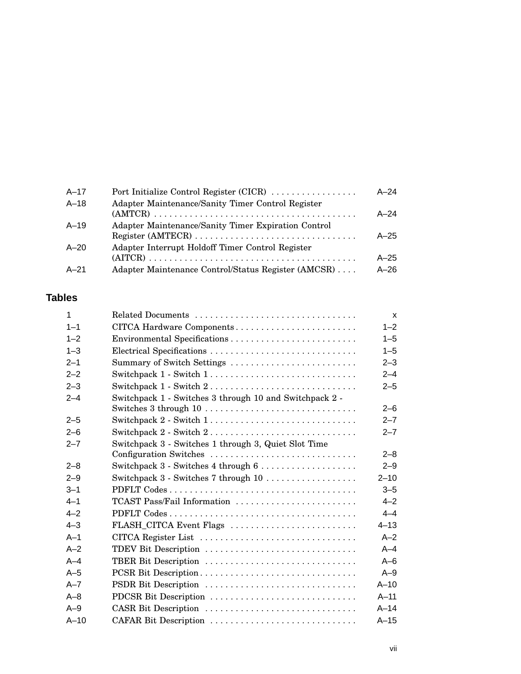| $A - 17$ | Port Initialize Control Register (CICR)                                            | $A - 24$ |
|----------|------------------------------------------------------------------------------------|----------|
| A-18     | Adapter Maintenance/Sanity Timer Control Register                                  |          |
|          |                                                                                    | $A - 24$ |
| $A - 19$ | Adapter Maintenance/Sanity Timer Expiration Control                                |          |
|          | $Register (AMTECR) \ldots \ldots \ldots \ldots \ldots \ldots \ldots \ldots \ldots$ | $A-25$   |
| $A - 20$ | Adapter Interrupt Holdoff Timer Control Register                                   |          |
|          |                                                                                    | $A-25$   |
| $A - 21$ | Adapter Maintenance Control/Status Register (AMCSR)                                | $A-26$   |

## **Tables**

| $\mathbf{1}$ |                                                                                     | $\mathsf{x}$ |
|--------------|-------------------------------------------------------------------------------------|--------------|
| $1 - 1$      | CITCA Hardware Components                                                           | $1 - 2$      |
| $1 - 2$      |                                                                                     | $1 - 5$      |
| $1 - 3$      | Electrical Specifications                                                           | $1 - 5$      |
| $2 - 1$      | Summary of Switch Settings                                                          | $2 - 3$      |
| $2 - 2$      | Switchpack $1$ - Switch $1, \ldots, \ldots, \ldots, \ldots, \ldots, \ldots, \ldots$ | $2 - 4$      |
| $2 - 3$      | Switchpack 1 - Switch 2                                                             | $2 - 5$      |
| $2 - 4$      | Switchpack 1 - Switches 3 through 10 and Switchpack 2 -<br>Switches 3 through 10    | $2 - 6$      |
| $2 - 5$      | Switchpack 2 - Switch 1                                                             | $2 - 7$      |
| $2 - 6$      |                                                                                     | $2 - 7$      |
| $2 - 7$      | Switchpack 3 - Switches 1 through 3, Quiet Slot Time<br>Configuration Switches      | $2 - 8$      |
| $2 - 8$      |                                                                                     | $2 - 9$      |
| $2 - 9$      |                                                                                     | $2 - 10$     |
| $3 - 1$      |                                                                                     | $3 - 5$      |
| $4 - 1$      | TCAST Pass/Fail Information                                                         | $4 - 2$      |
| $4 - 2$      |                                                                                     | $4 - 4$      |
| $4 - 3$      | FLASH_CITCA Event Flags                                                             | $4 - 13$     |
| $A-1$        | CITCA Register List                                                                 | $A - 2$      |
| $A-2$        | TDEV Bit Description                                                                | $A-4$        |
| $A - 4$      | TBER Bit Description                                                                | $A - 6$      |
| $A-5$        | PCSR Bit Description                                                                | $A-9$        |
| $A - 7$      | PSDR Bit Description                                                                | $A-10$       |
| $A - 8$      | PDCSR Bit Description                                                               | $A - 11$     |
| $A-9$        | CASR Bit Description                                                                | $A-14$       |
| $A-10$       | CAFAR Bit Description                                                               | $A-15$       |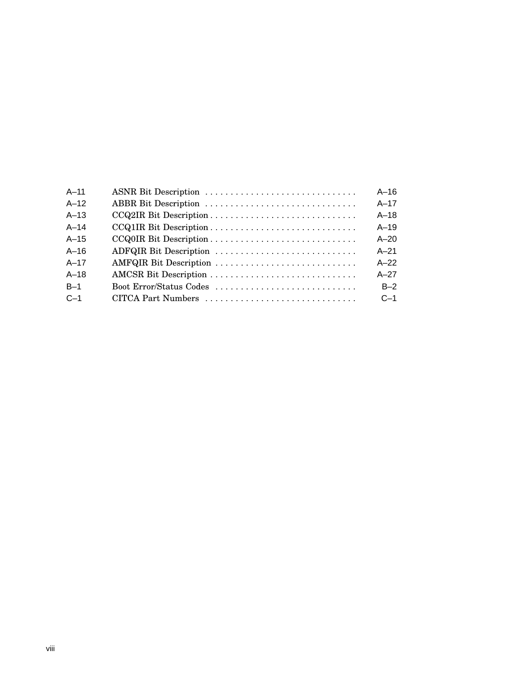| $A-11$ | ASNR Bit Description    | $A-16$   |
|--------|-------------------------|----------|
| $A-12$ | ABBR Bit Description    | $A-17$   |
| $A-13$ |                         | $A-18$   |
| $A-14$ |                         | $A-19$   |
| $A-15$ |                         | $A - 20$ |
| $A-16$ | ADFQIR Bit Description  | $A - 21$ |
| $A-17$ | AMFQIR Bit Description  | $A-22$   |
| $A-18$ |                         | $A-27$   |
| $B-1$  | Boot Error/Status Codes | $B-2$    |
| $C-1$  |                         | $C-1$    |
|        |                         |          |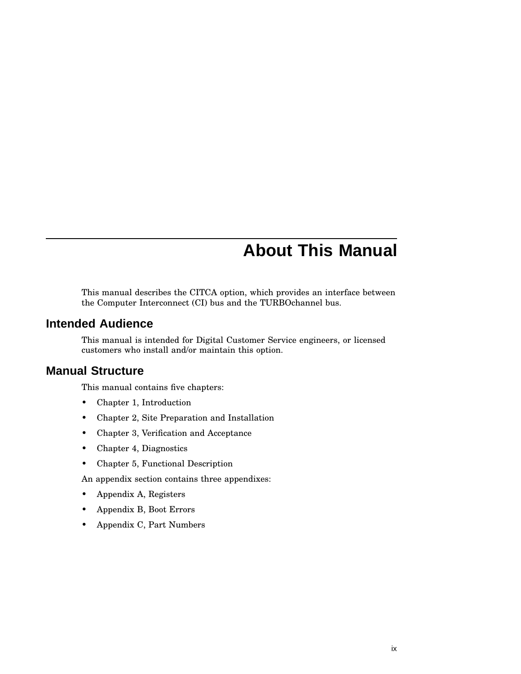## **About This Manual**

This manual describes the CITCA option, which provides an interface between the Computer Interconnect (CI) bus and the TURBOchannel bus.

## **Intended Audience**

This manual is intended for Digital Customer Service engineers, or licensed customers who install and/or maintain this option.

## **Manual Structure**

This manual contains five chapters:

- Chapter 1, Introduction
- Chapter 2, Site Preparation and Installation
- Chapter 3, Verification and Acceptance
- Chapter 4, Diagnostics
- Chapter 5, Functional Description

An appendix section contains three appendixes:

- Appendix A, Registers
- Appendix B, Boot Errors
- Appendix C, Part Numbers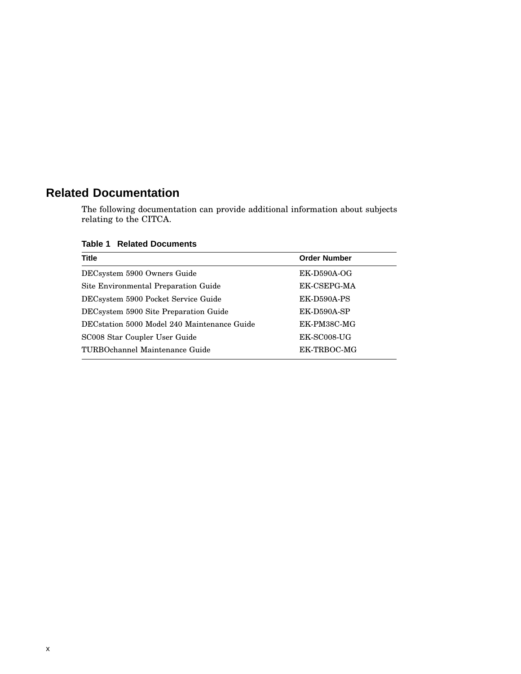## **Related Documentation**

The following documentation can provide additional information about subjects relating to the CITCA.

**Table 1 Related Documents**

| <b>Title</b>                                | <b>Order Number</b> |
|---------------------------------------------|---------------------|
| DECsystem 5900 Owners Guide                 | $EK-D590A-OG$       |
| Site Environmental Preparation Guide        | EK-CSEPG-MA         |
| DECsystem 5900 Pocket Service Guide         | EK-D590A-PS         |
| DECsystem 5900 Site Preparation Guide       | EK-D590A-SP         |
| DECstation 5000 Model 240 Maintenance Guide | EK-PM38C-MG         |
| SC008 Star Coupler User Guide               | EK-SC008-UG         |
| TURBOchannel Maintenance Guide              | EK-TRBOC-MG         |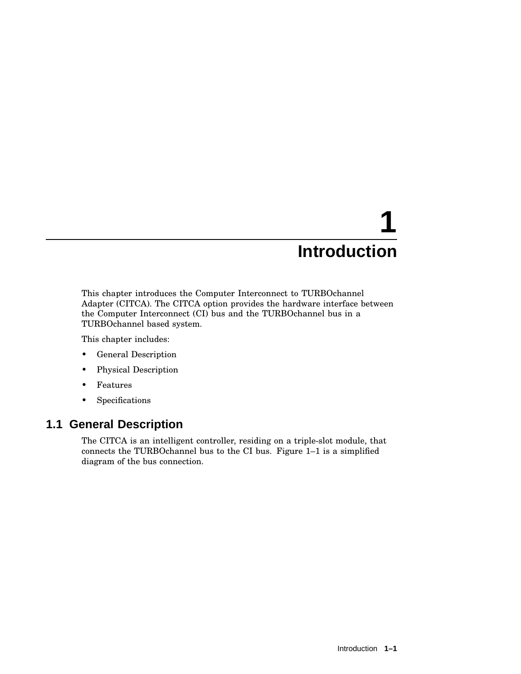# **1 Introduction**

This chapter introduces the Computer Interconnect to TURBOchannel Adapter (CITCA). The CITCA option provides the hardware interface between the Computer Interconnect (CI) bus and the TURBOchannel bus in a TURBOchannel based system.

This chapter includes:

- General Description
- Physical Description
- Features
- Specifications

## **1.1 General Description**

The CITCA is an intelligent controller, residing on a triple-slot module, that connects the TURBOchannel bus to the CI bus. Figure 1–1 is a simplified diagram of the bus connection.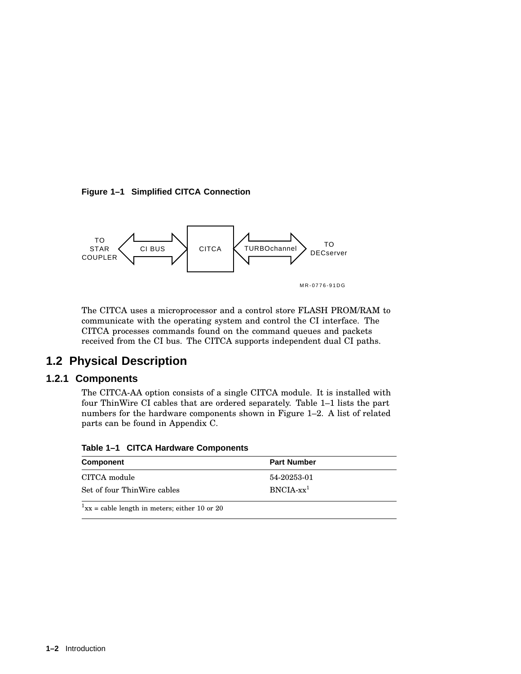**Figure 1–1 Simplified CITCA Connection**



The CITCA uses a microprocessor and a control store FLASH PROM/RAM to communicate with the operating system and control the CI interface. The CITCA processes commands found on the command queues and packets received from the CI bus. The CITCA supports independent dual CI paths.

## **1.2 Physical Description**

#### **1.2.1 Components**

The CITCA-AA option consists of a single CITCA module. It is installed with four ThinWire CI cables that are ordered separately. Table 1–1 lists the part numbers for the hardware components shown in Figure 1–2. A list of related parts can be found in Appendix C.

**Table 1–1 CITCA Hardware Components**

| Component                                                 | <b>Part Number</b> |  |
|-----------------------------------------------------------|--------------------|--|
| CITCA module                                              | 54-20253-01        |  |
| Set of four ThinWire cables                               | $BNCIA$ - $xx^1$   |  |
| $1_{\text{XX}}$ = cable length in meters; either 10 or 20 |                    |  |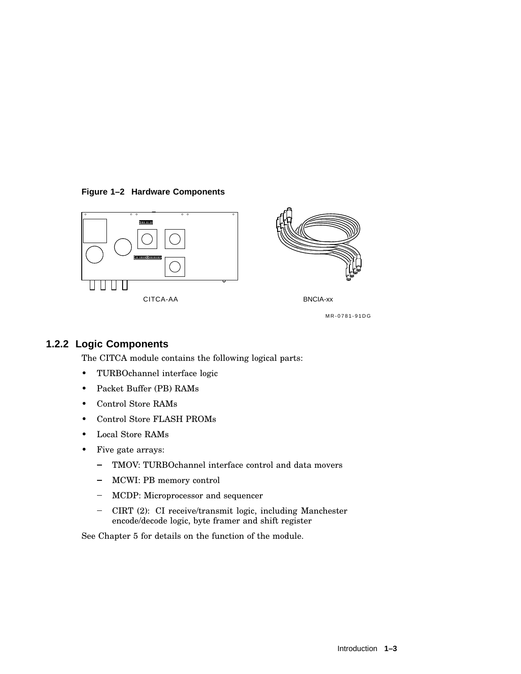#### **Figure 1–2 Hardware Components**





MR-0781-91DG

## **1.2.2 Logic Components**

The CITCA module contains the following logical parts:

- TURBOchannel interface logic
- Packet Buffer (PB) RAMs
- Control Store RAMs
- Control Store FLASH PROMs
- Local Store RAMs
- Five gate arrays:
	- TMOV: TURBOchannel interface control and data movers  $\equiv$
	- MCWI: PB memory control  $\frac{1}{2}$
	- MCDP: Microprocessor and sequencer
	- CIRT (2): CI receive/transmit logic, including Manchester encode/decode logic, byte framer and shift register

See Chapter 5 for details on the function of the module.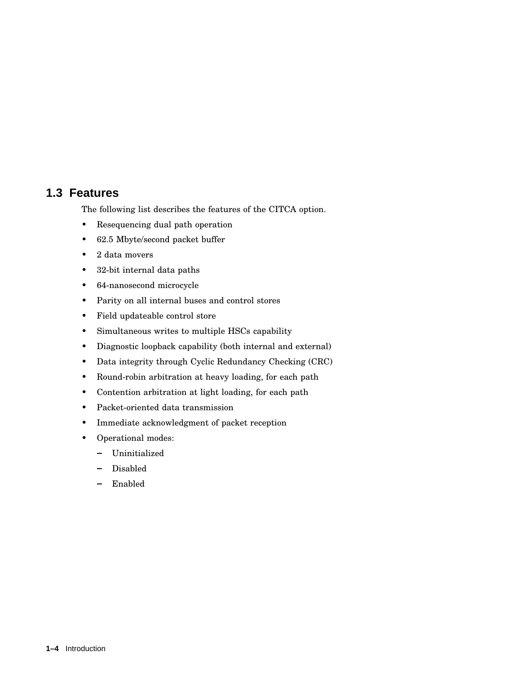## **1.3 Features**

The following list describes the features of the CITCA option.

- Resequencing dual path operation
- 62.5 Mbyte/second packet buffer
- 2 data movers
- 32-bit internal data paths
- 64-nanosecond microcycle
- Parity on all internal buses and control stores
- Field updateable control store
- Simultaneous writes to multiple HSCs capability
- Diagnostic loopback capability (both internal and external)
- Data integrity through Cyclic Redundancy Checking (CRC)
- Round-robin arbitration at heavy loading, for each path
- Contention arbitration at light loading, for each path
- Packet-oriented data transmission
- Immediate acknowledgment of packet reception
- Operational modes:
	- Uninitialized
	- Disabled
	- Enabled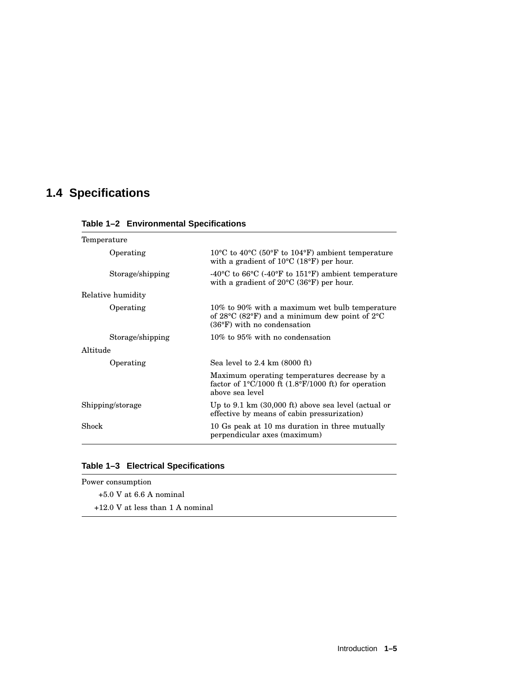## **1.4 Specifications**

| Temperature |                   |                                                                                                                                                                        |
|-------------|-------------------|------------------------------------------------------------------------------------------------------------------------------------------------------------------------|
|             | Operating         | $10^{\circ}$ C to $40^{\circ}$ C (50 $^{\circ}$ F to 104 $^{\circ}$ F) ambient temperature<br>with a gradient of $10^{\circ}$ C (18 $^{\circ}$ F) per hour.            |
|             | Storage/shipping  | -40 <sup>o</sup> C to 66 <sup>o</sup> C (-40 <sup>o</sup> F to 151 <sup>o</sup> F) ambient temperature<br>with a gradient of $20^{\circ}$ C (36°F) per hour.           |
|             | Relative humidity |                                                                                                                                                                        |
|             | Operating         | 10% to 90% with a maximum wet bulb temperature<br>of $28^{\circ}$ C (82 $^{\circ}$ F) and a minimum dew point of $2^{\circ}$ C<br>$(36^{\circ}F)$ with no condensation |
|             | Storage/shipping  | $10\%$ to $95\%$ with no condensation                                                                                                                                  |
| Altitude    |                   |                                                                                                                                                                        |
|             | Operating         | Sea level to $2.4 \text{ km}$ (8000 ft)                                                                                                                                |
|             |                   | Maximum operating temperatures decrease by a<br>factor of $1^{\circ}$ C/1000 ft $(1.8^{\circ}F/1000)$ ft) for operation<br>above sea level                             |
|             | Shipping/storage  | Up to $9.1 \text{ km}$ (30,000 ft) above sea level (actual or<br>effective by means of cabin pressurization)                                                           |
| Shock       |                   | 10 Gs peak at 10 ms duration in three mutually<br>perpendicular axes (maximum)                                                                                         |
|             |                   |                                                                                                                                                                        |

**Table 1–2 Environmental Specifications**

|  |  | Table 1-3 Electrical Specifications |
|--|--|-------------------------------------|
|--|--|-------------------------------------|

| Power consumption                  |  |  |
|------------------------------------|--|--|
| $+5.0$ V at 6.6 A nominal          |  |  |
| $+12.0$ V at less than 1 A nominal |  |  |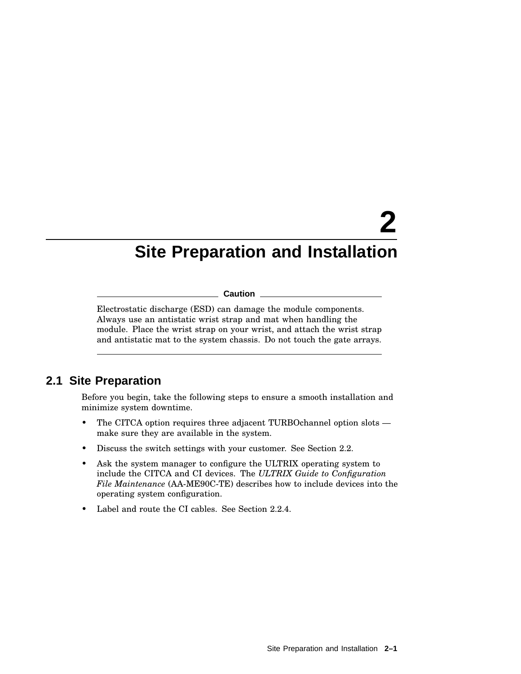# **2 Site Preparation and Installation**

#### **Caution**

Electrostatic discharge (ESD) can damage the module components. Always use an antistatic wrist strap and mat when handling the module. Place the wrist strap on your wrist, and attach the wrist strap and antistatic mat to the system chassis. Do not touch the gate arrays.

## **2.1 Site Preparation**

Before you begin, take the following steps to ensure a smooth installation and minimize system downtime.

- The CITCA option requires three adjacent TURBOchannel option slots make sure they are available in the system.
- Discuss the switch settings with your customer. See Section 2.2.
- Ask the system manager to configure the ULTRIX operating system to include the CITCA and CI devices. The *ULTRIX Guide to Configuration File Maintenance* (AA-ME90C-TE) describes how to include devices into the operating system configuration.
- Label and route the CI cables. See Section 2.2.4.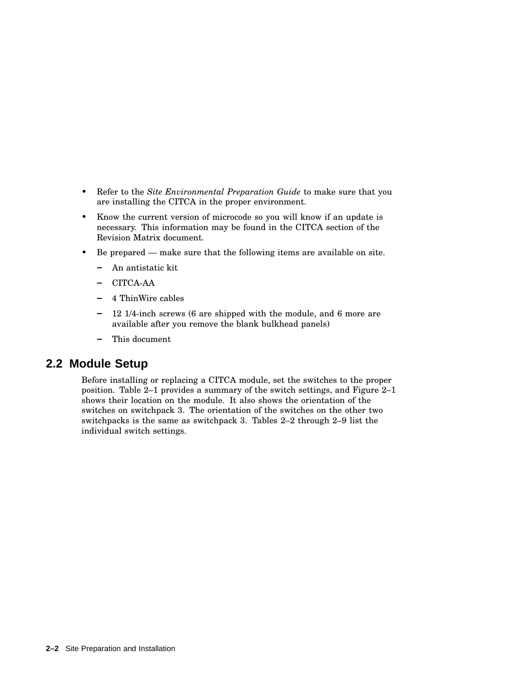- Refer to the *Site Environmental Preparation Guide* to make sure that you are installing the CITCA in the proper environment.
- Know the current version of microcode so you will know if an update is necessary. This information may be found in the CITCA section of the Revision Matrix document.
- Be prepared make sure that the following items are available on site.
	- An antistatic kit  $\overline{\phantom{0}}$
	- CITCA-AA
	- 4 ThinWire cables
	- 12 1/4-inch screws (6 are shipped with the module, and 6 more are available after you remove the blank bulkhead panels)
	- This document

## **2.2 Module Setup**

Before installing or replacing a CITCA module, set the switches to the proper position. Table 2–1 provides a summary of the switch settings, and Figure 2–1 shows their location on the module. It also shows the orientation of the switches on switchpack 3. The orientation of the switches on the other two switchpacks is the same as switchpack 3. Tables 2–2 through 2–9 list the individual switch settings.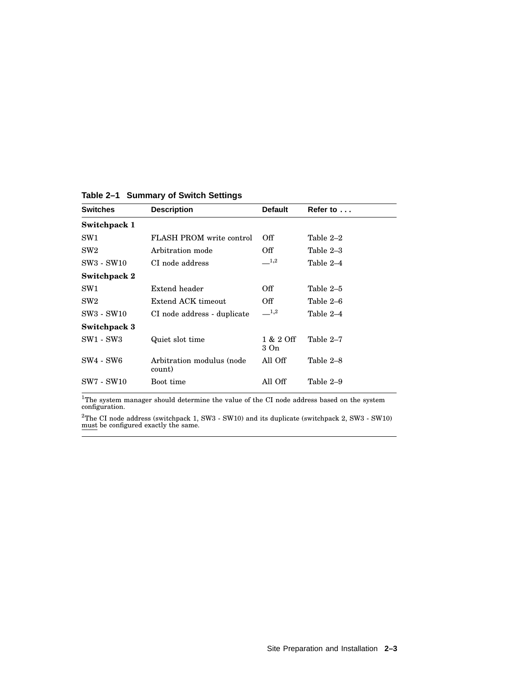| <b>Switches</b> | <b>Description</b>                  | <b>Default</b>    | Refer to $\dots$ |
|-----------------|-------------------------------------|-------------------|------------------|
| Switchpack 1    |                                     |                   |                  |
| SW <sub>1</sub> | FLASH PROM write control            | Off               | Table 2-2        |
| SW2             | Arbitration mode                    | Off               | Table 2–3        |
| SW3 - SW10      | CI node address                     | $\_\_1,2$         | Table 2–4        |
| Switchpack 2    |                                     |                   |                  |
| SW <sub>1</sub> | Extend header                       | Off               | Table 2–5        |
| SW2             | Extend ACK timeout                  | Off               | Table 2–6        |
| SW3 - SW10      | CI node address - duplicate         | 1,2               | Table 2–4        |
| Switchpack 3    |                                     |                   |                  |
| SW1 - SW3       | Quiet slot time                     | 1 & 2 Off<br>3 On | Table 2-7        |
| SW4 - SW6       | Arbitration modulus (node<br>count) | All Off           | Table 2-8        |
| SW7 - SW10      | Boot time                           | All Off           | Table 2–9        |

**Table 2–1 Summary of Switch Settings**

 ${}^{1}$ The system manager should determine the value of the CI node address based on the system configuration.

 $^{2}$ The CI node address (switchpack 1, SW3 - SW10) and its duplicate (switchpack 2, SW3 - SW10) must be configured exactly the same.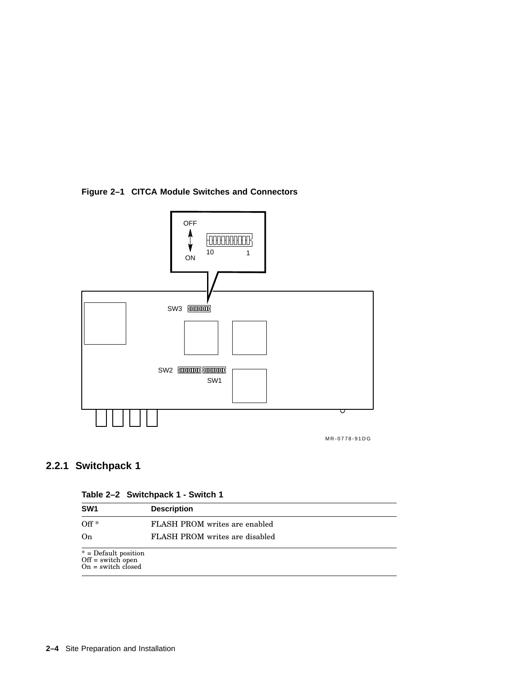**Figure 2–1 CITCA Module Switches and Connectors**



## **2.2.1 Switchpack 1**

|  | Table 2-2 Switchpack 1 - Switch 1 |  |  |  |
|--|-----------------------------------|--|--|--|
|--|-----------------------------------|--|--|--|

| SW <sub>1</sub>                                                   | <b>Description</b>                   |
|-------------------------------------------------------------------|--------------------------------------|
| $Off*$                                                            | <b>FLASH PROM</b> writes are enabled |
| On                                                                | FLASH PROM writes are disabled       |
| $* =$ Default position<br>Off = switch open<br>On = switch closed |                                      |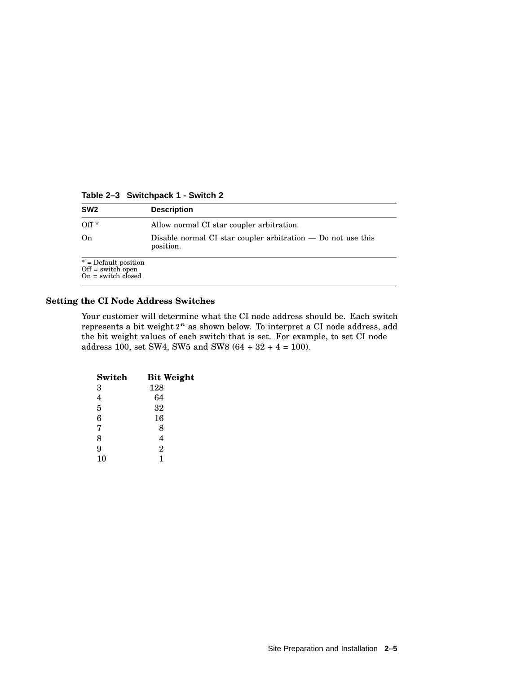| SW <sub>2</sub>                                                      | <b>Description</b>                                                          |
|----------------------------------------------------------------------|-----------------------------------------------------------------------------|
| $Off*$                                                               | Allow normal CI star coupler arbitration.                                   |
| On                                                                   | Disable normal CI star coupler arbitration $-$ Do not use this<br>position. |
| $*$ = Default position<br>$Off = switch\ open$<br>On = switch closed |                                                                             |

**Table 2–3 Switchpack 1 - Switch 2**

#### **Setting the CI Node Address Switches**

Your customer will determine what the CI node address should be. Each switch represents a bit weight  $2^n$  as shown below. To interpret a CI node address, add the bit weight values of each switch that is set. For example, to set CI node address 100, set SW4, SW5 and SW8  $(64 + 32 + 4 = 100)$ .

| Switch | <b>Bit Weight</b> |
|--------|-------------------|
| 3      | 128               |
| 4      | 64                |
| 5      | 32                |
| 6      | 16                |
| 7      | 8                 |
| 8      | 4                 |
| 9      | $\overline{2}$    |
| 10     | 1                 |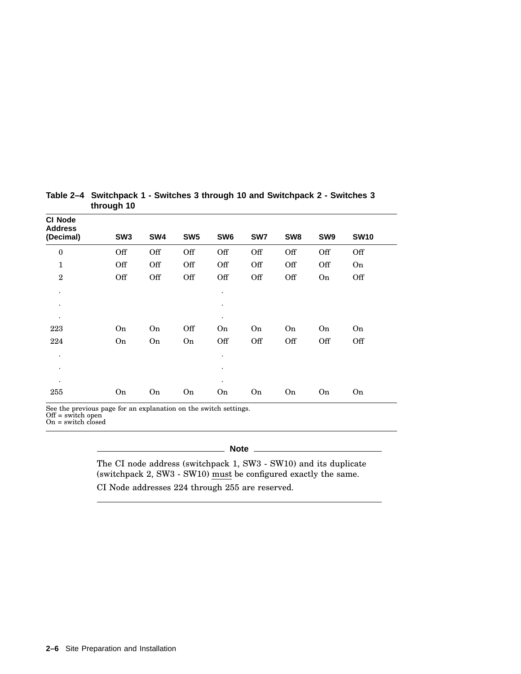| <b>CI Node</b><br><b>Address</b> |                 |                                     |                      |                                                                                                                 |     |                 |                 |             |  |
|----------------------------------|-----------------|-------------------------------------|----------------------|-----------------------------------------------------------------------------------------------------------------|-----|-----------------|-----------------|-------------|--|
| (Decimal)                        | SW <sub>3</sub> | SW4                                 | SW <sub>5</sub>      | SW <sub>6</sub>                                                                                                 | SW7 | SW <sub>8</sub> | SW <sub>9</sub> | <b>SW10</b> |  |
| $\boldsymbol{0}$                 | Off             | Off                                 | Off                  | Off                                                                                                             | Off | Off             | Off             | Off         |  |
| $\mathbf{1}$                     | Off             | Off                                 | Off                  | Off                                                                                                             | Off | Off             | Off             | On          |  |
| $\overline{2}$                   | Off             | Off                                 | Off                  | Off                                                                                                             | Off | Off             | On              | Off         |  |
| ٠                                |                 |                                     |                      | $\bullet$                                                                                                       |     |                 |                 |             |  |
| ٠                                |                 |                                     |                      | $\bullet$                                                                                                       |     |                 |                 |             |  |
| ٠                                |                 |                                     |                      | $\bullet$                                                                                                       |     |                 |                 |             |  |
| 223                              | On              | On                                  | Off                  | On                                                                                                              | On  | On              | On              | On          |  |
| 224                              | On              | On                                  | On                   | Off                                                                                                             | Off | Off             | Off             | Off         |  |
| ٠                                |                 |                                     |                      | $\bullet$                                                                                                       |     |                 |                 |             |  |
| ٠                                |                 |                                     |                      |                                                                                                                 |     |                 |                 |             |  |
|                                  |                 |                                     |                      | $\bullet$                                                                                                       |     |                 |                 |             |  |
| 255                              | On              | On                                  | On                   | On                                                                                                              | On  | On              | On              | On          |  |
| $\sim$ $\sim$<br>$\sim$ $\sim$   | $\sim$          | the contract of the contract of the | $\sim$ $\sim$ $\sim$ | the contract of the contract of the contract of the contract of the contract of the contract of the contract of |     |                 |                 |             |  |

#### **Table 2–4 Switchpack 1 - Switches 3 through 10 and Switchpack 2 - Switches 3 through 10**

See the previous page for an explanation on the switch settings. Off = switch open

On = switch closed

## **Note** \_

The CI node address (switchpack 1, SW3 - SW10) and its duplicate (switchpack 2, SW3 - SW10) must be configured exactly the same.

CI Node addresses 224 through 255 are reserved.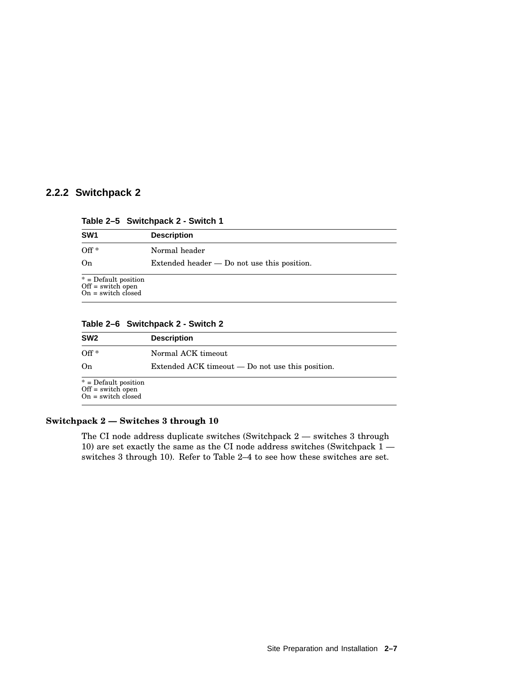### **2.2.2 Switchpack 2**

|  | Table 2-5 Switchpack 2 - Switch 1 |  |
|--|-----------------------------------|--|
|--|-----------------------------------|--|

| SW <sub>1</sub>                                                   | <b>Description</b>                            |
|-------------------------------------------------------------------|-----------------------------------------------|
| $Off*$                                                            | Normal header                                 |
| On                                                                | Extended header $-$ Do not use this position. |
| $* =$ Default position<br>Off = switch open<br>On = switch closed |                                               |

**Table 2–6 Switchpack 2 - Switch 2**

| SW <sub>2</sub>                                                     | <b>Description</b>                               |
|---------------------------------------------------------------------|--------------------------------------------------|
| $Off*$                                                              | Normal ACK timeout                               |
| On                                                                  | Extended ACK timeout — Do not use this position. |
| $*$ = Default position<br>$Off = switch$ open<br>On = switch closed |                                                  |

#### **Switchpack 2 — Switches 3 through 10**

The CI node address duplicate switches (Switchpack 2 — switches 3 through 10) are set exactly the same as the CI node address switches (Switchpack  $1$ switches 3 through 10). Refer to Table 2–4 to see how these switches are set.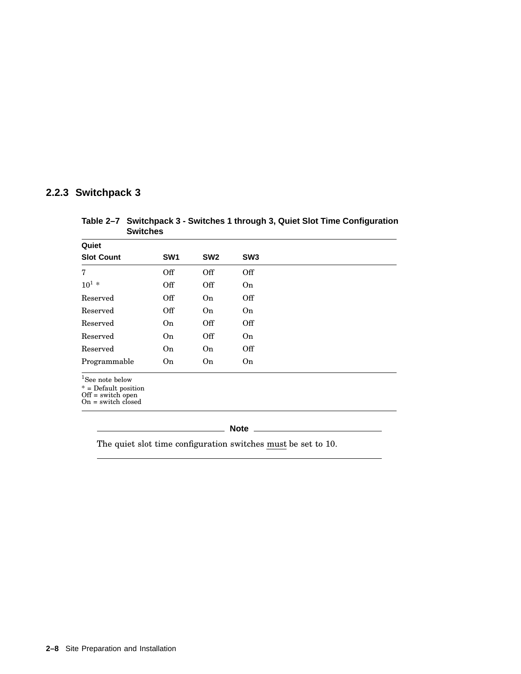### **2.2.3 Switchpack 3**

**Table 2–7 Switchpack 3 - Switches 1 through 3, Quiet Slot Time Configuration Switches**

| Quiet                          |                 |                 |                 |  |
|--------------------------------|-----------------|-----------------|-----------------|--|
| <b>Slot Count</b>              | SW <sub>1</sub> | SW <sub>2</sub> | SW <sub>3</sub> |  |
| 7                              | Off             | Off             | Off             |  |
| $10^{1} *$                     | Off             | Off             | On              |  |
| Reserved                       | Off             | On              | Off             |  |
| Reserved                       | Off             | <b>On</b>       | <b>On</b>       |  |
| Reserved                       | <b>On</b>       | Off             | Off             |  |
| Reserved                       | On              | Off             | On              |  |
| Reserved                       | <b>On</b>       | On              | Off             |  |
| Programmable                   | On              | On              | On              |  |
| $1g_{\alpha\alpha}$ note holow |                 |                 |                 |  |

1 See note below

\* = Default position Off = switch open On = switch closed

#### **Note**

The quiet slot time configuration switches  $\frac{must}{}$  be set to 10.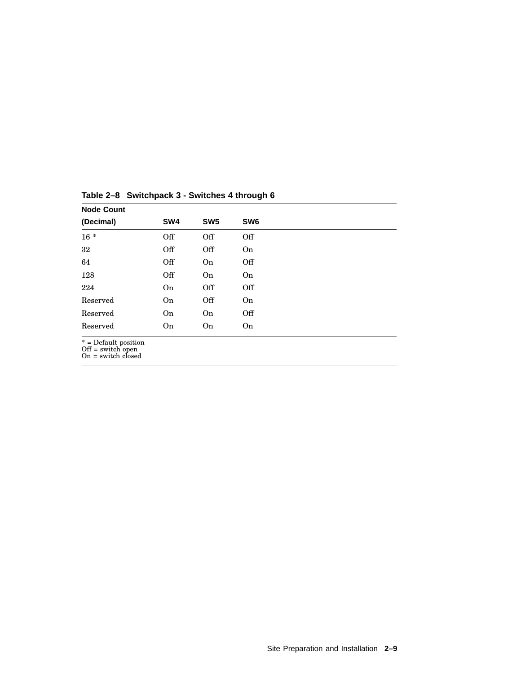| <b>Node Count</b>                                                     |                 |                 |                 |  |  |
|-----------------------------------------------------------------------|-----------------|-----------------|-----------------|--|--|
| (Decimal)                                                             | SW <sub>4</sub> | SW <sub>5</sub> | SW <sub>6</sub> |  |  |
| $16 *$                                                                | Off             | Off             | Off             |  |  |
| 32                                                                    | Off             | Off             | On              |  |  |
| 64                                                                    | Off             | On              | Off             |  |  |
| 128                                                                   | Off             | On              | <b>On</b>       |  |  |
| 224                                                                   | <b>On</b>       | Off             | Off             |  |  |
| Reserved                                                              | On              | Off             | On              |  |  |
| Reserved                                                              | On              | On              | Off             |  |  |
| Reserved                                                              | On              | On              | On              |  |  |
| $*$ = Default position<br>$Off = switch$ open<br>$On = switch closed$ |                 |                 |                 |  |  |

**Table 2–8 Switchpack 3 - Switches 4 through 6**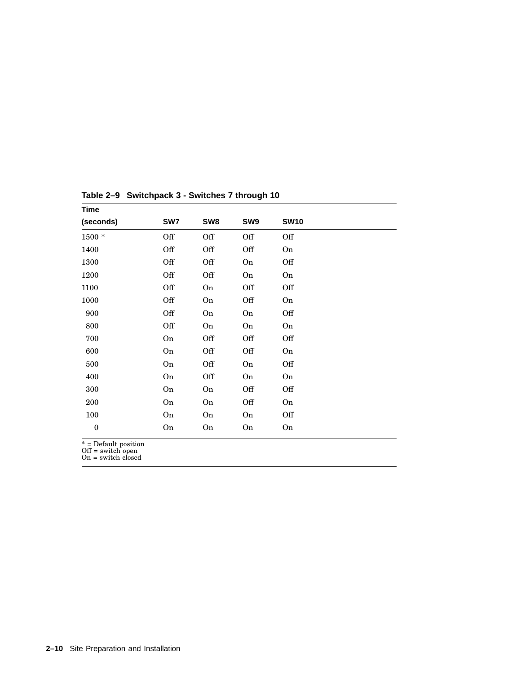| <b>Time</b>  |     |                 |     |             |  |
|--------------|-----|-----------------|-----|-------------|--|
| (seconds)    | SW7 | SW <sub>8</sub> | SW9 | <b>SW10</b> |  |
| 1500 *       | Off | Off             | Off | Off         |  |
| 1400         | Off | Off             | Off | On          |  |
| 1300         | Off | Off             | On  | Off         |  |
| 1200         | Off | Off             | On  | On          |  |
| 1100         | Off | On              | Off | Off         |  |
| 1000         | Off | On              | Off | On          |  |
| 900          | Off | On              | On  | Off         |  |
| 800          | Off | On              | On  | On          |  |
| 700          | On  | Off             | Off | Off         |  |
| 600          | On  | Off             | Off | On          |  |
| 500          | On  | Off             | On  | Off         |  |
| 400          | On  | Off             | On  | On          |  |
| 300          | On  | On              | Off | Off         |  |
| 200          | On  | On              | Off | On          |  |
| 100          | On  | On              | On  | Off         |  |
| $\mathbf{0}$ | On  | On              | On  | On          |  |

**Table 2–9 Switchpack 3 - Switches 7 through 10**

\* = Default position Off = switch open On = switch closed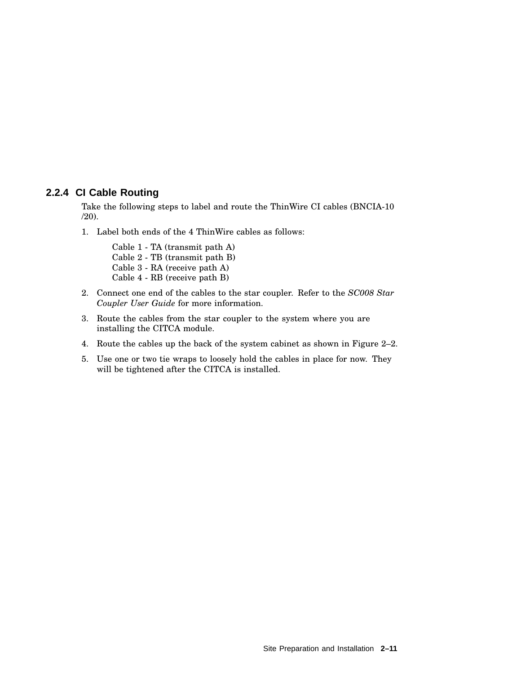#### **2.2.4 CI Cable Routing**

Take the following steps to label and route the ThinWire CI cables (BNCIA-10 /20).

1. Label both ends of the 4 ThinWire cables as follows:

Cable 1 - TA (transmit path A) Cable 2 - TB (transmit path B) Cable 3 - RA (receive path A) Cable 4 - RB (receive path B)

- 2. Connect one end of the cables to the star coupler. Refer to the *SC008 Star Coupler User Guide* for more information.
- 3. Route the cables from the star coupler to the system where you are installing the CITCA module.
- 4. Route the cables up the back of the system cabinet as shown in Figure 2–2.
- 5. Use one or two tie wraps to loosely hold the cables in place for now. They will be tightened after the CITCA is installed.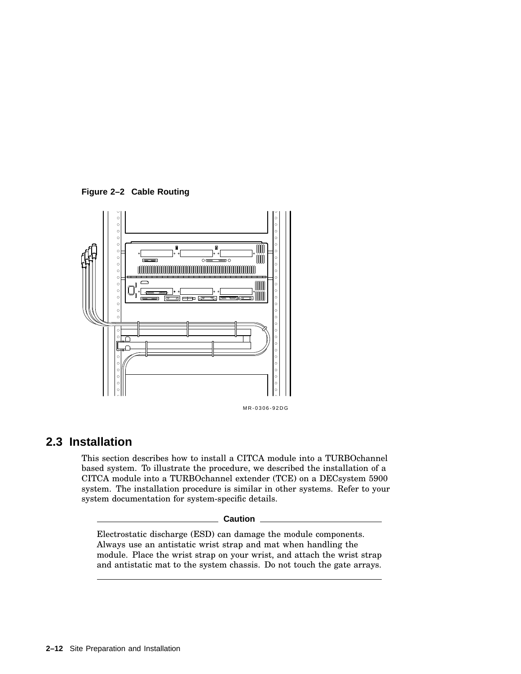**Figure 2–2 Cable Routing**



#### MR-0306-92DG

## **2.3 Installation**

This section describes how to install a CITCA module into a TURBOchannel based system. To illustrate the procedure, we described the installation of a CITCA module into a TURBOchannel extender (TCE) on a DECsystem 5900 system. The installation procedure is similar in other systems. Refer to your system documentation for system-specific details.

#### **Caution**

Electrostatic discharge (ESD) can damage the module components. Always use an antistatic wrist strap and mat when handling the module. Place the wrist strap on your wrist, and attach the wrist strap and antistatic mat to the system chassis. Do not touch the gate arrays.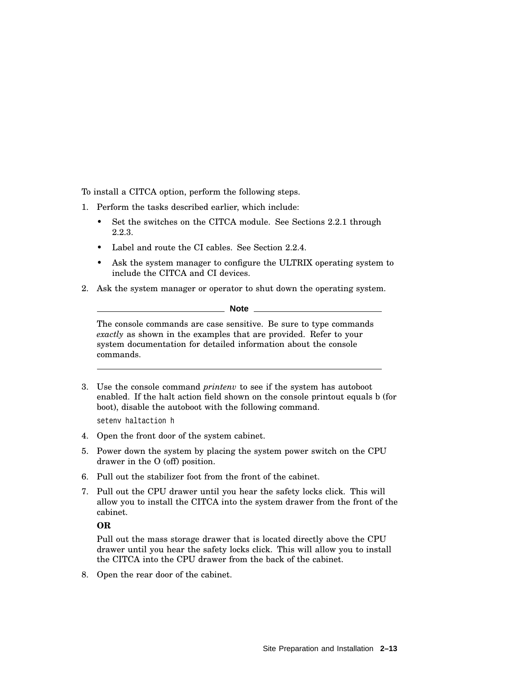To install a CITCA option, perform the following steps.

- 1. Perform the tasks described earlier, which include:
	- Set the switches on the CITCA module. See Sections 2.2.1 through 2.2.3.
	- Label and route the CI cables. See Section 2.2.4.
	- Ask the system manager to configure the ULTRIX operating system to include the CITCA and CI devices.
- 2. Ask the system manager or operator to shut down the operating system.

**Note**

The console commands are case sensitive. Be sure to type commands *exactly* as shown in the examples that are provided. Refer to your system documentation for detailed information about the console commands.

3. Use the console command *printenv* to see if the system has autoboot enabled. If the halt action field shown on the console printout equals b (for boot), disable the autoboot with the following command.

setenv haltaction h

- 4. Open the front door of the system cabinet.
- 5. Power down the system by placing the system power switch on the CPU drawer in the O (off) position.
- 6. Pull out the stabilizer foot from the front of the cabinet.
- 7. Pull out the CPU drawer until you hear the safety locks click. This will allow you to install the CITCA into the system drawer from the front of the cabinet.

**OR**

Pull out the mass storage drawer that is located directly above the CPU drawer until you hear the safety locks click. This will allow you to install the CITCA into the CPU drawer from the back of the cabinet.

8. Open the rear door of the cabinet.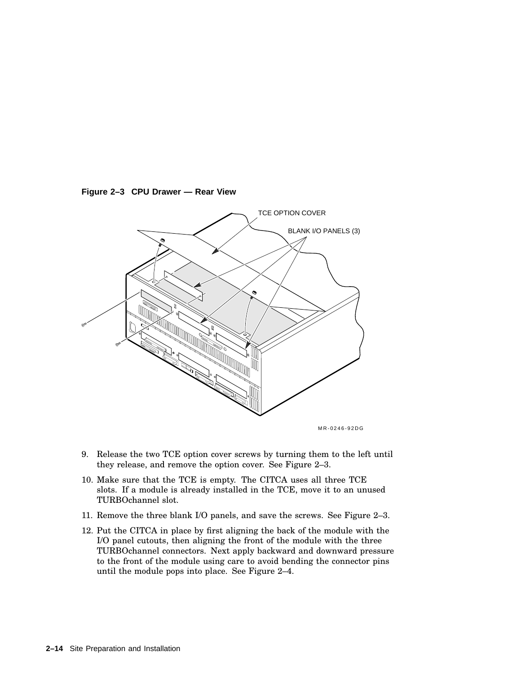



MR-0246-92DG

- 9. Release the two TCE option cover screws by turning them to the left until they release, and remove the option cover. See Figure 2–3.
- 10. Make sure that the TCE is empty. The CITCA uses all three TCE slots. If a module is already installed in the TCE, move it to an unused TURBOchannel slot.
- 11. Remove the three blank I/O panels, and save the screws. See Figure 2–3.
- 12. Put the CITCA in place by first aligning the back of the module with the I/O panel cutouts, then aligning the front of the module with the three TURBOchannel connectors. Next apply backward and downward pressure to the front of the module using care to avoid bending the connector pins until the module pops into place. See Figure 2–4.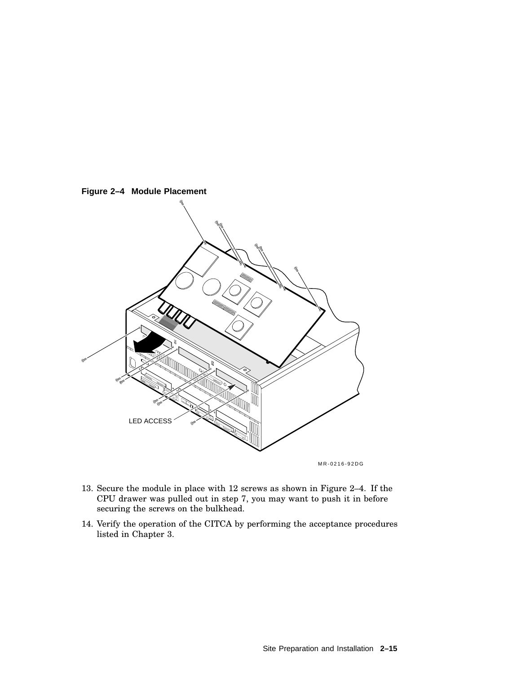

- 13. Secure the module in place with 12 screws as shown in Figure 2–4. If the CPU drawer was pulled out in step 7, you may want to push it in before securing the screws on the bulkhead.
- 14. Verify the operation of the CITCA by performing the acceptance procedures listed in Chapter 3.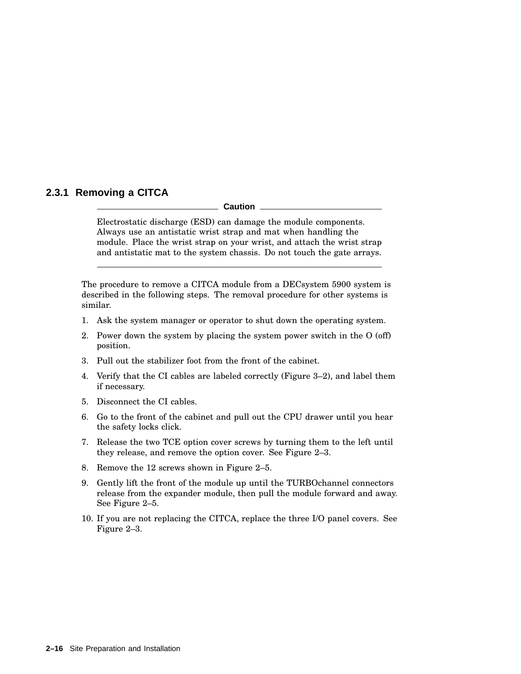### **2.3.1 Removing a CITCA**

#### **Caution**

Electrostatic discharge (ESD) can damage the module components. Always use an antistatic wrist strap and mat when handling the module. Place the wrist strap on your wrist, and attach the wrist strap and antistatic mat to the system chassis. Do not touch the gate arrays.

The procedure to remove a CITCA module from a DECsystem 5900 system is described in the following steps. The removal procedure for other systems is similar.

- 1. Ask the system manager or operator to shut down the operating system.
- 2. Power down the system by placing the system power switch in the O (off) position.
- 3. Pull out the stabilizer foot from the front of the cabinet.
- 4. Verify that the CI cables are labeled correctly (Figure 3–2), and label them if necessary.
- 5. Disconnect the CI cables.
- 6. Go to the front of the cabinet and pull out the CPU drawer until you hear the safety locks click.
- 7. Release the two TCE option cover screws by turning them to the left until they release, and remove the option cover. See Figure 2–3.
- 8. Remove the 12 screws shown in Figure 2–5.
- 9. Gently lift the front of the module up until the TURBOchannel connectors release from the expander module, then pull the module forward and away. See Figure 2–5.
- 10. If you are not replacing the CITCA, replace the three I/O panel covers. See Figure 2–3.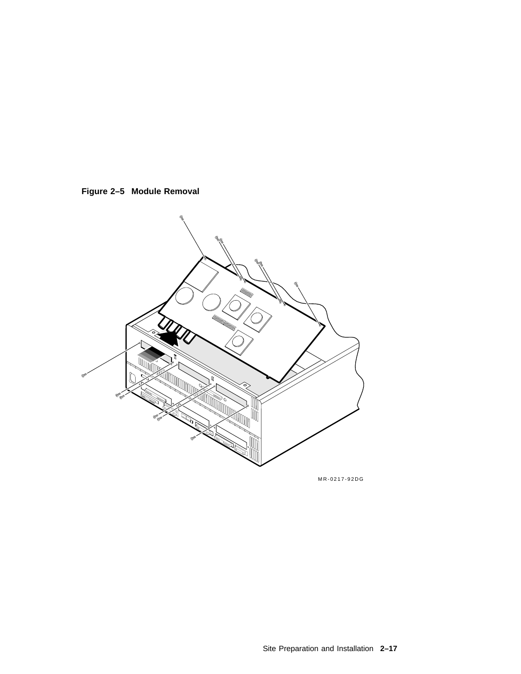



MR-0217-92DG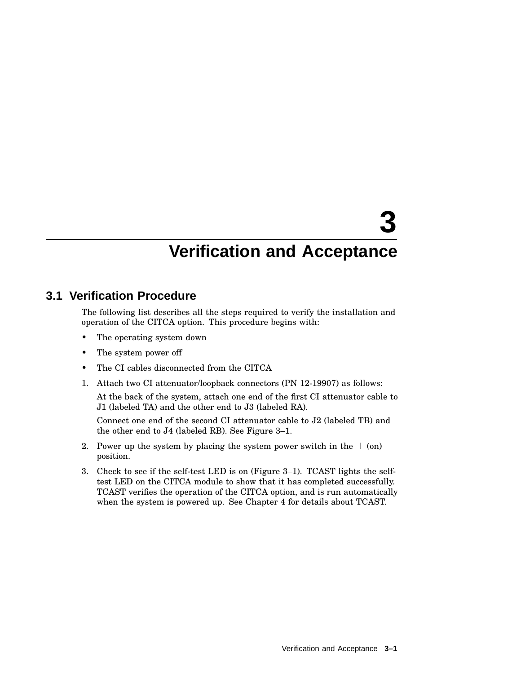# **3**

## **Verification and Acceptance**

## **3.1 Verification Procedure**

The following list describes all the steps required to verify the installation and operation of the CITCA option. This procedure begins with:

- The operating system down
- The system power off
- The CI cables disconnected from the CITCA
- 1. Attach two CI attenuator/loopback connectors (PN 12-19907) as follows:

At the back of the system, attach one end of the first CI attenuator cable to J1 (labeled TA) and the other end to J3 (labeled RA).

Connect one end of the second CI attenuator cable to J2 (labeled TB) and the other end to J4 (labeled RB). See Figure 3–1.

- 2. Power up the system by placing the system power switch in the  $\pm$  (on) position.
- 3. Check to see if the self-test LED is on (Figure 3–1). TCAST lights the selftest LED on the CITCA module to show that it has completed successfully. TCAST verifies the operation of the CITCA option, and is run automatically when the system is powered up. See Chapter 4 for details about TCAST.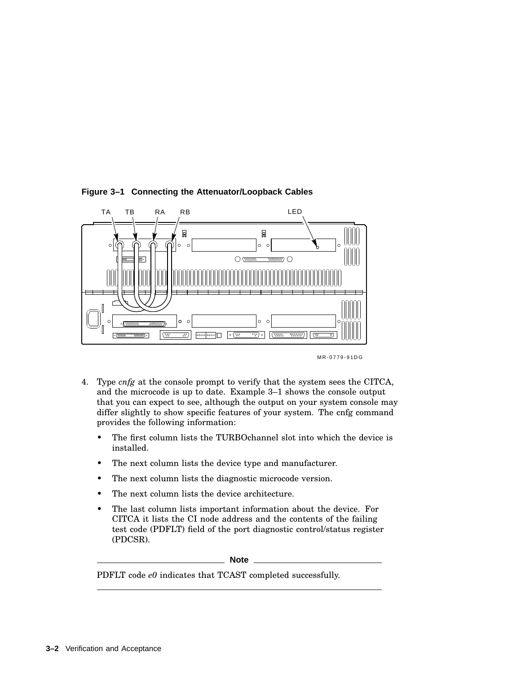

#### **Figure 3–1 Connecting the Attenuator/Loopback Cables**

MR-0779-91DG

- 4. Type *cnfg* at the console prompt to verify that the system sees the CITCA, and the microcode is up to date. Example 3–1 shows the console output that you can expect to see, although the output on your system console may differ slightly to show specific features of your system. The cnfg command provides the following information:
	- The first column lists the TURBOchannel slot into which the device is installed.
	- The next column lists the device type and manufacturer.
	- The next column lists the diagnostic microcode version.
	- The next column lists the device architecture.
	- The last column lists important information about the device. For CITCA it lists the CI node address and the contents of the failing test code (PDFLT) field of the port diagnostic control/status register (PDCSR).

**Note**

PDFLT code *e0* indicates that TCAST completed successfully.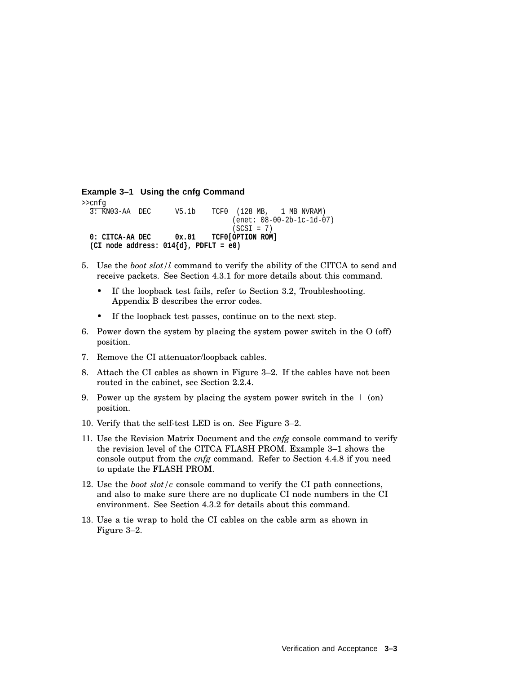```
Example 3–1 Using the cnfg Command
>> \frac{cnfg}{3: KN03-AA} DEC
                      V5.1b TCF0 (128 MB, 1 MB NVRAM)
                                    (enet: 08-00-2b-1c-1d-07)
                                    (SCSI = 7)0: CITCA-AA DEC 0x.01 TCF0[OPTION ROM]
  (CI node address: 014{d}, PDFLT = e0)
```
- 5. Use the *boot slot/l* command to verify the ability of the CITCA to send and receive packets. See Section 4.3.1 for more details about this command.
	- If the loopback test fails, refer to Section 3.2, Troubleshooting. Appendix B describes the error codes.
	- If the loopback test passes, continue on to the next step.
- 6. Power down the system by placing the system power switch in the O (off) position.
- 7. Remove the CI attenuator/loopback cables.
- 8. Attach the CI cables as shown in Figure 3–2. If the cables have not been routed in the cabinet, see Section 2.2.4.
- 9. Power up the system by placing the system power switch in the | (on) position.
- 10. Verify that the self-test LED is on. See Figure 3–2.
- 11. Use the Revision Matrix Document and the *cnfg* console command to verify the revision level of the CITCA FLASH PROM. Example 3–1 shows the console output from the *cnfg* command. Refer to Section 4.4.8 if you need to update the FLASH PROM.
- 12. Use the *boot slot/c* console command to verify the CI path connections, and also to make sure there are no duplicate CI node numbers in the CI environment. See Section 4.3.2 for details about this command.
- 13. Use a tie wrap to hold the CI cables on the cable arm as shown in Figure 3–2.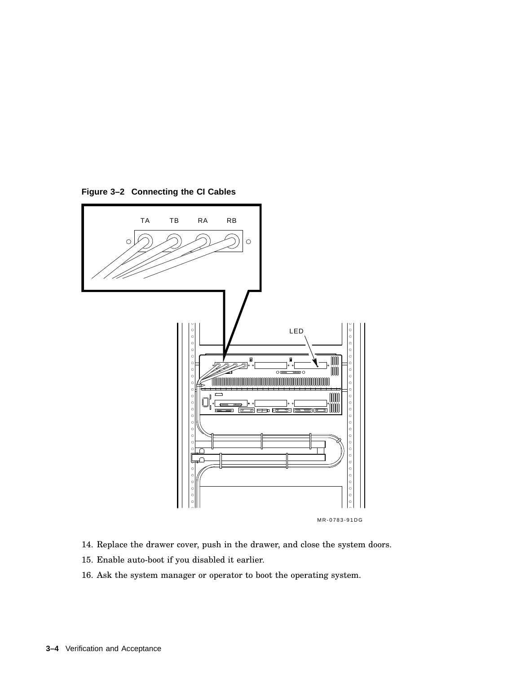

**Figure 3–2 Connecting the CI Cables**

- 14. Replace the drawer cover, push in the drawer, and close the system doors.
- 15. Enable auto-boot if you disabled it earlier.
- 16. Ask the system manager or operator to boot the operating system.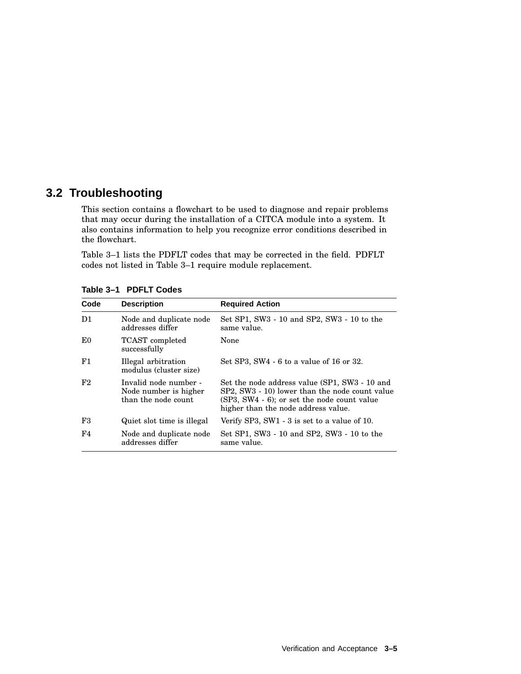# **3.2 Troubleshooting**

This section contains a flowchart to be used to diagnose and repair problems that may occur during the installation of a CITCA module into a system. It also contains information to help you recognize error conditions described in the flowchart.

Table 3–1 lists the PDFLT codes that may be corrected in the field. PDFLT codes not listed in Table 3–1 require module replacement.

| Code           | <b>Description</b>                                                    | <b>Required Action</b>                                                                                                                                                                   |
|----------------|-----------------------------------------------------------------------|------------------------------------------------------------------------------------------------------------------------------------------------------------------------------------------|
| D1             | Node and duplicate node<br>addresses differ                           | Set SP1, SW3 - 10 and SP2, SW3 - 10 to the<br>same value.                                                                                                                                |
| E0             | <b>TCAST</b> completed<br>successfully                                | None                                                                                                                                                                                     |
| F1             | Illegal arbitration<br>modulus (cluster size)                         | Set SP3, SW4 $-6$ to a value of 16 or 32.                                                                                                                                                |
| F <sub>2</sub> | Invalid node number -<br>Node number is higher<br>than the node count | Set the node address value (SP1, SW3 - 10 and<br>SP2, SW3 - 10) lower than the node count value<br>$(SP3, SW4 - 6)$ ; or set the node count value<br>higher than the node address value. |
| F3             | Quiet slot time is illegal                                            | Verify SP3, SW1 $-3$ is set to a value of 10.                                                                                                                                            |
| F4             | Node and duplicate node<br>addresses differ                           | Set SP1, SW3 - 10 and SP2, SW3 - 10 to the<br>same value.                                                                                                                                |

**Table 3–1 PDFLT Codes**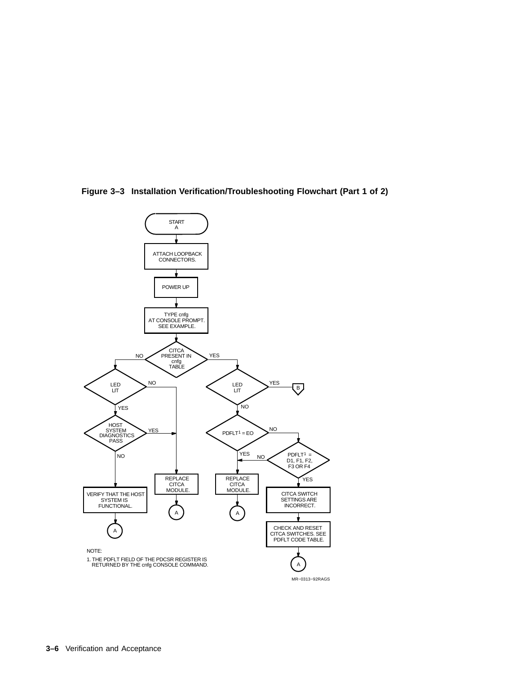

**Figure 3–3 Installation Verification/Troubleshooting Flowchart (Part 1 of 2)**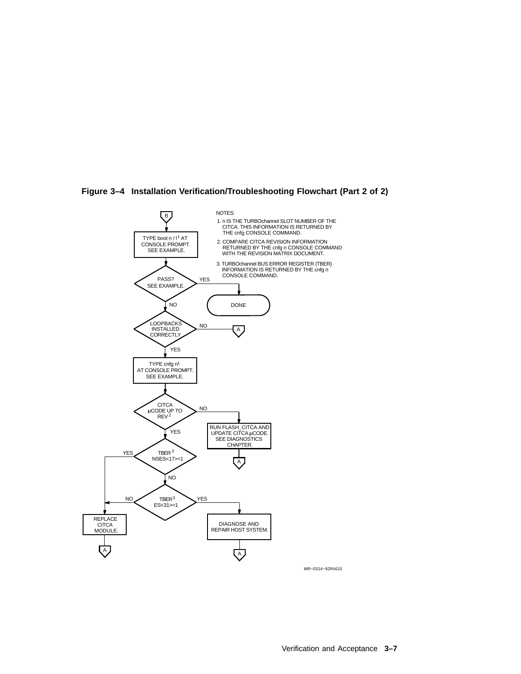

**Figure 3–4 Installation Verification/Troubleshooting Flowchart (Part 2 of 2)**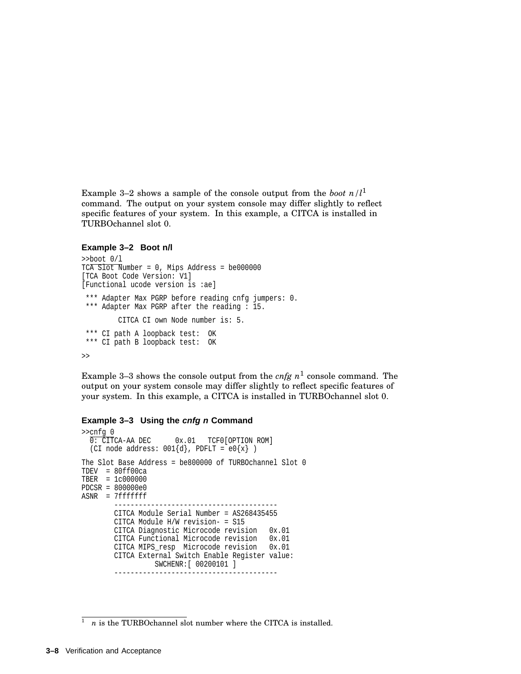Example 3–2 shows a sample of the console output from the *boot*  $n/l^1$ command. The output on your system console may differ slightly to reflect specific features of your system. In this example, a CITCA is installed in TURBOchannel slot 0.

#### **Example 3–2 Boot n/l**

```
>>boot 0/l
TCA Slot Number = 0, Mips Address = be000000
[TCA Boot Code Version: V1]
[Functional ucode version is :ae]
*** Adapter Max PGRP before reading cnfg jumpers: 0.
*** Adapter Max PGRP after the reading : 15.
         CITCA CI own Node number is: 5.
*** CI path A loopback test: OK
*** CI path B loopback test: OK
>>
```
Example 3–3 shows the console output from the  $cnfg$   $n^1$  console command. The output on your system console may differ slightly to reflect specific features of your system. In this example, a CITCA is installed in TURBOchannel slot 0.

#### **Example 3–3 Using the cnfg n Command**

```
>>cnfg 0<br>0: CITCA-AA DEC
                           0x.01 TCF0[OPTION ROM]
  (CI node address: 001\{d\}, PDFLT = e0\{x\})
The Slot Base Address = be800000 of TURBOchannel Slot 0
TDEV = 80ff00ca
TBER = 1c000000
PDCSR = 800000e0
ASNR = 7fffffff
                      ----------------------------------------
         CITCA Module Serial Number = AS268435455
         CITCA Module H/W revision- = S15
         CITCA Diagnostic Microcode revision 0x.01<br>CITCA Functional Microcode revision 0x.01
         CITCA Functional Microcode revision 0x.01<br>CITCA MIPS_resp Microcode revision 0x.01
         CITCA MIPS_resp Microcode revision
         CITCA External Switch Enable Register value:
                   SWCHENR:[ 00200101 ]
          ----------------------------------------
```
 $\frac{1}{1}$  *n* is the TURBOchannel slot number where the CITCA is installed.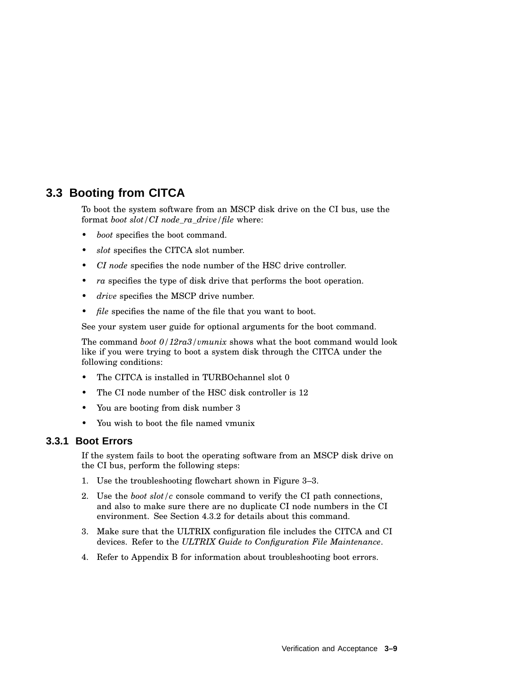# **3.3 Booting from CITCA**

To boot the system software from an MSCP disk drive on the CI bus, use the format *boot slot/CI node\_ra\_drive/file* where:

- *boot* specifies the boot command.
- *slot* specifies the CITCA slot number.
- *CI node* specifies the node number of the HSC drive controller.
- *ra* specifies the type of disk drive that performs the boot operation.
- *drive* specifies the MSCP drive number.
- *file* specifies the name of the file that you want to boot.

See your system user guide for optional arguments for the boot command.

The command *boot 0/12ra3/vmunix* shows what the boot command would look like if you were trying to boot a system disk through the CITCA under the following conditions:

- The CITCA is installed in TURBOchannel slot 0
- The CI node number of the HSC disk controller is 12
- You are booting from disk number 3
- You wish to boot the file named vmunix

## **3.3.1 Boot Errors**

If the system fails to boot the operating software from an MSCP disk drive on the CI bus, perform the following steps:

- 1. Use the troubleshooting flowchart shown in Figure 3–3.
- 2. Use the *boot slot/c* console command to verify the CI path connections, and also to make sure there are no duplicate CI node numbers in the CI environment. See Section 4.3.2 for details about this command.
- 3. Make sure that the ULTRIX configuration file includes the CITCA and CI devices. Refer to the *ULTRIX Guide to Configuration File Maintenance*.
- 4. Refer to Appendix B for information about troubleshooting boot errors.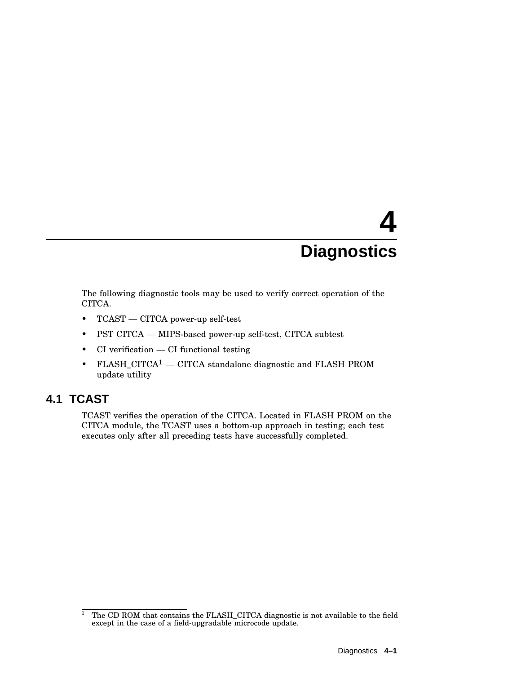# **4 Diagnostics**

The following diagnostic tools may be used to verify correct operation of the CITCA.

- TCAST CITCA power-up self-test
- PST CITCA MIPS-based power-up self-test, CITCA subtest
- CI verification CI functional testing
- FLASH\_CITCA<sup>1</sup> CITCA standalone diagnostic and FLASH PROM update utility

# **4.1 TCAST**

TCAST verifies the operation of the CITCA. Located in FLASH PROM on the CITCA module, the TCAST uses a bottom-up approach in testing; each test executes only after all preceding tests have successfully completed.

<sup>&</sup>lt;sup>1</sup> The CD ROM that contains the FLASH\_CITCA diagnostic is not available to the field except in the case of a field-upgradable microcode update.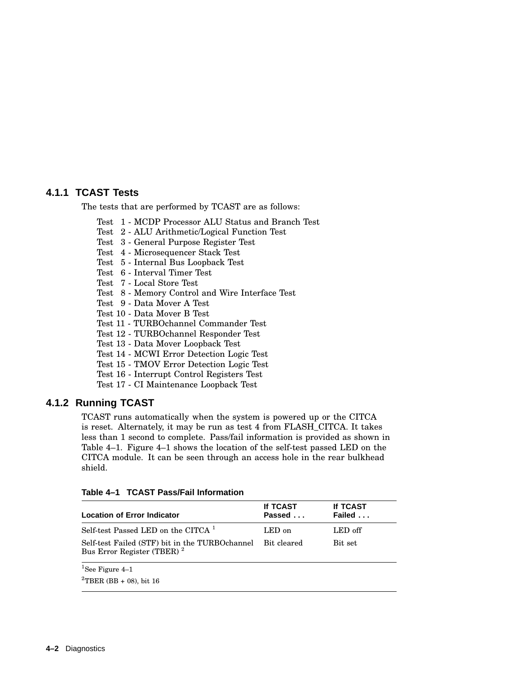# **4.1.1 TCAST Tests**

The tests that are performed by TCAST are as follows:

- Test 1 MCDP Processor ALU Status and Branch Test
- Test 2 ALU Arithmetic/Logical Function Test
- Test 3 General Purpose Register Test
- Test 4 Microsequencer Stack Test
- Test 5 Internal Bus Loopback Test
- Test 6 Interval Timer Test
- Test 7 Local Store Test
- Test 8 Memory Control and Wire Interface Test
- Test 9 Data Mover A Test
- Test 10 Data Mover B Test
- Test 11 TURBOchannel Commander Test
- Test 12 TURBOchannel Responder Test
- Test 13 Data Mover Loopback Test
- Test 14 MCWI Error Detection Logic Test
- Test 15 TMOV Error Detection Logic Test
- Test 16 Interrupt Control Registers Test
- Test 17 CI Maintenance Loopback Test

## **4.1.2 Running TCAST**

TCAST runs automatically when the system is powered up or the CITCA is reset. Alternately, it may be run as test 4 from FLASH\_CITCA. It takes less than 1 second to complete. Pass/fail information is provided as shown in Table 4–1. Figure 4–1 shows the location of the self-test passed LED on the CITCA module. It can be seen through an access hole in the rear bulkhead shield.

| <b>Location of Error Indicator</b>                                                                   | If TCAST<br>Passed | <b>If TCAST</b><br>Failed |
|------------------------------------------------------------------------------------------------------|--------------------|---------------------------|
| Self-test Passed LED on the CITCA <sup>1</sup>                                                       | LED on             | LED off                   |
| Self-test Failed (STF) bit in the TURBOchannel Bit cleared<br>Bus Error Register (TBER) <sup>2</sup> |                    | Bit set                   |
| $\mathrm{^{1}See}$ Figure 4-1                                                                        |                    |                           |

#### **Table 4–1 TCAST Pass/Fail Information**

See Figure 4–1

 ${}^{2}$ TBER (BB + 08), bit 16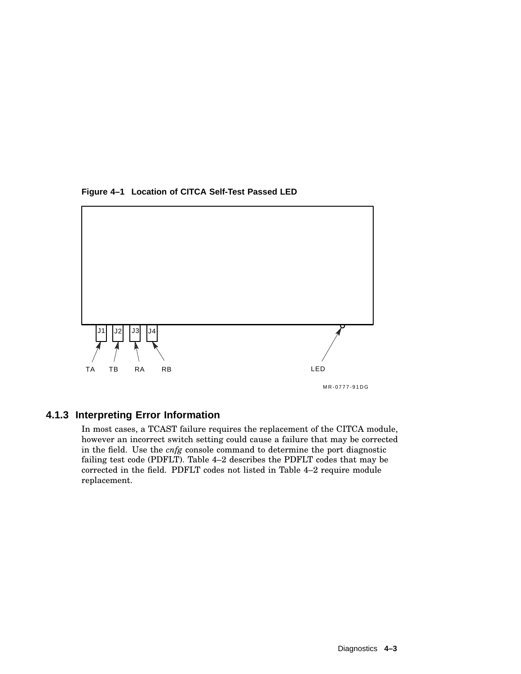



# **4.1.3 Interpreting Error Information**

In most cases, a TCAST failure requires the replacement of the CITCA module, however an incorrect switch setting could cause a failure that may be corrected in the field. Use the *cnfg* console command to determine the port diagnostic failing test code (PDFLT). Table 4–2 describes the PDFLT codes that may be corrected in the field. PDFLT codes not listed in Table 4–2 require module replacement.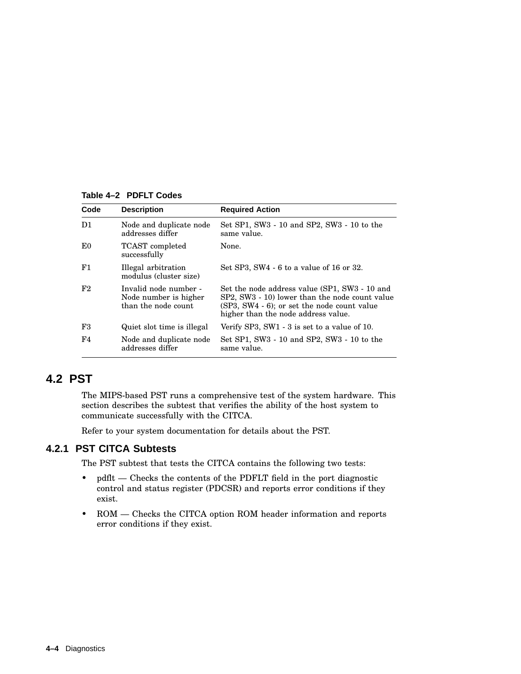**Table 4–2 PDFLT Codes**

| Code | <b>Description</b>                                                    | <b>Required Action</b>                                                                                                                                                                |
|------|-----------------------------------------------------------------------|---------------------------------------------------------------------------------------------------------------------------------------------------------------------------------------|
| D1   | Node and duplicate node<br>addresses differ                           | Set SP1, SW3 - 10 and SP2, SW3 - 10 to the<br>same value.                                                                                                                             |
| E0   | <b>TCAST</b> completed<br>successfully                                | None.                                                                                                                                                                                 |
| F1   | Illegal arbitration<br>modulus (cluster size)                         | Set SP3, SW4 $-6$ to a value of 16 or 32.                                                                                                                                             |
| F2   | Invalid node number -<br>Node number is higher<br>than the node count | Set the node address value (SP1, SW3 - 10 and<br>SP2, SW3 - 10) lower than the node count value<br>(SP3, SW4 - 6); or set the node count value<br>higher than the node address value. |
| F3   | Quiet slot time is illegal                                            | Verify SP3, SW1 $-3$ is set to a value of 10.                                                                                                                                         |
| F4   | Node and duplicate node<br>addresses differ                           | Set SP1, SW3 - 10 and SP2, SW3 - 10 to the<br>same value.                                                                                                                             |

# **4.2 PST**

The MIPS-based PST runs a comprehensive test of the system hardware. This section describes the subtest that verifies the ability of the host system to communicate successfully with the CITCA.

Refer to your system documentation for details about the PST.

# **4.2.1 PST CITCA Subtests**

The PST subtest that tests the CITCA contains the following two tests:

- pdflt Checks the contents of the PDFLT field in the port diagnostic control and status register (PDCSR) and reports error conditions if they exist.
- ROM Checks the CITCA option ROM header information and reports error conditions if they exist.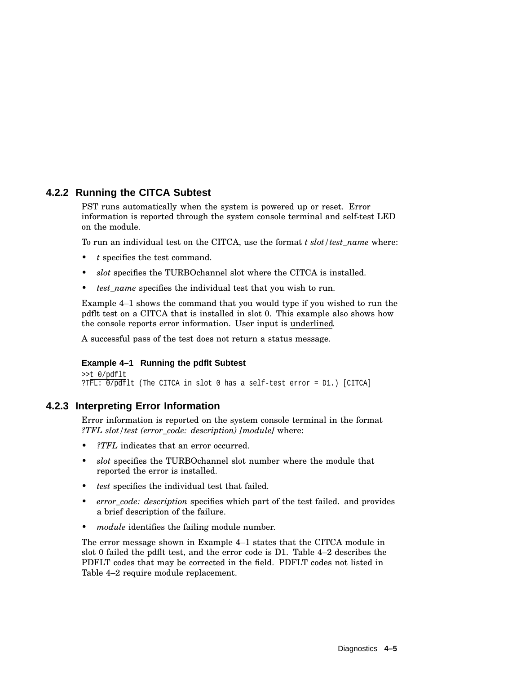# **4.2.2 Running the CITCA Subtest**

PST runs automatically when the system is powered up or reset. Error information is reported through the system console terminal and self-test LED on the module.

To run an individual test on the CITCA, use the format *t slot/test\_name* where:

- *t* specifies the test command.
- *slot* specifies the TURBOchannel slot where the CITCA is installed.
- test name specifies the individual test that you wish to run.

Example 4–1 shows the command that you would type if you wished to run the pdflt test on a CITCA that is installed in slot 0. This example also shows how the console reports error information. User input is underlined.

A successful pass of the test does not return a status message.

#### **Example 4–1 Running the pdflt Subtest**

```
>>t 0/pdflt
?TFL: 0/pdH1t (The CITCA in slot 0 has a self-test error = D1.) [CITCA]
```
## **4.2.3 Interpreting Error Information**

Error information is reported on the system console terminal in the format *?TFL slot/test (error\_code: description) [module]* where:

- *?TFL* indicates that an error occurred.
- *slot* specifies the TURBOchannel slot number where the module that reported the error is installed.
- *test* specifies the individual test that failed.
- *error\_code: description* specifies which part of the test failed. and provides a brief description of the failure.
- *module* identifies the failing module number.

The error message shown in Example 4–1 states that the CITCA module in slot 0 failed the pdflt test, and the error code is D1. Table 4–2 describes the PDFLT codes that may be corrected in the field. PDFLT codes not listed in Table 4–2 require module replacement.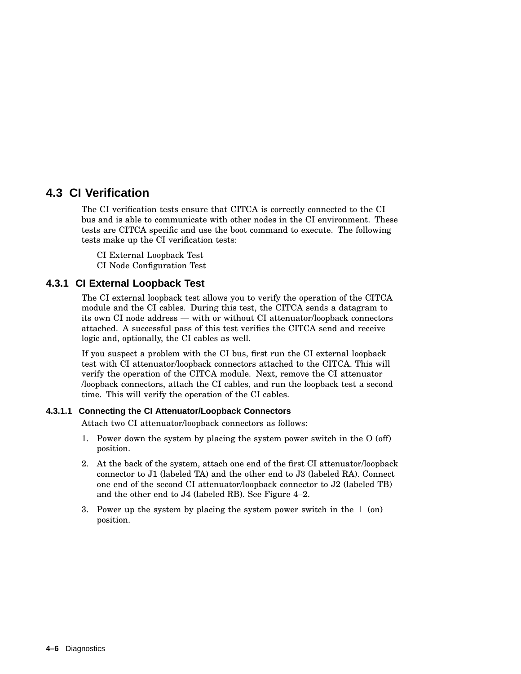# **4.3 CI Verification**

The CI verification tests ensure that CITCA is correctly connected to the CI bus and is able to communicate with other nodes in the CI environment. These tests are CITCA specific and use the boot command to execute. The following tests make up the CI verification tests:

CI External Loopback Test CI Node Configuration Test

# **4.3.1 CI External Loopback Test**

The CI external loopback test allows you to verify the operation of the CITCA module and the CI cables. During this test, the CITCA sends a datagram to its own CI node address — with or without CI attenuator/loopback connectors attached. A successful pass of this test verifies the CITCA send and receive logic and, optionally, the CI cables as well.

If you suspect a problem with the CI bus, first run the CI external loopback test with CI attenuator/loopback connectors attached to the CITCA. This will verify the operation of the CITCA module. Next, remove the CI attenuator /loopback connectors, attach the CI cables, and run the loopback test a second time. This will verify the operation of the CI cables.

## **4.3.1.1 Connecting the CI Attenuator/Loopback Connectors**

Attach two CI attenuator/loopback connectors as follows:

- 1. Power down the system by placing the system power switch in the O (off) position.
- 2. At the back of the system, attach one end of the first CI attenuator/loopback connector to J1 (labeled TA) and the other end to J3 (labeled RA). Connect one end of the second CI attenuator/loopback connector to J2 (labeled TB) and the other end to J4 (labeled RB). See Figure 4–2.
- 3. Power up the system by placing the system power switch in the  $\perp$  (on) position.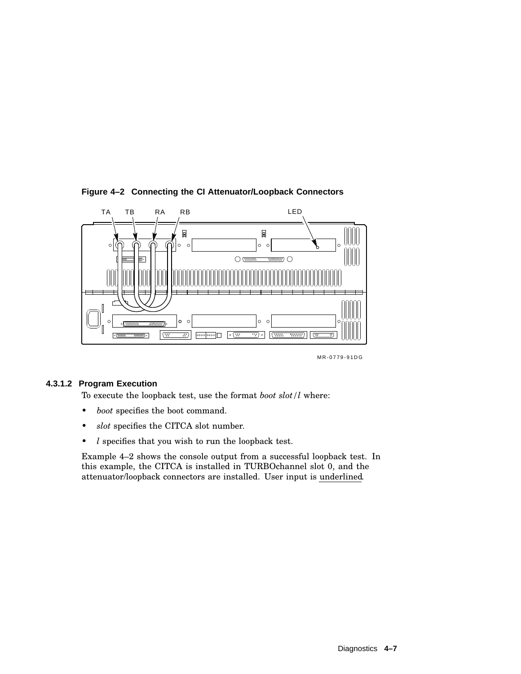

## **Figure 4–2 Connecting the CI Attenuator/Loopback Connectors**

MR-0779-91DG

#### **4.3.1.2 Program Execution**

To execute the loopback test, use the format *boot slot/l* where:

- *boot* specifies the boot command.
- *slot* specifies the CITCA slot number.
- *l* specifies that you wish to run the loopback test.

Example 4–2 shows the console output from a successful loopback test. In this example, the CITCA is installed in TURBOchannel slot 0, and the attenuator/loopback connectors are installed. User input is underlined.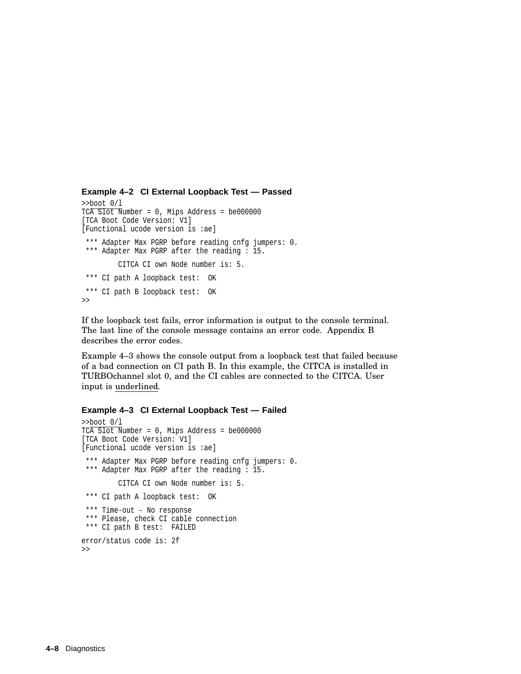```
Example 4–2 CI External Loopback Test — Passed
```

```
>>boot 0/l
TCA Slot Number = 0, Mips Address = be000000
[TCA Boot Code Version: V1]
[Functional ucode version is :ae]
*** Adapter Max PGRP before reading cnfg jumpers: 0.
*** Adapter Max PGRP after the reading : 15.
         CITCA CI own Node number is: 5.
*** CI path A loopback test: OK
*** CI path B loopback test: OK
>>
```
If the loopback test fails, error information is output to the console terminal. The last line of the console message contains an error code. Appendix B describes the error codes.

Example 4–3 shows the console output from a loopback test that failed because of a bad connection on CI path B. In this example, the CITCA is installed in TURBOchannel slot 0, and the CI cables are connected to the CITCA. User input is underlined.

#### **Example 4–3 CI External Loopback Test — Failed**

```
>>boot 0/l
TCA Slot Number = 0, Mips Address = be000000
[TCA Boot Code Version: V1]
[Functional ucode version is :ae]
 *** Adapter Max PGRP before reading cnfg jumpers: 0.
*** Adapter Max PGRP after the reading : 15.
         CITCA CI own Node number is: 5.
*** CI path A loopback test: OK
*** Time-out - No response
*** Please, check CI cable connection
*** CI path B test: FAILED
error/status code is: 2f
>>
```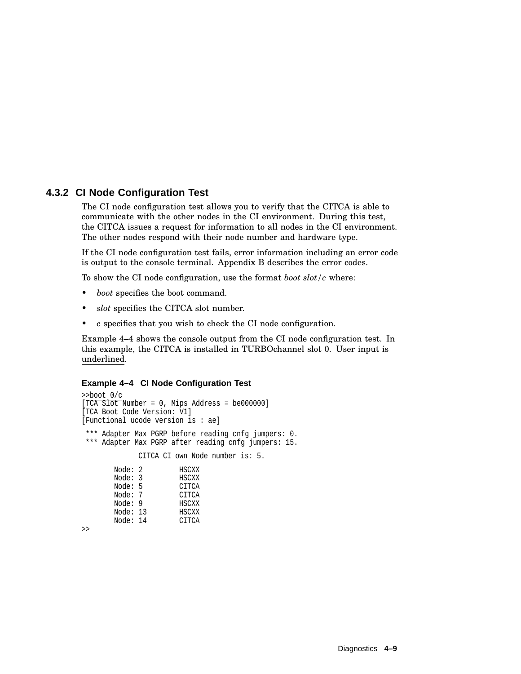# **4.3.2 CI Node Configuration Test**

The CI node configuration test allows you to verify that the CITCA is able to communicate with the other nodes in the CI environment. During this test, the CITCA issues a request for information to all nodes in the CI environment. The other nodes respond with their node number and hardware type.

If the CI node configuration test fails, error information including an error code is output to the console terminal. Appendix B describes the error codes.

To show the CI node configuration, use the format *boot slot/c* where:

- *boot* specifies the boot command.
- *slot* specifies the CITCA slot number.
- *c* specifies that you wish to check the CI node configuration.

Example 4–4 shows the console output from the CI node configuration test. In this example, the CITCA is installed in TURBOchannel slot 0. User input is underlined.

#### **Example 4–4 CI Node Configuration Test**

```
>>boot 0/c
[TCA Slot Number = 0, Mips Address = be000000]
[TCA Boot Code Version: V1]
[Functional ucode version is : ae]
*** Adapter Max PGRP before reading cnfg jumpers: 0.
*** Adapter Max PGRP after reading cnfg jumpers: 15.
            CITCA CI own Node number is: 5.
       Node: 2 HSCXX
       Node: 3 HSCXX
       Node: 5 CITCA<br>Node: 7 CITCA
       Node: 7Node: 9 HSCXX
       Node: 13 HSCXX
       Node: 14 CITCA
```
>>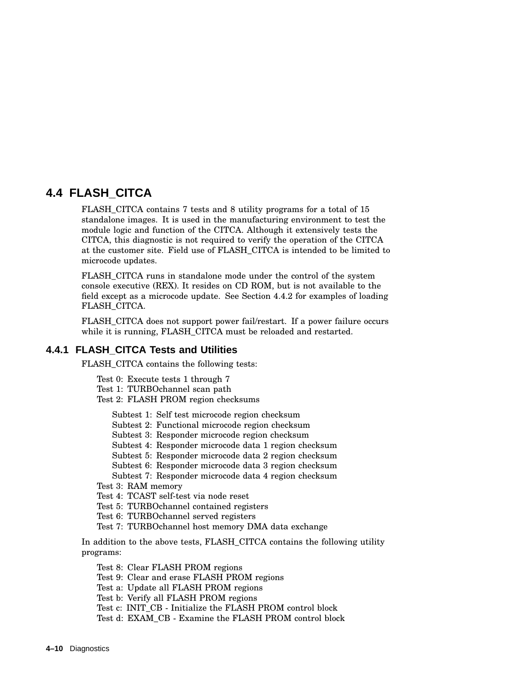# **4.4 FLASH\_CITCA**

FLASH\_CITCA contains 7 tests and 8 utility programs for a total of 15 standalone images. It is used in the manufacturing environment to test the module logic and function of the CITCA. Although it extensively tests the CITCA, this diagnostic is not required to verify the operation of the CITCA at the customer site. Field use of FLASH\_CITCA is intended to be limited to microcode updates.

FLASH\_CITCA runs in standalone mode under the control of the system console executive (REX). It resides on CD ROM, but is not available to the field except as a microcode update. See Section 4.4.2 for examples of loading FLASH\_CITCA.

FLASH CITCA does not support power fail/restart. If a power failure occurs while it is running, FLASH\_CITCA must be reloaded and restarted.

## **4.4.1 FLASH\_CITCA Tests and Utilities**

FLASH\_CITCA contains the following tests:

- Test 0: Execute tests 1 through 7
- Test 1: TURBOchannel scan path Test 2: FLASH PROM region checksums
	- Subtest 1: Self test microcode region checksum
	- Subtest 2: Functional microcode region checksum
	- Subtest 3: Responder microcode region checksum
	- Subtest 4: Responder microcode data 1 region checksum
	- Subtest 5: Responder microcode data 2 region checksum
	- Subtest 6: Responder microcode data 3 region checksum
	- Subtest 7: Responder microcode data 4 region checksum

Test 3: RAM memory

- Test 4: TCAST self-test via node reset
- Test 5: TURBOchannel contained registers
- Test 6: TURBOchannel served registers
- Test 7: TURBOchannel host memory DMA data exchange

In addition to the above tests, FLASH\_CITCA contains the following utility programs:

- Test 8: Clear FLASH PROM regions
- Test 9: Clear and erase FLASH PROM regions
- Test a: Update all FLASH PROM regions
- Test b: Verify all FLASH PROM regions
- Test c: INIT\_CB Initialize the FLASH PROM control block
- Test d: EXAM\_CB Examine the FLASH PROM control block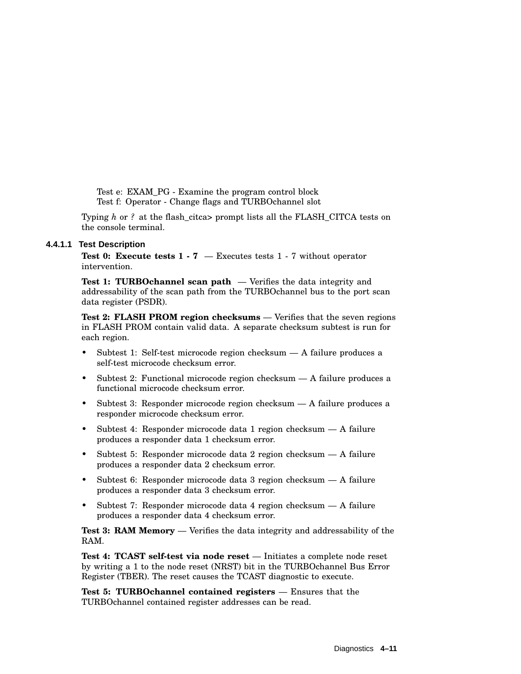Test e: EXAM\_PG - Examine the program control block Test f: Operator - Change flags and TURBOchannel slot

Typing *h* or *?* at the flash\_citca> prompt lists all the FLASH\_CITCA tests on the console terminal.

#### **4.4.1.1 Test Description**

**Test 0: Execute tests 1 - 7** — Executes tests 1 - 7 without operator intervention.

**Test 1: TURBOchannel scan path** — Verifies the data integrity and addressability of the scan path from the TURBOchannel bus to the port scan data register (PSDR).

**Test 2: FLASH PROM region checksums** — Verifies that the seven regions in FLASH PROM contain valid data. A separate checksum subtest is run for each region.

- Subtest 1: Self-test microcode region checksum A failure produces a self-test microcode checksum error.
- Subtest 2: Functional microcode region checksum A failure produces a functional microcode checksum error.
- Subtest 3: Responder microcode region checksum A failure produces a responder microcode checksum error.
- Subtest 4: Responder microcode data 1 region checksum A failure produces a responder data 1 checksum error.
- Subtest 5: Responder microcode data 2 region checksum A failure produces a responder data 2 checksum error.
- Subtest 6: Responder microcode data 3 region checksum A failure produces a responder data 3 checksum error.
- Subtest 7: Responder microcode data 4 region checksum A failure produces a responder data 4 checksum error.

**Test 3: RAM Memory** — Verifies the data integrity and addressability of the RAM.

**Test 4: TCAST self-test via node reset** — Initiates a complete node reset by writing a 1 to the node reset (NRST) bit in the TURBOchannel Bus Error Register (TBER). The reset causes the TCAST diagnostic to execute.

**Test 5: TURBOchannel contained registers** — Ensures that the TURBOchannel contained register addresses can be read.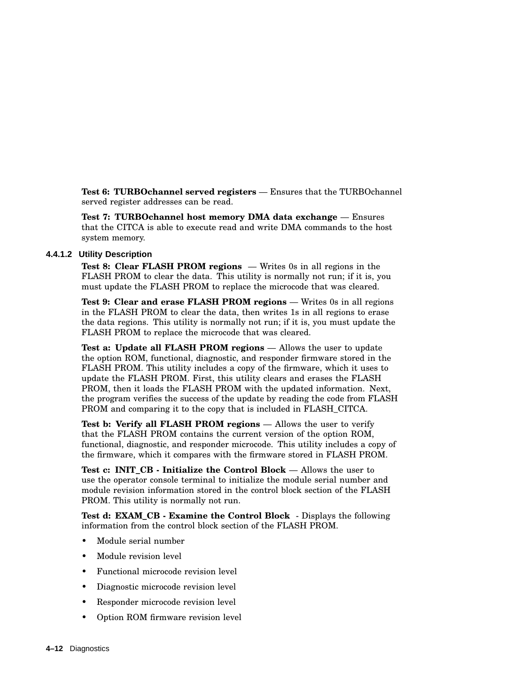**Test 6: TURBOchannel served registers** — Ensures that the TURBOchannel served register addresses can be read.

**Test 7: TURBOchannel host memory DMA data exchange** — Ensures that the CITCA is able to execute read and write DMA commands to the host system memory.

#### **4.4.1.2 Utility Description**

**Test 8: Clear FLASH PROM regions** — Writes 0s in all regions in the FLASH PROM to clear the data. This utility is normally not run; if it is, you must update the FLASH PROM to replace the microcode that was cleared.

**Test 9: Clear and erase FLASH PROM regions** — Writes 0s in all regions in the FLASH PROM to clear the data, then writes 1s in all regions to erase the data regions. This utility is normally not run; if it is, you must update the FLASH PROM to replace the microcode that was cleared.

**Test a: Update all FLASH PROM regions** — Allows the user to update the option ROM, functional, diagnostic, and responder firmware stored in the FLASH PROM. This utility includes a copy of the firmware, which it uses to update the FLASH PROM. First, this utility clears and erases the FLASH PROM, then it loads the FLASH PROM with the updated information. Next, the program verifies the success of the update by reading the code from FLASH PROM and comparing it to the copy that is included in FLASH\_CITCA.

**Test b: Verify all FLASH PROM regions** — Allows the user to verify that the FLASH PROM contains the current version of the option ROM, functional, diagnostic, and responder microcode. This utility includes a copy of the firmware, which it compares with the firmware stored in FLASH PROM.

**Test c: INIT\_CB - Initialize the Control Block** — Allows the user to use the operator console terminal to initialize the module serial number and module revision information stored in the control block section of the FLASH PROM. This utility is normally not run.

**Test d: EXAM\_CB - Examine the Control Block** - Displays the following information from the control block section of the FLASH PROM.

- Module serial number
- Module revision level
- Functional microcode revision level
- Diagnostic microcode revision level
- Responder microcode revision level
- Option ROM firmware revision level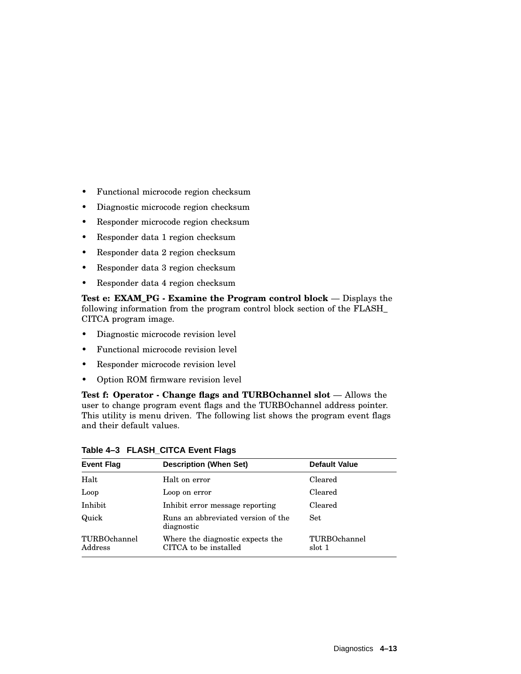- Functional microcode region checksum
- Diagnostic microcode region checksum
- Responder microcode region checksum
- Responder data 1 region checksum
- Responder data 2 region checksum
- Responder data 3 region checksum
- Responder data 4 region checksum

**Test e: EXAM\_PG - Examine the Program control block** — Displays the following information from the program control block section of the FLASH\_ CITCA program image.

- Diagnostic microcode revision level
- Functional microcode revision level
- Responder microcode revision level
- Option ROM firmware revision level

**Test f: Operator - Change flags and TURBOchannel slot** — Allows the user to change program event flags and the TURBOchannel address pointer. This utility is menu driven. The following list shows the program event flags and their default values.

| <b>Event Flag</b>       | <b>Description (When Set)</b>                             | <b>Default Value</b>   |
|-------------------------|-----------------------------------------------------------|------------------------|
| Halt                    | Halt on error                                             | Cleared                |
| Loop                    | Loop on error                                             | Cleared                |
| Inhibit                 | Inhibit error message reporting                           | Cleared                |
| Quick                   | Runs an abbreviated version of the<br>diagnostic          | <b>Set</b>             |
| TURBOchannel<br>Address | Where the diagnostic expects the<br>CITCA to be installed | TURBOchannel<br>slot 1 |

**Table 4–3 FLASH\_CITCA Event Flags**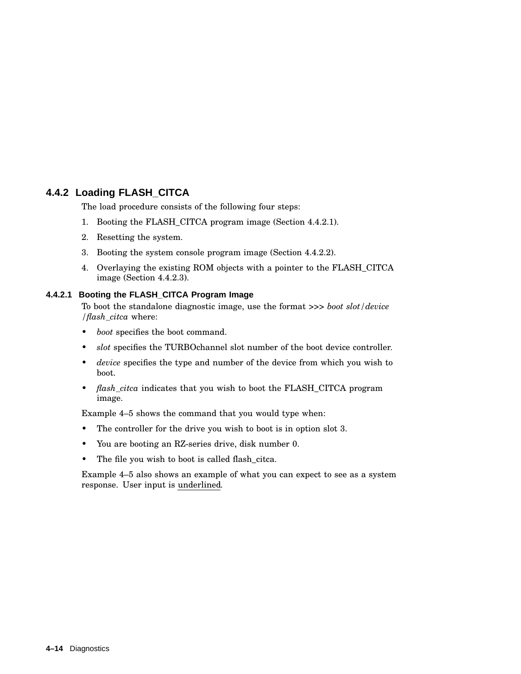# **4.4.2 Loading FLASH\_CITCA**

The load procedure consists of the following four steps:

- 1. Booting the FLASH\_CITCA program image (Section 4.4.2.1).
- 2. Resetting the system.
- 3. Booting the system console program image (Section 4.4.2.2).
- 4. Overlaying the existing ROM objects with a pointer to the FLASH\_CITCA image (Section 4.4.2.3).

## **4.4.2.1 Booting the FLASH\_CITCA Program Image**

To boot the standalone diagnostic image, use the format *>>> boot slot/device /flash\_citca* where:

- *boot* specifies the boot command.
- *slot* specifies the TURBOchannel slot number of the boot device controller.
- *device* specifies the type and number of the device from which you wish to boot.
- *flash\_citca* indicates that you wish to boot the FLASH\_CITCA program image.

Example 4–5 shows the command that you would type when:

- The controller for the drive you wish to boot is in option slot 3.
- You are booting an RZ-series drive, disk number 0.
- The file you wish to boot is called flash\_citca.

Example 4–5 also shows an example of what you can expect to see as a system response. User input is underlined.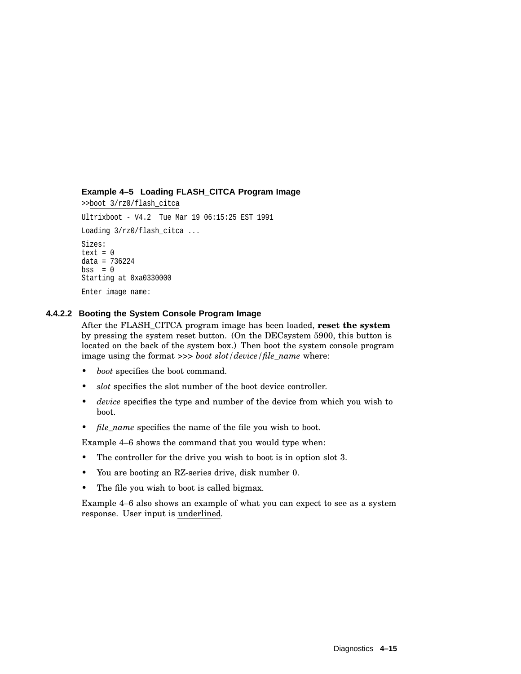## **Example 4–5 Loading FLASH\_CITCA Program Image**

>>boot 3/rz0/flash\_citca Ultrixboot - V4.2 Tue Mar 19 06:15:25 EST 1991 Loading 3/rz0/flash\_citca ... Sizes:  $text = 0$ data = 736224  $bss = 0$ Starting at 0xa0330000 Enter image name:

## **4.4.2.2 Booting the System Console Program Image**

After the FLASH\_CITCA program image has been loaded, **reset the system** by pressing the system reset button. (On the DECsystem 5900, this button is located on the back of the system box.) Then boot the system console program image using the format *>>> boot slot/device/file\_name* where:

- *boot* specifies the boot command.
- *slot* specifies the slot number of the boot device controller.
- *device* specifies the type and number of the device from which you wish to boot.
- *file name* specifies the name of the file you wish to boot.

Example 4–6 shows the command that you would type when:

- The controller for the drive you wish to boot is in option slot 3.
- You are booting an RZ-series drive, disk number 0.
- The file you wish to boot is called bigmax.

Example 4–6 also shows an example of what you can expect to see as a system response. User input is underlined.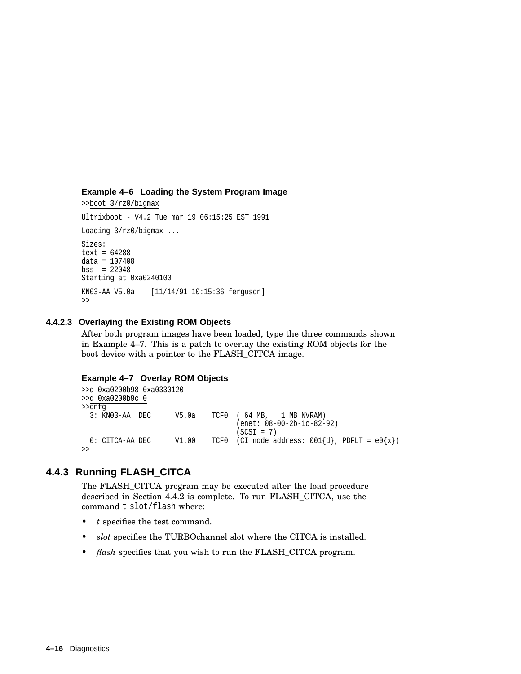#### **Example 4–6 Loading the System Program Image**

>>boot 3/rz0/bigmax Ultrixboot - V4.2 Tue mar 19 06:15:25 EST 1991 Loading 3/rz0/bigmax ... Sizes: text = 64288 data = 107408 bss = 22048 Starting at 0xa0240100 KN03-AA V5.0a [11/14/91 10:15:36 ferguson]  $\,$ 

#### **4.4.2.3 Overlaying the Existing ROM Objects**

After both program images have been loaded, type the three commands shown in Example 4–7. This is a patch to overlay the existing ROM objects for the boot device with a pointer to the FLASH\_CITCA image.

#### **Example 4–7 Overlay ROM Objects**

```
>>d 0xa0200b98 0xa0330120
>>d 0xa0200b9c 0
>>cnfg
 3: KN03-AA DEC V5.0a TCF0 ( 64 MB, 1 MB NVRAM)
                                  (enet: 08-00-2b-1c-82-92)
                                   (SCSI = 7)0: CITCA-AA DEC V1.00 TCF0 (CI node address: 001\{d\}, PDFLT = e0\{x\})
>>
```
# **4.4.3 Running FLASH\_CITCA**

The FLASH\_CITCA program may be executed after the load procedure described in Section 4.4.2 is complete. To run FLASH\_CITCA, use the command t slot/flash where:

- *t* specifies the test command.
- *slot* specifies the TURBOchannel slot where the CITCA is installed.
- *flash* specifies that you wish to run the FLASH\_CITCA program.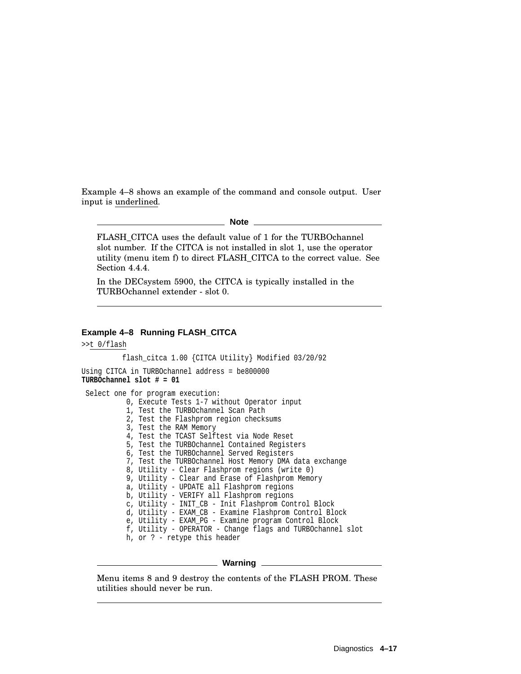Example 4–8 shows an example of the command and console output. User input is underlined.

#### **Note**

FLASH\_CITCA uses the default value of 1 for the TURBOchannel slot number. If the CITCA is not installed in slot 1, use the operator utility (menu item f) to direct FLASH\_CITCA to the correct value. See Section 4.4.4.

In the DECsystem 5900, the CITCA is typically installed in the TURBOchannel extender - slot 0.

#### **Example 4–8 Running FLASH\_CITCA**

```
>>t 0/flash
```
flash\_citca 1.00 {CITCA Utility} Modified 03/20/92

```
Using CITCA in TURBOchannel address = be800000
TURBOchannel slot # = 01
```

```
Select one for program execution:
          0, Execute Tests 1-7 without Operator input
         1, Test the TURBOchannel Scan Path
         2, Test the Flashprom region checksums
         3, Test the RAM Memory
          4, Test the TCAST Selftest via Node Reset
          5, Test the TURBOchannel Contained Registers
          6, Test the TURBOchannel Served Registers
          7, Test the TURBOchannel Host Memory DMA data exchange
          8, Utility - Clear Flashprom regions (write 0)
          9, Utility - Clear and Erase of Flashprom Memory
         a, Utility - UPDATE all Flashprom regions
         b, Utility - VERIFY all Flashprom regions
          c, Utility - INIT_CB - Init Flashprom Control Block
          d, Utility - EXAM_CB - Examine Flashprom Control Block
          e, Utility - EXAM_PG - Examine program Control Block
          f, Utility - OPERATOR - Change flags and TURBOchannel slot
         h, or ? - retype this header
```
#### **Warning**

Menu items 8 and 9 destroy the contents of the FLASH PROM. These utilities should never be run.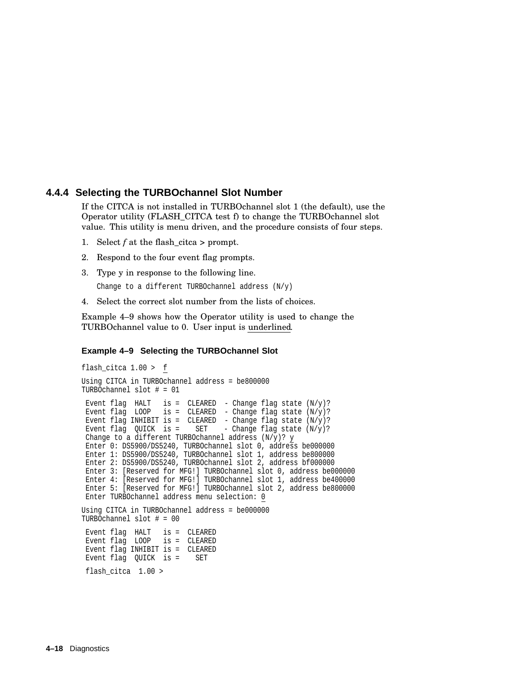## **4.4.4 Selecting the TURBOchannel Slot Number**

If the CITCA is not installed in TURBOchannel slot 1 (the default), use the Operator utility (FLASH\_CITCA test f) to change the TURBOchannel slot value. This utility is menu driven, and the procedure consists of four steps.

- 1. Select *f* at the flash\_citca > prompt.
- 2. Respond to the four event flag prompts.
- 3. Type y in response to the following line.

Change to a different TURBOchannel address (N/y)

4. Select the correct slot number from the lists of choices.

Example 4–9 shows how the Operator utility is used to change the TURBOchannel value to 0. User input is underlined.

#### **Example 4–9 Selecting the TURBOchannel Slot**

```
flash_citca 1.00 > f
Using CITCA in TURBOchannel address = be800000
TURBOchannel slot # = 01
Event flag HALT is = CLEAREN - Change flag state (N/y)?
Event flag LOOP is = CLEARED - Change flag state (N/y)?
Event flag INHIBIT is = CLEARED - Change flag state (N/y)?
Event flag QUICK is = SET - Change flag state (N/y)?
Change to a different TURBOchannel address (N/y)? y
Enter 0: DS5900/DS5240, TURBOchannel slot 0, address be000000
Enter 1: DS5900/DS5240, TURBOchannel slot 1, address be800000
Enter 2: DS5900/DS5240, TURBOchannel slot 2, address bf000000
Enter 3: [Reserved for MFG!] TURBOchannel slot 0, address be000000
Enter 4: [Reserved for MFG!] TURBOchannel slot 1, address be400000
Enter 5: [Reserved for MFG!] TURBOchannel slot 2, address be800000
Enter TURBOchannel address menu selection: 0
Using CITCA in TURBOchannel address = be000000
TURBOchannel slot # = 00
Event flag HALT is = CLEARED
Event flag LOOP is = CLEARED
Event flag INHIBIT is = CLEARED
Event flag QUICK is = SET
flash citca 1.00 >
```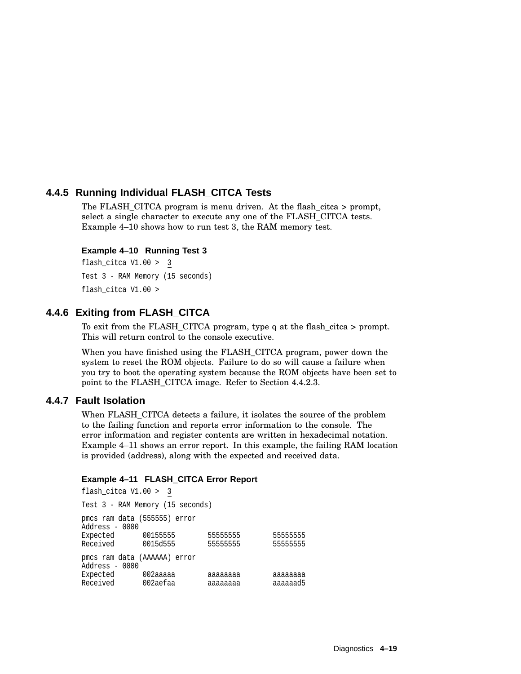# **4.4.5 Running Individual FLASH\_CITCA Tests**

The FLASH\_CITCA program is menu driven. At the flash\_citca > prompt, select a single character to execute any one of the FLASH\_CITCA tests. Example 4–10 shows how to run test 3, the RAM memory test.

#### **Example 4–10 Running Test 3**

flash\_citca V1.00 > 3 Test 3 - RAM Memory (15 seconds) flash\_citca V1.00 >

## **4.4.6 Exiting from FLASH\_CITCA**

To exit from the FLASH\_CITCA program, type q at the flash\_citca > prompt. This will return control to the console executive.

When you have finished using the FLASH\_CITCA program, power down the system to reset the ROM objects. Failure to do so will cause a failure when you try to boot the operating system because the ROM objects have been set to point to the FLASH\_CITCA image. Refer to Section 4.4.2.3.

## **4.4.7 Fault Isolation**

When FLASH\_CITCA detects a failure, it isolates the source of the problem to the failing function and reports error information to the console. The error information and register contents are written in hexadecimal notation. Example 4–11 shows an error report. In this example, the failing RAM location is provided (address), along with the expected and received data.

#### **Example 4–11 FLASH\_CITCA Error Report**

flash\_citca V1.00 > 3 Test 3 - RAM Memory (15 seconds) pmcs ram data (555555) error Address - 0000 Expected 00155555 55555555 55555555 0015d555 555555555 555555555 pmcs ram data (AAAAAA) error Address - 0000 Expected 002aaaaa aaaaaaaa aaaaaaaa Received 002aefaa aaaaaaaaa aaaaaad5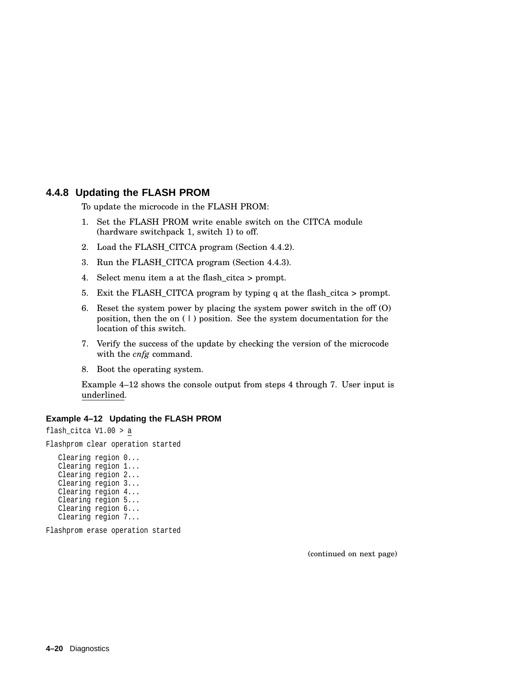## **4.4.8 Updating the FLASH PROM**

To update the microcode in the FLASH PROM:

- 1. Set the FLASH PROM write enable switch on the CITCA module (hardware switchpack 1, switch 1) to off.
- 2. Load the FLASH\_CITCA program (Section 4.4.2).
- 3. Run the FLASH\_CITCA program (Section 4.4.3).
- 4. Select menu item a at the flash\_citca > prompt.
- 5. Exit the FLASH\_CITCA program by typing q at the flash\_citca > prompt.
- 6. Reset the system power by placing the system power switch in the off (O) position, then the on ( | ) position. See the system documentation for the location of this switch.
- 7. Verify the success of the update by checking the version of the microcode with the *cnfg* command.
- 8. Boot the operating system.

Example 4–12 shows the console output from steps 4 through 7. User input is underlined.

#### **Example 4–12 Updating the FLASH PROM**

flash\_citca V1.00 > a Flashprom clear operation started Clearing region 0... Clearing region 1... Clearing region 2... Clearing region 3... Clearing region 4... Clearing region 5... Clearing region 6... Clearing region 7...

Flashprom erase operation started

(continued on next page)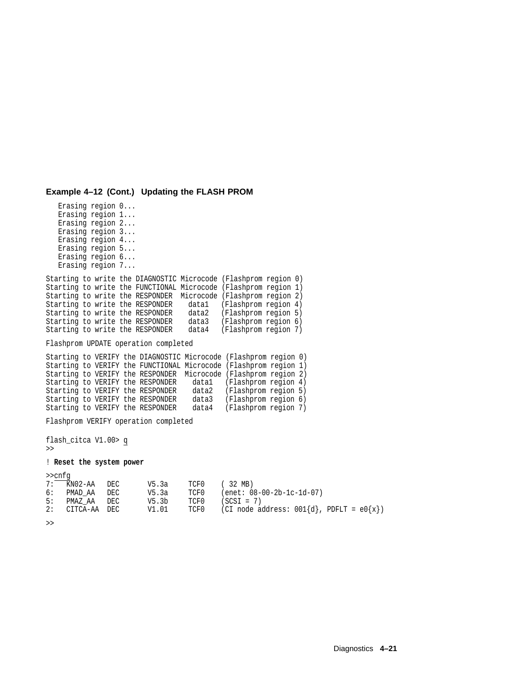#### **Example 4–12 (Cont.) Updating the FLASH PROM**

Erasing region 0... Erasing region 1... Erasing region 2... Erasing region 3... Erasing region 4... Erasing region 5... Erasing region 6... Erasing region 7... Starting to write the DIAGNOSTIC Microcode (Flashprom region 0) Starting to write the FUNCTIONAL Microcode (Flashprom region 1) Starting to write the RESPONDER Microcode (Flashprom region 2) Starting to write the RESPONDER datal (Flashprom region 4)<br>Starting to write the RESPONDER data2 (Flashprom region 5) Starting to write the RESPONDER Starting to write the RESPONDER data3 (Flashprom region 6) Starting to write the RESPONDER data4 (Flashprom region 7) Flashprom UPDATE operation completed Starting to VERIFY the DIAGNOSTIC Microcode (Flashprom region 0) Starting to VERIFY the FUNCTIONAL Microcode (Flashprom region 1) Starting to VERIFY the RESPONDER Microcode (Flashprom region 2) Starting to VERIFY the RESPONDER datal (Flashprom region 4)<br>Starting to VERIFY the RESPONDER data2 (Flashprom region 5) Starting to VERIFY the RESPONDER data2 Starting to VERIFY the RESPONDER data3 (Flashprom region 6)<br>Starting to VERIFY the RESPONDER data4 (Flashprom region 7) Starting to VERIFY the RESPONDER data4 Flashprom VERIFY operation completed flash\_citca V1.00> q >> ! **Reset the system power** >>cnfg 7: KN02-AA DEC V5.3a TCF0 ( 32 MB)

 $V5.3a$  TCF0 (enet: 08-00-2b-1c-1d-07)<br> $V5.3b$  TCF0 (SCSI = 7)

2: CITCA-AA DEC  $V1.01$  TCF0 (CI node address:  $001\{d\}$ , PDFLT =  $e0\{x\}$ )

>>

5: PMAZ AA DEC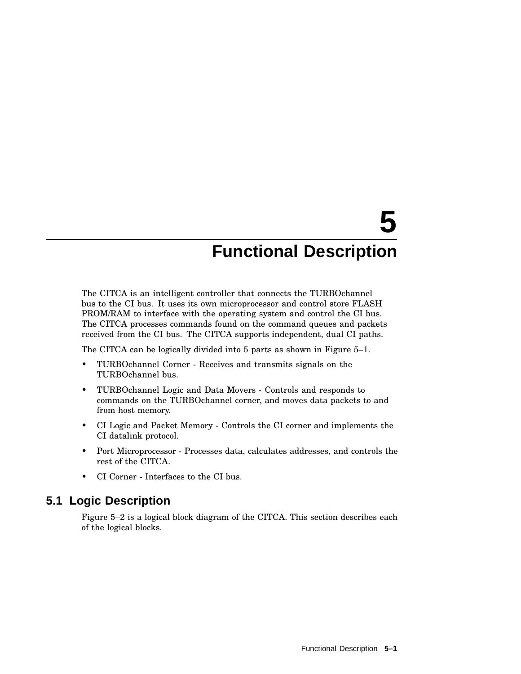# **5 Functional Description**

The CITCA is an intelligent controller that connects the TURBOchannel bus to the CI bus. It uses its own microprocessor and control store FLASH PROM/RAM to interface with the operating system and control the CI bus. The CITCA processes commands found on the command queues and packets received from the CI bus. The CITCA supports independent, dual CI paths.

The CITCA can be logically divided into 5 parts as shown in Figure 5–1.

- TURBOchannel Corner Receives and transmits signals on the TURBOchannel bus.
- TURBOchannel Logic and Data Movers Controls and responds to commands on the TURBOchannel corner, and moves data packets to and from host memory.
- CI Logic and Packet Memory Controls the CI corner and implements the CI datalink protocol.
- Port Microprocessor Processes data, calculates addresses, and controls the rest of the CITCA.
- CI Corner Interfaces to the CI bus.

# **5.1 Logic Description**

Figure 5–2 is a logical block diagram of the CITCA. This section describes each of the logical blocks.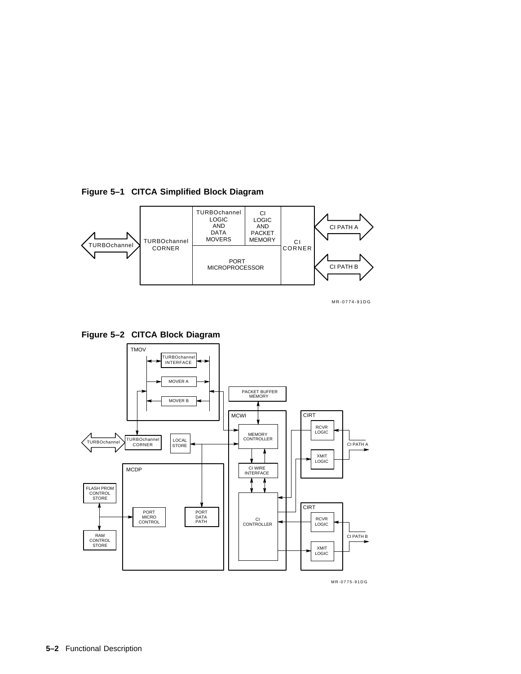

**Figure 5–1 CITCA Simplified Block Diagram**





**Figure 5–2 CITCA Block Diagram**

MR-0775-91DG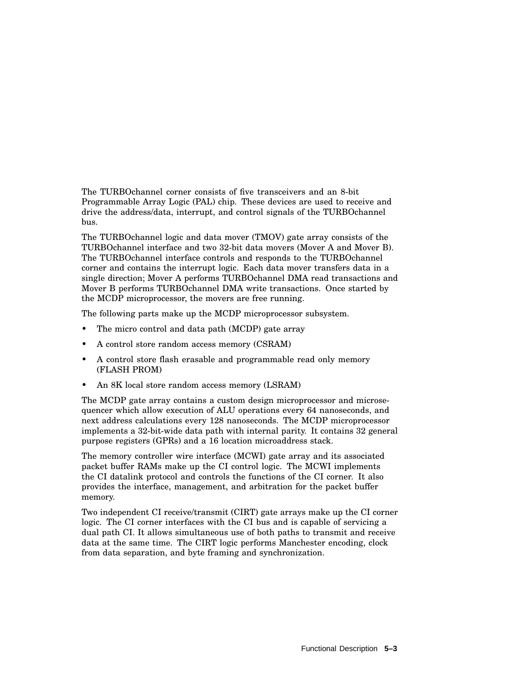The TURBOchannel corner consists of five transceivers and an 8-bit Programmable Array Logic (PAL) chip. These devices are used to receive and drive the address/data, interrupt, and control signals of the TURBOchannel bus.

The TURBOchannel logic and data mover (TMOV) gate array consists of the TURBOchannel interface and two 32-bit data movers (Mover A and Mover B). The TURBOchannel interface controls and responds to the TURBOchannel corner and contains the interrupt logic. Each data mover transfers data in a single direction; Mover A performs TURBOchannel DMA read transactions and Mover B performs TURBOchannel DMA write transactions. Once started by the MCDP microprocessor, the movers are free running.

The following parts make up the MCDP microprocessor subsystem.

- The micro control and data path (MCDP) gate array
- A control store random access memory (CSRAM)
- A control store flash erasable and programmable read only memory (FLASH PROM)
- An 8K local store random access memory (LSRAM)

The MCDP gate array contains a custom design microprocessor and microsequencer which allow execution of ALU operations every 64 nanoseconds, and next address calculations every 128 nanoseconds. The MCDP microprocessor implements a 32-bit-wide data path with internal parity. It contains 32 general purpose registers (GPRs) and a 16 location microaddress stack.

The memory controller wire interface (MCWI) gate array and its associated packet buffer RAMs make up the CI control logic. The MCWI implements the CI datalink protocol and controls the functions of the CI corner. It also provides the interface, management, and arbitration for the packet buffer memory.

Two independent CI receive/transmit (CIRT) gate arrays make up the CI corner logic. The CI corner interfaces with the CI bus and is capable of servicing a dual path CI. It allows simultaneous use of both paths to transmit and receive data at the same time. The CIRT logic performs Manchester encoding, clock from data separation, and byte framing and synchronization.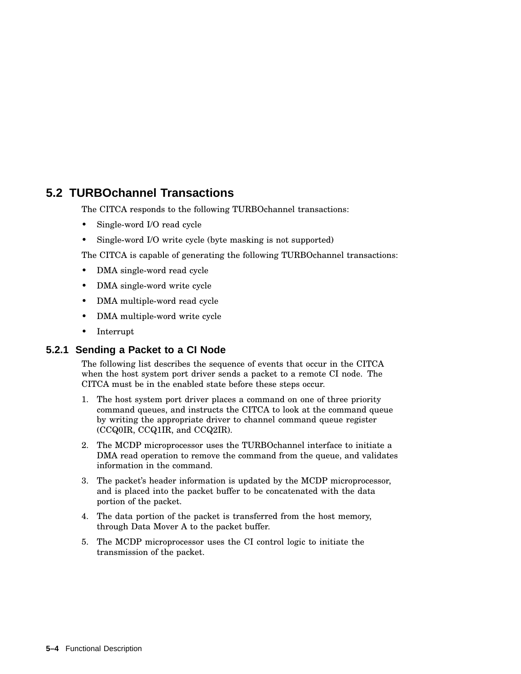# **5.2 TURBOchannel Transactions**

The CITCA responds to the following TURBOchannel transactions:

- Single-word I/O read cycle
- Single-word I/O write cycle (byte masking is not supported)

The CITCA is capable of generating the following TURBOchannel transactions:

- DMA single-word read cycle
- DMA single-word write cycle
- DMA multiple-word read cycle
- DMA multiple-word write cycle
- Interrupt

## **5.2.1 Sending a Packet to a CI Node**

The following list describes the sequence of events that occur in the CITCA when the host system port driver sends a packet to a remote CI node. The CITCA must be in the enabled state before these steps occur.

- 1. The host system port driver places a command on one of three priority command queues, and instructs the CITCA to look at the command queue by writing the appropriate driver to channel command queue register (CCQ0IR, CCQ1IR, and CCQ2IR).
- 2. The MCDP microprocessor uses the TURBOchannel interface to initiate a DMA read operation to remove the command from the queue, and validates information in the command.
- 3. The packet's header information is updated by the MCDP microprocessor, and is placed into the packet buffer to be concatenated with the data portion of the packet.
- 4. The data portion of the packet is transferred from the host memory, through Data Mover A to the packet buffer.
- 5. The MCDP microprocessor uses the CI control logic to initiate the transmission of the packet.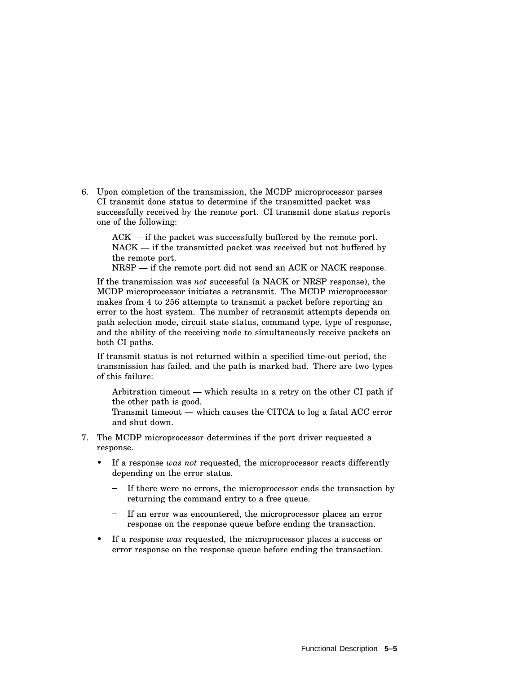6. Upon completion of the transmission, the MCDP microprocessor parses CI transmit done status to determine if the transmitted packet was successfully received by the remote port. CI transmit done status reports one of the following:

ACK — if the packet was successfully buffered by the remote port. NACK — if the transmitted packet was received but not buffered by the remote port.

NRSP — if the remote port did not send an ACK or NACK response.

If the transmission was *not* successful (a NACK or NRSP response), the MCDP microprocessor initiates a retransmit. The MCDP microprocessor makes from 4 to 256 attempts to transmit a packet before reporting an error to the host system. The number of retransmit attempts depends on path selection mode, circuit state status, command type, type of response, and the ability of the receiving node to simultaneously receive packets on both CI paths.

If transmit status is not returned within a specified time-out period, the transmission has failed, and the path is marked bad. There are two types of this failure:

Arbitration timeout — which results in a retry on the other CI path if the other path is good.

Transmit timeout — which causes the CITCA to log a fatal ACC error and shut down.

- 7. The MCDP microprocessor determines if the port driver requested a response.
	- If a response *was not* requested, the microprocessor reacts differently depending on the error status.
		- If there were no errors, the microprocessor ends the transaction by returning the command entry to a free queue.
		- If an error was encountered, the microprocessor places an error response on the response queue before ending the transaction.
	- If a response *was* requested, the microprocessor places a success or error response on the response queue before ending the transaction.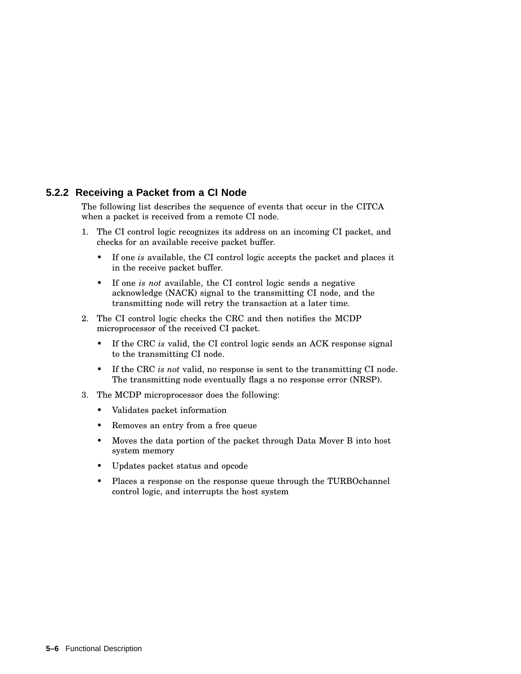# **5.2.2 Receiving a Packet from a CI Node**

The following list describes the sequence of events that occur in the CITCA when a packet is received from a remote CI node.

- 1. The CI control logic recognizes its address on an incoming CI packet, and checks for an available receive packet buffer.
	- If one *is* available, the CI control logic accepts the packet and places it in the receive packet buffer.
	- If one *is not* available, the CI control logic sends a negative acknowledge (NACK) signal to the transmitting CI node, and the transmitting node will retry the transaction at a later time.
- 2. The CI control logic checks the CRC and then notifies the MCDP microprocessor of the received CI packet.
	- If the CRC *is* valid, the CI control logic sends an ACK response signal to the transmitting CI node.
	- If the CRC *is not* valid, no response is sent to the transmitting CI node. The transmitting node eventually flags a no response error (NRSP).
- 3. The MCDP microprocessor does the following:
	- Validates packet information
	- Removes an entry from a free queue
	- Moves the data portion of the packet through Data Mover B into host system memory
	- Updates packet status and opcode
	- Places a response on the response queue through the TURBOchannel control logic, and interrupts the host system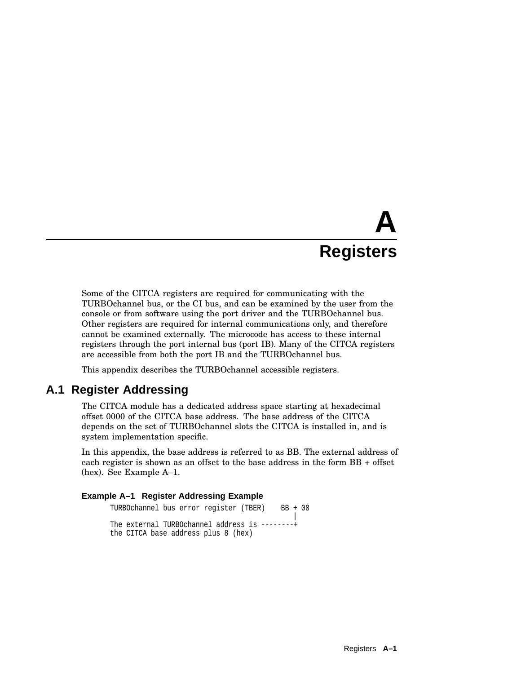# **A Registers**

Some of the CITCA registers are required for communicating with the TURBOchannel bus, or the CI bus, and can be examined by the user from the console or from software using the port driver and the TURBOchannel bus. Other registers are required for internal communications only, and therefore cannot be examined externally. The microcode has access to these internal registers through the port internal bus (port IB). Many of the CITCA registers are accessible from both the port IB and the TURBOchannel bus.

This appendix describes the TURBOchannel accessible registers.

# **A.1 Register Addressing**

The CITCA module has a dedicated address space starting at hexadecimal offset 0000 of the CITCA base address. The base address of the CITCA depends on the set of TURBOchannel slots the CITCA is installed in, and is system implementation specific.

In this appendix, the base address is referred to as BB. The external address of each register is shown as an offset to the base address in the form BB + offset (hex). See Example A–1.

#### **Example A–1 Register Addressing Example**

```
TURBOchannel bus error register (TBER) BB + 08
                                                \overline{ }The external TURBOchannel address is --------+
the CITCA base address plus 8 (hex)
```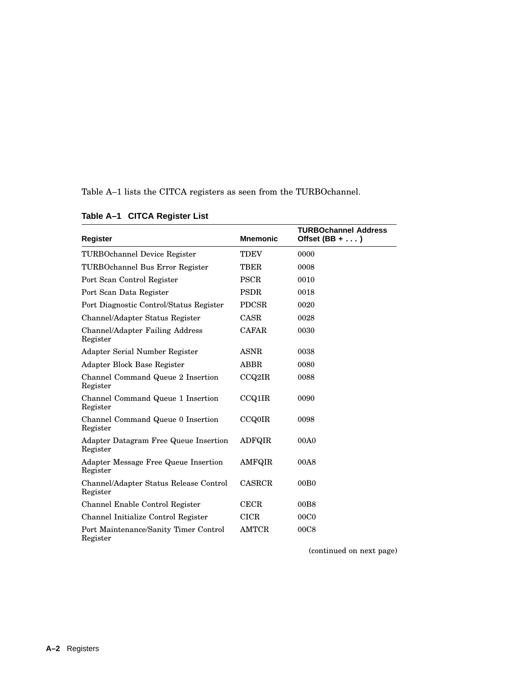Table A–1 lists the CITCA registers as seen from the TURBOchannel.

| <b>Register</b>                                    | <b>Mnemonic</b> | <b>TURBOchannel Address</b><br>Offset $(BB + \ldots)$ |
|----------------------------------------------------|-----------------|-------------------------------------------------------|
| <b>TURBOchannel Device Register</b>                | <b>TDEV</b>     | 0000                                                  |
| TURBOchannel Bus Error Register                    | TBER            | 0008                                                  |
| Port Scan Control Register                         | <b>PSCR</b>     | 0010                                                  |
| Port Scan Data Register                            | <b>PSDR</b>     | 0018                                                  |
| Port Diagnostic Control/Status Register            | <b>PDCSR</b>    | 0020                                                  |
| Channel/Adapter Status Register                    | <b>CASR</b>     | 0028                                                  |
| Channel/Adapter Failing Address<br>Register        | <b>CAFAR</b>    | 0030                                                  |
| Adapter Serial Number Register                     | <b>ASNR</b>     | 0038                                                  |
| Adapter Block Base Register                        | <b>ABBR</b>     | 0080                                                  |
| Channel Command Queue 2 Insertion<br>Register      | CCQ2IR          | 0088                                                  |
| Channel Command Queue 1 Insertion<br>Register      | <b>CCQ1IR</b>   | 0090                                                  |
| Channel Command Queue 0 Insertion<br>Register      | <b>CCQ0IR</b>   | 0098                                                  |
| Adapter Datagram Free Queue Insertion<br>Register  | <b>ADFQIR</b>   | 00A0                                                  |
| Adapter Message Free Queue Insertion<br>Register   | <b>AMFQIR</b>   | 00A8                                                  |
| Channel/Adapter Status Release Control<br>Register | <b>CASRCR</b>   | 00B <sub>0</sub>                                      |
| Channel Enable Control Register                    | CECR            | 00B8                                                  |
| Channel Initialize Control Register                | <b>CICR</b>     | 00C <sub>0</sub>                                      |
| Port Maintenance/Sanity Timer Control<br>Register  | <b>AMTCR</b>    | 00C8                                                  |

# **Table A–1 CITCA Register List**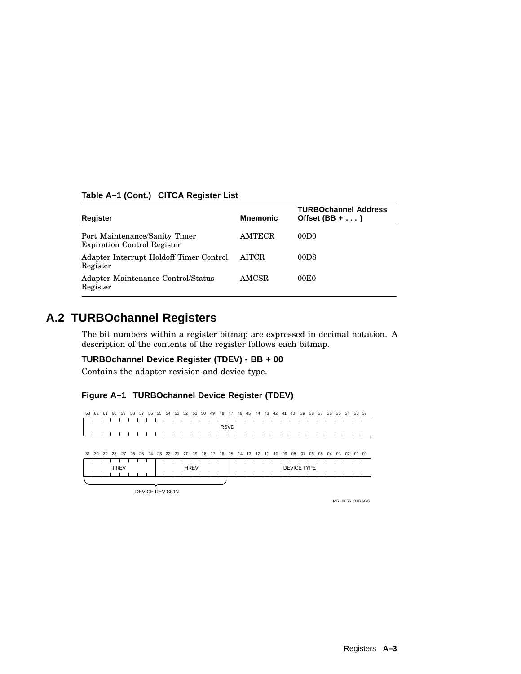| Table A-1 (Cont.) CITCA Register List |  |  |  |  |  |
|---------------------------------------|--|--|--|--|--|
|---------------------------------------|--|--|--|--|--|

| <b>Register</b>                                                     | <b>Mnemonic</b> | <b>TURBOchannel Address</b><br>Offset $(BB + \ldots)$ |
|---------------------------------------------------------------------|-----------------|-------------------------------------------------------|
| Port Maintenance/Sanity Timer<br><b>Expiration Control Register</b> | <b>AMTECR</b>   | 00D <sub>0</sub>                                      |
| Adapter Interrupt Holdoff Timer Control<br>Register                 | <b>AITCR</b>    | 00D8                                                  |
| Adapter Maintenance Control/Status<br>Register                      | AMCSR           | 00E0                                                  |

# **A.2 TURBOchannel Registers**

The bit numbers within a register bitmap are expressed in decimal notation. A description of the contents of the register follows each bitmap.

#### **TURBOchannel Device Register (TDEV) - BB + 00**

Contains the adapter revision and device type.

## **Figure A–1 TURBOchannel Device Register (TDEV)**



| $\cup$ . | ັບປ                    | $\sim$ | - 20 | $\epsilon$  | 20 D | ້ | ل 2.4 ک | - 44 - 41 | <b>LU</b> | - 15        | $\overline{\phantom{a}}$ | . | $\overline{1}$ | . . | $\overline{ }$ | . | . | ັບອ | ັບບ                | $\mathbf{u}$ | . UU | ັບປ | <b>U+</b> | ັບປ | <b>UZ</b> |  | VI VV |
|----------|------------------------|--------|------|-------------|------|---|---------|-----------|-----------|-------------|--------------------------|---|----------------|-----|----------------|---|---|-----|--------------------|--------------|------|-----|-----------|-----|-----------|--|-------|
|          |                        |        |      |             |      |   |         |           |           |             |                          |   |                |     |                |   |   |     |                    |              |      |     |           |     |           |  |       |
|          |                        |        |      | <b>FREV</b> |      |   |         |           |           | <b>HREV</b> |                          |   |                |     |                |   |   |     | <b>DEVICE TYPE</b> |              |      |     |           |     |           |  |       |
|          |                        |        |      |             |      |   |         |           |           |             |                          |   |                |     |                |   |   |     |                    |              |      |     |           |     |           |  |       |
|          |                        |        |      |             |      |   |         |           |           |             |                          |   |                |     |                |   |   |     |                    |              |      |     |           |     |           |  |       |
|          | <b>DEVICE REVISION</b> |        |      |             |      |   |         |           |           |             |                          |   |                |     |                |   |   |     |                    |              |      |     |           |     |           |  |       |

MR−0656−91RAGS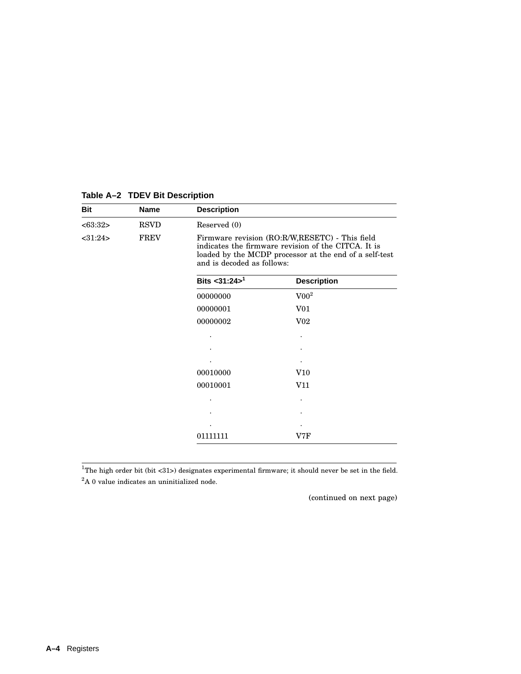| <b>Bit</b> | <b>Name</b> | <b>Description</b>         |                                                                                                                                                                 |
|------------|-------------|----------------------------|-----------------------------------------------------------------------------------------------------------------------------------------------------------------|
| <63:32>    | <b>RSVD</b> | Reserved (0)               |                                                                                                                                                                 |
| <31:24>    | <b>FREV</b> | and is decoded as follows: | Firmware revision (RO:R/W,RESETC) - This field<br>indicates the firmware revision of the CITCA. It is<br>loaded by the MCDP processor at the end of a self-test |
|            |             | Bits < $31:24>^1$          | <b>Description</b>                                                                                                                                              |
|            |             | 00000000                   | $\rm V00^2$                                                                                                                                                     |
|            |             | 00000001                   | V <sub>01</sub>                                                                                                                                                 |
|            |             | 00000002                   | V <sub>02</sub>                                                                                                                                                 |
|            |             |                            |                                                                                                                                                                 |
|            |             |                            |                                                                                                                                                                 |
|            |             |                            |                                                                                                                                                                 |
|            |             | 00010000                   | V10                                                                                                                                                             |
|            |             | 00010001                   | V11                                                                                                                                                             |
|            |             |                            |                                                                                                                                                                 |
|            |             |                            |                                                                                                                                                                 |
|            |             |                            |                                                                                                                                                                 |
|            |             | 01111111                   | V7F                                                                                                                                                             |

# **Table A–2 TDEV Bit Description**

<sup>1</sup>The high order bit (bit <31>) designates experimental firmware; it should never be set in the field.

 ${\rm ^2A}$ 0 value indicates an uninitialized node.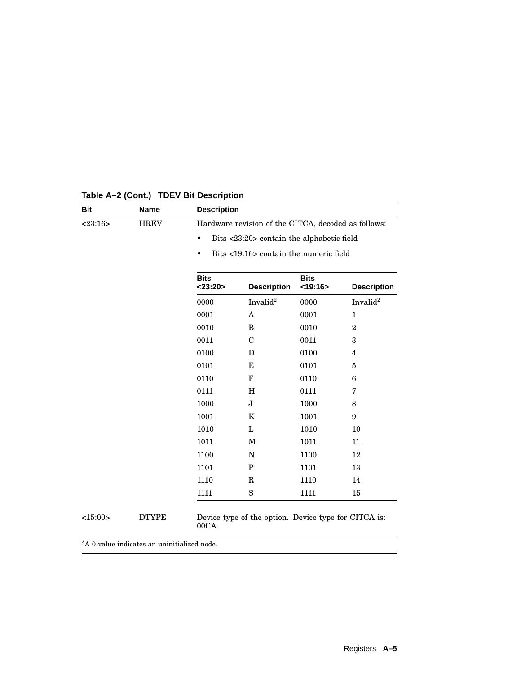| <b>Bit</b> | <b>Name</b>  | <b>Description</b>           |                                                      |                        |                      |
|------------|--------------|------------------------------|------------------------------------------------------|------------------------|----------------------|
| <23:16>    | <b>HREV</b>  |                              | Hardware revision of the CITCA, decoded as follows:  |                        |                      |
|            |              | $\bullet$                    | Bits <23:20> contain the alphabetic field            |                        |                      |
|            |              | $\bullet$                    | Bits <19:16> contain the numeric field               |                        |                      |
|            |              | <b>Bits</b><br>$<$ 23:20 $>$ | <b>Description</b>                                   | <b>Bits</b><br>< 19:16 | <b>Description</b>   |
|            |              | 0000                         | Invalid <sup>2</sup>                                 | 0000                   | Invalid <sup>2</sup> |
|            |              | 0001                         | $\mathbf{A}$                                         | 0001                   | $\mathbf{1}$         |
|            |              | 0010                         | B                                                    | 0010                   | $\overline{2}$       |
|            |              | 0011                         | $\mathbf C$                                          | 0011                   | 3                    |
|            |              | 0100                         | D                                                    | 0100                   | 4                    |
|            |              | 0101                         | Е                                                    | 0101                   | 5                    |
|            |              | 0110                         | $\mathbf F$                                          | 0110                   | 6                    |
|            |              | 0111                         | H                                                    | 0111                   | 7                    |
|            |              | 1000                         | J                                                    | 1000                   | 8                    |
|            |              | 1001                         | $\bf K$                                              | 1001                   | 9                    |
|            |              | 1010                         | L                                                    | 1010                   | 10                   |
|            |              | 1011                         | M                                                    | 1011                   | 11                   |
|            |              | 1100                         | N                                                    | 1100                   | 12                   |
|            |              | 1101                         | P                                                    | 1101                   | 13                   |
|            |              | 1110                         | $\mathbf R$                                          | 1110                   | 14                   |
|            |              | 1111                         | S                                                    | 1111                   | 15                   |
| <15:00>    | <b>DTYPE</b> | 00CA.                        | Device type of the option. Device type for CITCA is: |                        |                      |

# **Table A–2 (Cont.) TDEV Bit Description**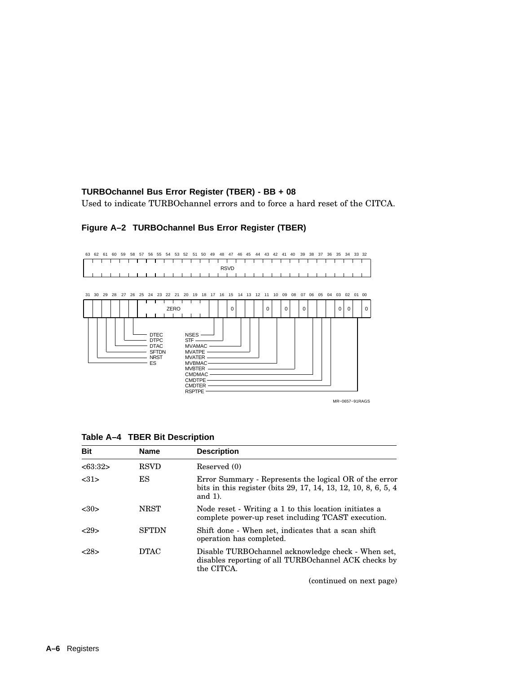## **TURBOchannel Bus Error Register (TBER) - BB + 08**

Used to indicate TURBOchannel errors and to force a hard reset of the CITCA.



## **Figure A–2 TURBOchannel Bus Error Register (TBER)**

|  |  |  | Table A-4 TBER Bit Description |  |
|--|--|--|--------------------------------|--|
|--|--|--|--------------------------------|--|

| <b>Bit</b> | <b>Name</b>  | <b>Description</b>                                                                                                                     |
|------------|--------------|----------------------------------------------------------------------------------------------------------------------------------------|
| <63:32>    | <b>RSVD</b>  | Reserved (0)                                                                                                                           |
| <31>       | ES           | Error Summary - Represents the logical OR of the error<br>bits in this register (bits 29, 17, 14, 13, 12, 10, 8, 6, 5, 4<br>and $1$ ). |
| < 30       | <b>NRST</b>  | Node reset - Writing a 1 to this location initiates a<br>complete power-up reset including TCAST execution.                            |
| <29>       | <b>SFTDN</b> | Shift done - When set, indicates that a scan shift<br>operation has completed.                                                         |
| <28>       | <b>DTAC</b>  | Disable TURBOchannel acknowledge check - When set,<br>disables reporting of all TURBOchannel ACK checks by<br>the CITCA.               |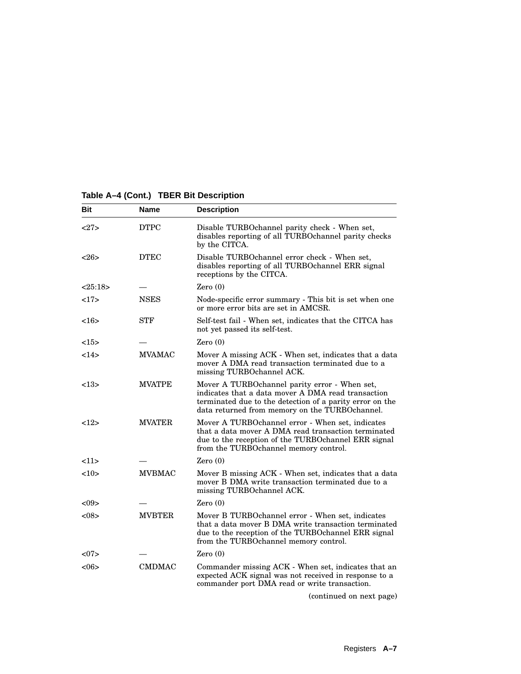# **Table A–4 (Cont.) TBER Bit Description**

| Bit     | Name          | <b>Description</b>                                                                                                                                                                                                |
|---------|---------------|-------------------------------------------------------------------------------------------------------------------------------------------------------------------------------------------------------------------|
| <27>    | <b>DTPC</b>   | Disable TURBOchannel parity check - When set,<br>disables reporting of all TURBOchannel parity checks<br>by the CITCA.                                                                                            |
| <26     | <b>DTEC</b>   | Disable TURBOchannel error check - When set,<br>disables reporting of all TURBOchannel ERR signal<br>receptions by the CITCA.                                                                                     |
| <25:18> |               | Zero(0)                                                                                                                                                                                                           |
| 17      | <b>NSES</b>   | Node-specific error summary - This bit is set when one<br>or more error bits are set in AMCSR.                                                                                                                    |
| $<$ 16> | STF           | Self-test fail - When set, indicates that the CITCA has<br>not yet passed its self-test.                                                                                                                          |
| <15>    |               | Zero(0)                                                                                                                                                                                                           |
| 14>     | <b>MVAMAC</b> | Mover A missing ACK - When set, indicates that a data<br>mover A DMA read transaction terminated due to a<br>missing TURBOchannel ACK.                                                                            |
| <13>    | <b>MVATPE</b> | Mover A TURBOchannel parity error - When set,<br>indicates that a data mover A DMA read transaction<br>terminated due to the detection of a parity error on the<br>data returned from memory on the TURBOchannel. |
| <12>    | <b>MVATER</b> | Mover A TURBOchannel error - When set, indicates<br>that a data mover A DMA read transaction terminated<br>due to the reception of the TURBO channel ERR signal<br>from the TURBOchannel memory control.          |
| <11>    |               | Zero(0)                                                                                                                                                                                                           |
| <10>    | <b>MVBMAC</b> | Mover B missing ACK - When set, indicates that a data<br>mover B DMA write transaction terminated due to a<br>missing TURBOchannel ACK.                                                                           |
| < 09    |               | Zero $(0)$                                                                                                                                                                                                        |
| < 08    | <b>MVBTER</b> | Mover B TURBOchannel error - When set, indicates<br>that a data mover B DMA write transaction terminated<br>due to the reception of the TURBOchannel ERR signal<br>from the TURBOchannel memory control.          |
| <07     |               | Zero $(0)$                                                                                                                                                                                                        |
| <06     | <b>CMDMAC</b> | Commander missing ACK - When set, indicates that an<br>expected ACK signal was not received in response to a<br>commander port DMA read or write transaction.                                                     |
|         |               | (continued on next page)                                                                                                                                                                                          |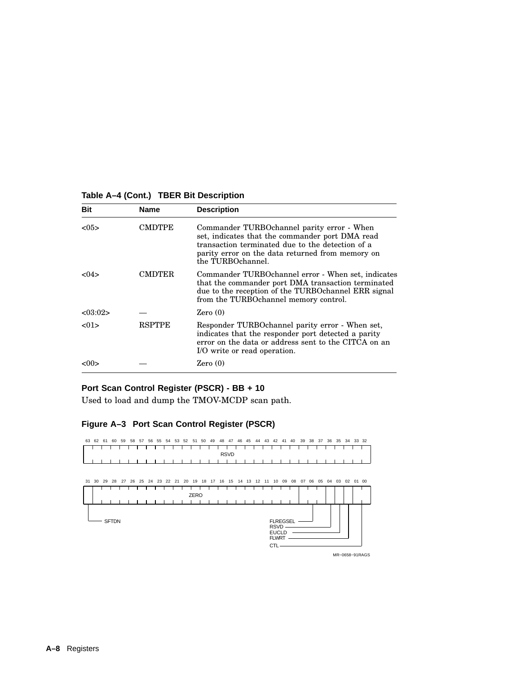#### **Table A–4 (Cont.) TBER Bit Description**

| <b>Bit</b> | <b>Name</b>   | <b>Description</b>                                                                                                                                                                                                         |
|------------|---------------|----------------------------------------------------------------------------------------------------------------------------------------------------------------------------------------------------------------------------|
| < 0.5      | CMDTPE        | Commander TURBOchannel parity error - When<br>set, indicates that the commander port DMA read<br>transaction terminated due to the detection of a<br>parity error on the data returned from memory on<br>the TURBOchannel. |
| < 04       | CMDTER        | Commander TURBOchannel error - When set, indicates<br>that the commander port DMA transaction terminated<br>due to the reception of the TURBO channel ERR signal<br>from the TURBOchannel memory control.                  |
| < 0.3:02 > |               | Zero(0)                                                                                                                                                                                                                    |
| < 01       | <b>RSPTPE</b> | Responder TURBOchannel parity error - When set,<br>indicates that the responder port detected a parity<br>error on the data or address sent to the CITCA on an<br>I/O write or read operation.                             |
| <00>       |               | Zero(0)                                                                                                                                                                                                                    |

# **Port Scan Control Register (PSCR) - BB + 10**

Used to load and dump the TMOV-MCDP scan path.

#### **Figure A–3 Port Scan Control Register (PSCR)**



MR−0658−91RAGS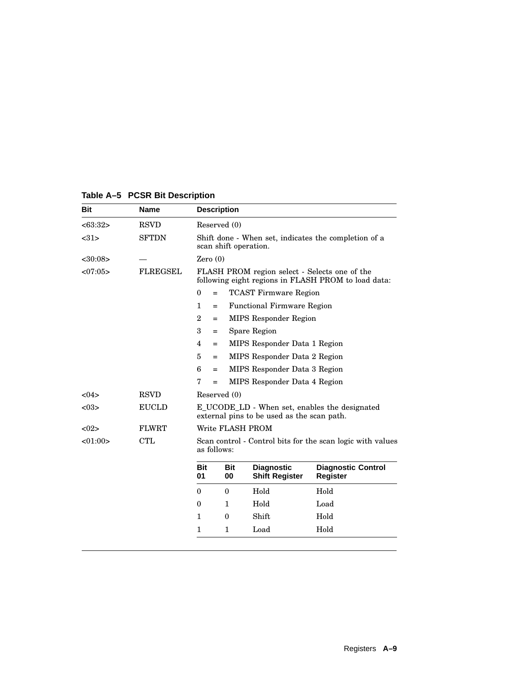| <b>Bit</b> | <b>Name</b>     |                  | <b>Description</b>    |                                               |                                                            |
|------------|-----------------|------------------|-----------------------|-----------------------------------------------|------------------------------------------------------------|
| <63:32>    | <b>RSVD</b>     |                  | Reserved (0)          |                                               |                                                            |
| <31>       | <b>SFTDN</b>    |                  | scan shift operation. |                                               | Shift done - When set, indicates the completion of a       |
| <30:08>    |                 | Zero $(0)$       |                       |                                               |                                                            |
| <07:05>    | <b>FLREGSEL</b> |                  |                       | FLASH PROM region select - Selects one of the | following eight regions in FLASH PROM to load data:        |
|            |                 | $\boldsymbol{0}$ | $=$                   | <b>TCAST Firmware Region</b>                  |                                                            |
|            |                 | $\mathbf{1}$     | $=$                   | <b>Functional Firmware Region</b>             |                                                            |
|            |                 | $\overline{2}$   | $=$                   | <b>MIPS</b> Responder Region                  |                                                            |
|            |                 | 3                | $=$                   | Spare Region                                  |                                                            |
|            |                 | $\overline{4}$   | $=$                   | MIPS Responder Data 1 Region                  |                                                            |
|            |                 | 5                | $=$                   | MIPS Responder Data 2 Region                  |                                                            |
|            |                 | 6                | $=$                   | MIPS Responder Data 3 Region                  |                                                            |
|            |                 | 7                | $=$                   | MIPS Responder Data 4 Region                  |                                                            |
| <04>       | <b>RSVD</b>     |                  | Reserved (0)          |                                               |                                                            |
| < 03       | <b>EUCLD</b>    |                  |                       | external pins to be used as the scan path.    | E_UCODE_LD - When set, enables the designated              |
| < 02       | <b>FLWRT</b>    |                  |                       | Write FLASH PROM                              |                                                            |
| <01:00>    | <b>CTL</b>      |                  | as follows:           |                                               | Scan control - Control bits for the scan logic with values |
|            |                 | <b>Bit</b><br>01 | Bit<br>00             | <b>Diagnostic</b><br><b>Shift Register</b>    | <b>Diagnostic Control</b><br><b>Register</b>               |
|            |                 | $\theta$         | $\theta$              | Hold                                          | Hold                                                       |
|            |                 | $\mathbf{0}$     | 1                     | Hold                                          | Load                                                       |
|            |                 | 1                | $\bf{0}$              | Shift                                         | Hold                                                       |
|            |                 | $\mathbf{1}$     | $\mathbf{1}$          | Load                                          | Hold                                                       |

# **Table A–5 PCSR Bit Description**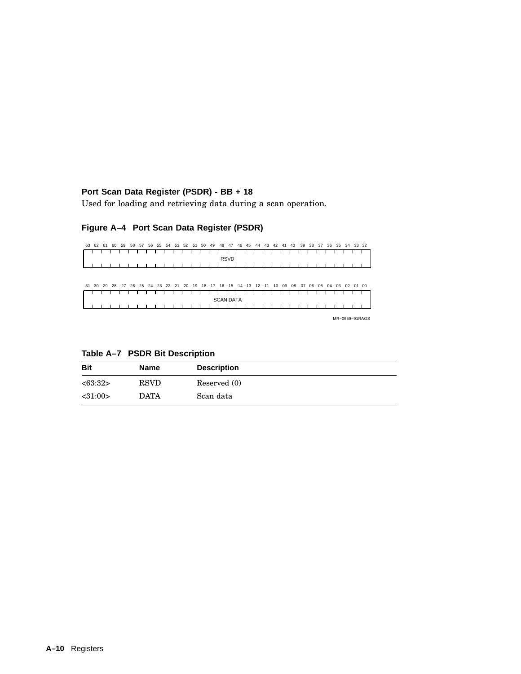## **Port Scan Data Register (PSDR) - BB + 18**

Used for loading and retrieving data during a scan operation.

## **Figure A–4 Port Scan Data Register (PSDR)**



MR−0659−91RAGS

**Table A–7 PSDR Bit Description**

| <b>Bit</b>    | Name        | <b>Description</b> |
|---------------|-------------|--------------------|
| <63:32>       | <b>RSVD</b> | Reserved (0)       |
| $<$ 31:00 $>$ | <b>DATA</b> | Scan data          |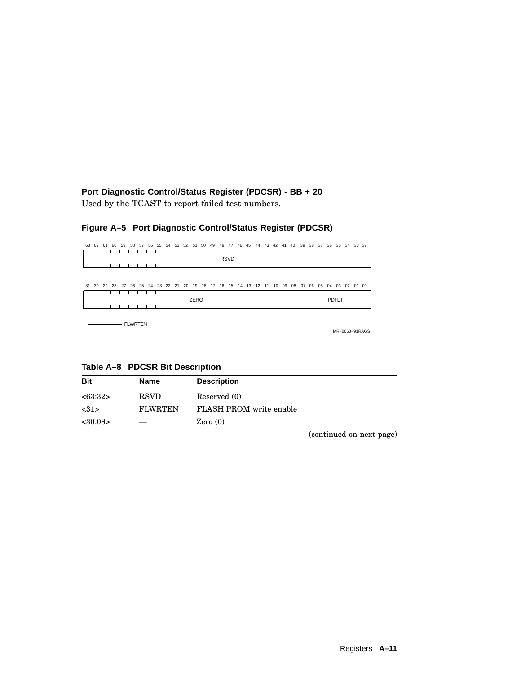**Port Diagnostic Control/Status Register (PDCSR) - BB + 20** Used by the TCAST to report failed test numbers.

# **Figure A–5 Port Diagnostic Control/Status Register (PDCSR)**

|  |  |  |  |  |  |  |  |             |  | 63 62 61 60 59 58 57 56 55 54 53 52 51 50 49 48 47 46 45 44 43 42 41 40 39 38 37 36 35 34 33 32 |  |  |  |  |  |  |
|--|--|--|--|--|--|--|--|-------------|--|-------------------------------------------------------------------------------------------------|--|--|--|--|--|--|
|  |  |  |  |  |  |  |  | <b>RSVD</b> |  |                                                                                                 |  |  |  |  |  |  |
|  |  |  |  |  |  |  |  |             |  | .                                                                                               |  |  |  |  |  |  |
|  |  |  |  |  |  |  |  |             |  |                                                                                                 |  |  |  |  |  |  |

| 31 30 |  |                |  |  |  |      |  | 29 28 27 26 25 24 23 22 21 20 19 18 17 16 15 14 13 12 11 10 09 08 |  |  |  |  |  | 07 06 05 04 | 03 02 01 00  |  |                |
|-------|--|----------------|--|--|--|------|--|-------------------------------------------------------------------|--|--|--|--|--|-------------|--------------|--|----------------|
|       |  |                |  |  |  |      |  |                                                                   |  |  |  |  |  |             |              |  |                |
|       |  |                |  |  |  | ZERO |  |                                                                   |  |  |  |  |  |             | <b>PDFLT</b> |  |                |
|       |  |                |  |  |  |      |  |                                                                   |  |  |  |  |  |             |              |  |                |
|       |  |                |  |  |  |      |  |                                                                   |  |  |  |  |  |             |              |  |                |
|       |  |                |  |  |  |      |  |                                                                   |  |  |  |  |  |             |              |  |                |
|       |  | <b>FLWRTEN</b> |  |  |  |      |  |                                                                   |  |  |  |  |  |             |              |  |                |
|       |  |                |  |  |  |      |  |                                                                   |  |  |  |  |  |             |              |  | MR-0660-91RAGS |

**Table A–8 PDCSR Bit Description**

| <b>Bit</b> | <b>Name</b>    | <b>Description</b>             |
|------------|----------------|--------------------------------|
| <63:32>    | <b>RSVD</b>    | Reserved (0)                   |
| <31>       | <b>FLWRTEN</b> | <b>FLASH PROM</b> write enable |
| <30:08>    |                | Zero $(0)$                     |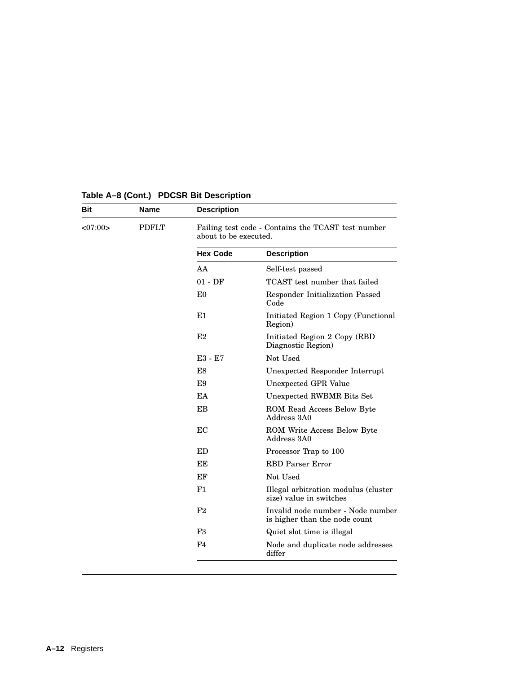| Bit     | <b>Name</b>  | <b>Description</b>    |                                                                    |
|---------|--------------|-----------------------|--------------------------------------------------------------------|
| <07:00> | <b>PDFLT</b> | about to be executed. | Failing test code - Contains the TCAST test number                 |
|         |              | <b>Hex Code</b>       | <b>Description</b>                                                 |
|         |              | AA                    | Self-test passed                                                   |
|         |              | $01 - DF$             | TCAST test number that failed                                      |
|         |              | E <sub>0</sub>        | Responder Initialization Passed<br>Code                            |
|         |              | E1                    | Initiated Region 1 Copy (Functional<br>Region)                     |
|         |              | E2                    | Initiated Region 2 Copy (RBD)<br>Diagnostic Region)                |
|         |              | E3 - E7               | Not Used                                                           |
|         |              | E8                    | Unexpected Responder Interrupt                                     |
|         |              | E9                    | Unexpected GPR Value                                               |
|         |              | EA                    | Unexpected RWBMR Bits Set                                          |
|         |              | EB                    | ROM Read Access Below Byte<br>Address 3A0                          |
|         |              | EC                    | ROM Write Access Below Byte<br>Address 3A0                         |
|         |              | <b>ED</b>             | Processor Trap to 100                                              |
|         |              | EE                    | <b>RBD</b> Parser Error                                            |
|         |              | EF                    | Not Used                                                           |
|         |              | F1                    | Illegal arbitration modulus (cluster<br>size) value in switches    |
|         |              | F2                    | Invalid node number - Node number<br>is higher than the node count |
|         |              | F <sub>3</sub>        | Quiet slot time is illegal                                         |
|         |              | F4                    | Node and duplicate node addresses<br>differ                        |

# **Table A–8 (Cont.) PDCSR Bit Description**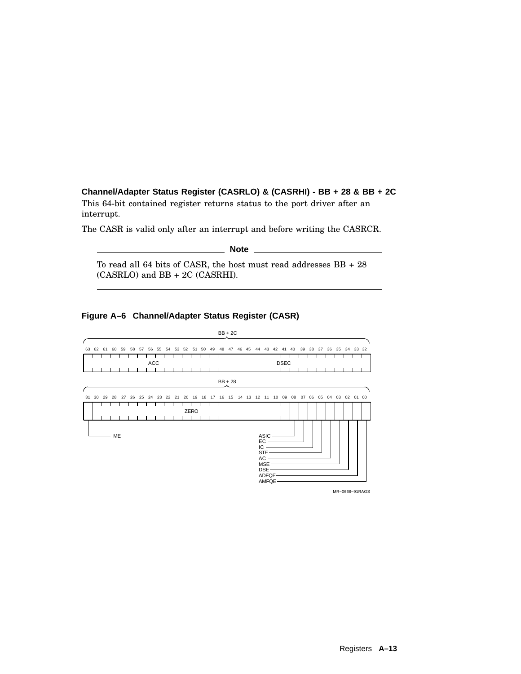## **Channel/Adapter Status Register (CASRLO) & (CASRHI) - BB + 28 & BB + 2C**

This 64-bit contained register returns status to the port driver after an interrupt.

The CASR is valid only after an interrupt and before writing the CASRCR.

**Note**

To read all 64 bits of CASR, the host must read addresses BB + 28 (CASRLO) and BB + 2C (CASRHI).



#### **Figure A–6 Channel/Adapter Status Register (CASR)**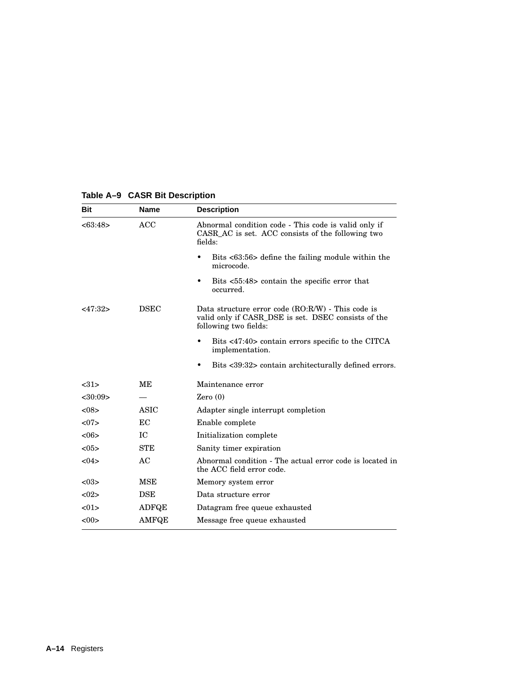| <b>Bit</b> | <b>Name</b>  | <b>Description</b>                                                                                                                  |
|------------|--------------|-------------------------------------------------------------------------------------------------------------------------------------|
| <63:48>    | ACC          | Abnormal condition code - This code is valid only if<br>CASR_AC is set. ACC consists of the following two<br>fields:                |
|            |              | Bits <63:56> define the failing module within the<br>microcode.                                                                     |
|            |              | Bits <55:48> contain the specific error that<br>٠<br>occurred.                                                                      |
| <47:32>    | <b>DSEC</b>  | Data structure error code $(RO:R/W)$ - This code is<br>valid only if CASR_DSE is set. DSEC consists of the<br>following two fields: |
|            |              | Bits <47:40> contain errors specific to the CITCA<br>٠<br>implementation.                                                           |
|            |              | Bits <39:32> contain architecturally defined errors.<br>٠                                                                           |
| <31>       | MЕ           | Maintenance error                                                                                                                   |
| < 30:09    |              | Zero $(0)$                                                                                                                          |
| < 08       | <b>ASIC</b>  | Adapter single interrupt completion                                                                                                 |
| <07        | EC           | Enable complete                                                                                                                     |
| <06>       | IС           | Initialization complete                                                                                                             |
| <05>       | <b>STE</b>   | Sanity timer expiration                                                                                                             |
| < 04       | AC           | Abnormal condition - The actual error code is located in<br>the ACC field error code.                                               |
| < 03       | MSE          | Memory system error                                                                                                                 |
| <02>       | <b>DSE</b>   | Data structure error                                                                                                                |
| < 01       | <b>ADFQE</b> | Datagram free queue exhausted                                                                                                       |
| <00>       | <b>AMFQE</b> | Message free queue exhausted                                                                                                        |

# **Table A–9 CASR Bit Description**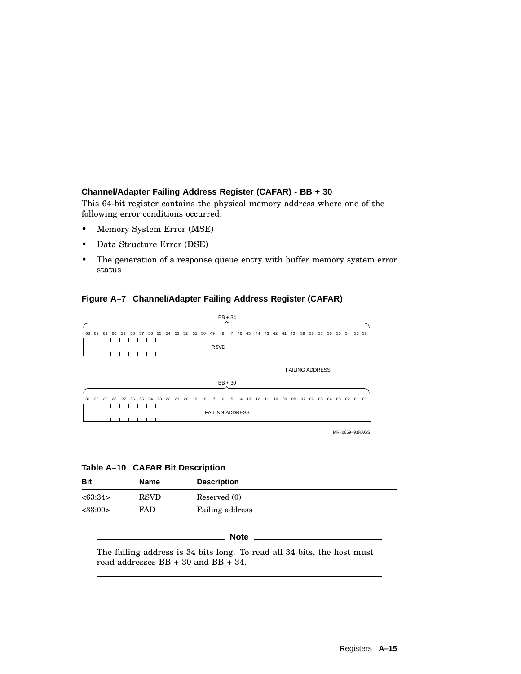## **Channel/Adapter Failing Address Register (CAFAR) - BB + 30**

This 64-bit register contains the physical memory address where one of the following error conditions occurred:

- Memory System Error (MSE)
- Data Structure Error (DSE)
- The generation of a response queue entry with buffer memory system error status

#### **Figure A–7 Channel/Adapter Failing Address Register (CAFAR)**



MR−0669−91RAGS

**Table A–10 CAFAR Bit Description**

| <b>Bit</b>    | Name        | <b>Description</b> |
|---------------|-------------|--------------------|
| <63:34>       | <b>RSVD</b> | Reserved (0)       |
| $<$ 33:00 $>$ | FAD         | Failing address    |

**Note**

The failing address is 34 bits long. To read all 34 bits, the host must read addresses BB + 30 and BB + 34.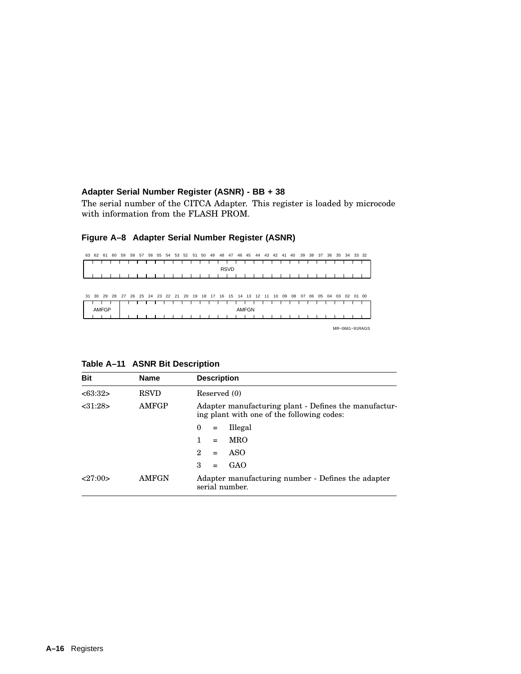# **Adapter Serial Number Register (ASNR) - BB + 38**

The serial number of the CITCA Adapter. This register is loaded by microcode with information from the FLASH PROM.

| 39 38 37 36 35 34 33 32 |    |       |       | 44 43 42 41 40 |  |  | 46 45        | 48 47       |  |  | 58 57 56 55 54 53 52 51 50 49 |  |  |                                                                      | 61 60 59     | 62 | 63 |
|-------------------------|----|-------|-------|----------------|--|--|--------------|-------------|--|--|-------------------------------|--|--|----------------------------------------------------------------------|--------------|----|----|
|                         |    |       |       |                |  |  |              | <b>RSVD</b> |  |  |                               |  |  |                                                                      |              |    |    |
|                         |    |       |       |                |  |  |              |             |  |  |                               |  |  |                                                                      |              |    |    |
|                         |    |       |       |                |  |  |              |             |  |  |                               |  |  |                                                                      |              |    |    |
|                         |    |       |       |                |  |  |              |             |  |  |                               |  |  |                                                                      |              |    |    |
| 01 00                   | 02 | 04 03 | 06 05 | 08 07          |  |  |              |             |  |  |                               |  |  | 31 30 29 28 27 26 25 24 23 22 21 20 19 18 17 16 15 14 13 12 11 10 09 |              |    |    |
|                         |    |       |       |                |  |  |              |             |  |  |                               |  |  |                                                                      |              |    |    |
|                         |    |       |       |                |  |  | <b>AMFGN</b> |             |  |  |                               |  |  |                                                                      | <b>AMFGP</b> |    |    |
|                         |    |       |       |                |  |  |              |             |  |  |                               |  |  |                                                                      |              |    |    |

# **Figure A–8 Adapter Serial Number Register (ASNR)**

| <b>Bit</b> | <b>Name</b>  | <b>Description</b>                                                                                  |
|------------|--------------|-----------------------------------------------------------------------------------------------------|
| <63:32>    | <b>RSVD</b>  | Reserved (0)                                                                                        |
| < 31:28>   | <b>AMFGP</b> | Adapter manufacturing plant - Defines the manufactur-<br>ing plant with one of the following codes: |
|            |              | Illegal<br>$\theta$<br>$=$                                                                          |
|            |              | <b>MRO</b><br>1.<br>$=$                                                                             |
|            |              | ASO<br>2<br>$=$                                                                                     |
|            |              | 3<br>GAO<br>$=$                                                                                     |
| 27:00>     | AMFGN        | Adapter manufacturing number - Defines the adapter<br>serial number.                                |

# **Table A–11 ASNR Bit Description**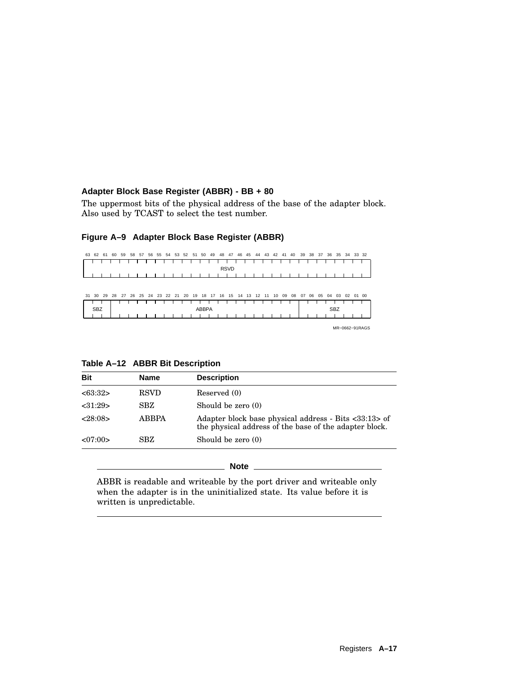## **Adapter Block Base Register (ABBR) - BB + 80**

The uppermost bits of the physical address of the base of the adapter block. Also used by TCAST to select the test number.



#### **Figure A–9 Adapter Block Base Register (ABBR)**

#### **Table A–12 ABBR Bit Description**

| <b>Bit</b> | <b>Name</b>  | <b>Description</b>                                                                                              |
|------------|--------------|-----------------------------------------------------------------------------------------------------------------|
| <63:32>    | <b>RSVD</b>  | Reserved (0)                                                                                                    |
| < 31:29    | <b>SBZ</b>   | Should be zero (0)                                                                                              |
| <28:08>    | <b>ABBPA</b> | Adapter block base physical address - Bits <33:13> of<br>the physical address of the base of the adapter block. |
| <07:00>    | SBZ.         | Should be zero (0)                                                                                              |

#### **Note**

ABBR is readable and writeable by the port driver and writeable only when the adapter is in the uninitialized state. Its value before it is written is unpredictable.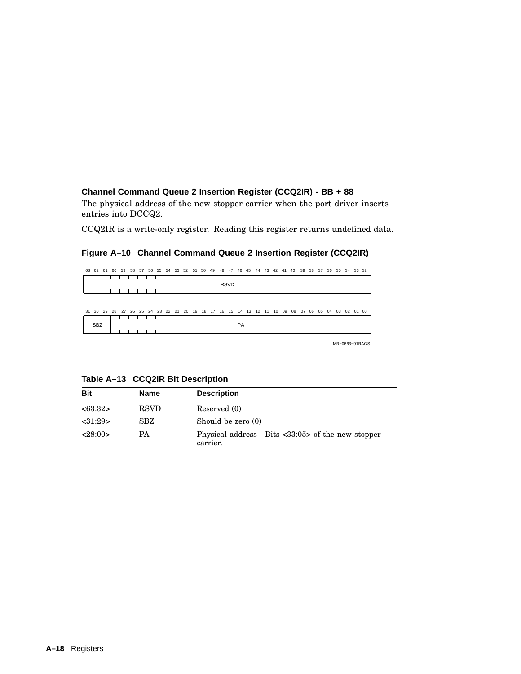#### **Channel Command Queue 2 Insertion Register (CCQ2IR) - BB + 88**

The physical address of the new stopper carrier when the port driver inserts entries into DCCQ2.

CCQ2IR is a write-only register. Reading this register returns undefined data.

### **Figure A–10 Channel Command Queue 2 Insertion Register (CCQ2IR)**

| 63 | 62         | 61 | 60 | 59 | 58          | 57 | 56 | 55 | 54    | 53 | 52    | 51 | 50 | 49 | 48 | 47          | 46        | 45 | 44    | 43 | 42 | 41 | 40 | 39 | 38 | 37 | 36 | 35 | 34 |       | 33 32          |
|----|------------|----|----|----|-------------|----|----|----|-------|----|-------|----|----|----|----|-------------|-----------|----|-------|----|----|----|----|----|----|----|----|----|----|-------|----------------|
|    |            |    |    |    |             |    |    |    |       |    |       |    |    |    |    | <b>RSVD</b> |           |    |       |    |    |    |    |    |    |    |    |    |    |       |                |
|    |            |    |    |    |             |    |    |    |       |    |       |    |    |    |    |             |           |    |       |    |    |    |    |    |    |    |    |    |    |       |                |
| 31 | 30         | 29 | 28 | 27 | 26 25 24 23 |    |    |    | 22 21 |    | 20 19 |    | 18 | 17 | 16 | 15          | 14        | 13 | 12 11 |    | 10 | 09 | 08 | 07 | 06 | 05 | 04 | 03 | 02 | 01 00 |                |
|    | <b>SBZ</b> |    |    |    |             |    |    |    |       |    |       |    |    |    |    |             | <b>PA</b> |    |       |    |    |    |    |    |    |    |    |    |    |       |                |
|    |            |    |    |    |             |    |    |    |       |    |       |    |    |    |    |             |           |    |       |    |    |    |    |    |    |    |    |    |    |       | MR-0663-91RAGS |

**Table A–13 CCQ2IR Bit Description**

| <b>Bit</b> | <b>Name</b> | <b>Description</b>                                               |
|------------|-------------|------------------------------------------------------------------|
| <63:32>    | <b>RSVD</b> | Reserved (0)                                                     |
| < 31:29    | SBZ         | Should be zero (0)                                               |
| <28:00>    | <b>PA</b>   | Physical address - Bits $<33:05>$ of the new stopper<br>carrier. |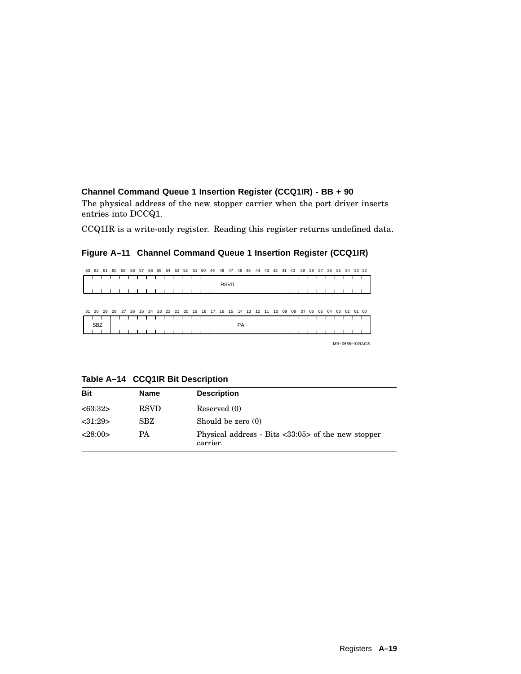## **Channel Command Queue 1 Insertion Register (CCQ1IR) - BB + 90**

The physical address of the new stopper carrier when the port driver inserts entries into DCCQ1.

CCQ1IR is a write-only register. Reading this register returns undefined data.

### **Figure A–11 Channel Command Queue 1 Insertion Register (CCQ1IR)**

| 63 | 62         | 61 | 60 | 59 | 58          | 57 | 56 | 55 | 54    | 53 | 52    | 51 | 50 | 49 | 48 | 47          | 46        | 45 | 44    | 43 | 42 | 41 | 40 | 39 | 38 | 37 | 36 | 35 | 34 |       | 33 32          |
|----|------------|----|----|----|-------------|----|----|----|-------|----|-------|----|----|----|----|-------------|-----------|----|-------|----|----|----|----|----|----|----|----|----|----|-------|----------------|
|    |            |    |    |    |             |    |    |    |       |    |       |    |    |    |    | <b>RSVD</b> |           |    |       |    |    |    |    |    |    |    |    |    |    |       |                |
|    |            |    |    |    |             |    |    |    |       |    |       |    |    |    |    |             |           |    |       |    |    |    |    |    |    |    |    |    |    |       |                |
| 31 | 30         | 29 | 28 | 27 | 26 25 24 23 |    |    |    | 22 21 |    | 20 19 |    | 18 | 17 | 16 | 15          | 14        | 13 | 12 11 |    | 10 | 09 | 08 | 07 | 06 | 05 | 04 | 03 | 02 | 01 00 |                |
|    | <b>SBZ</b> |    |    |    |             |    |    |    |       |    |       |    |    |    |    |             | <b>PA</b> |    |       |    |    |    |    |    |    |    |    |    |    |       |                |
|    |            |    |    |    |             |    |    |    |       |    |       |    |    |    |    |             |           |    |       |    |    |    |    |    |    |    |    |    |    |       | MR-0665-91RAGS |

**Table A–14 CCQ1IR Bit Description**

| <b>Bit</b> | <b>Name</b> | <b>Description</b>                                                             |
|------------|-------------|--------------------------------------------------------------------------------|
| <63:32>    | <b>RSVD</b> | Reserved (0)                                                                   |
| < 31:29    | SBZ         | Should be zero (0)                                                             |
| <28:00>    | PA          | Physical address - Bits $\langle 33:05 \rangle$ of the new stopper<br>carrier. |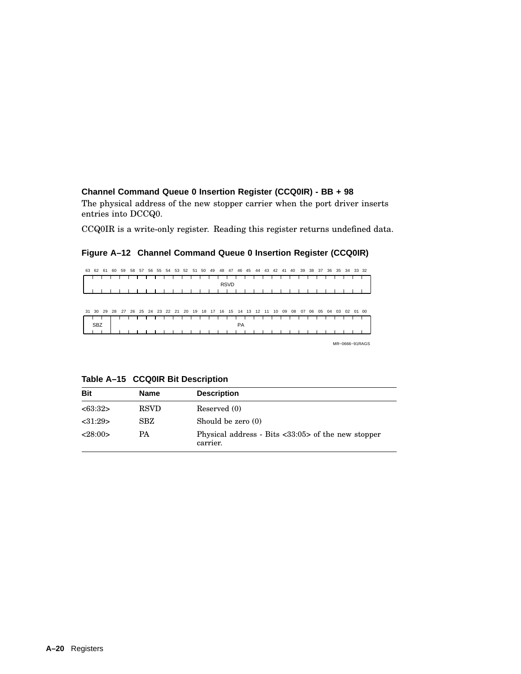#### **Channel Command Queue 0 Insertion Register (CCQ0IR) - BB + 98**

The physical address of the new stopper carrier when the port driver inserts entries into DCCQ0.

CCQ0IR is a write-only register. Reading this register returns undefined data.

### **Figure A–12 Channel Command Queue 0 Insertion Register (CCQ0IR)**

| 63 | 62         | 61 | 60 | 59 | 58          | 57 | 56 | 55 | 54    | 53 | 52    | 51 | 50 | 49 | 48 | 47          | 46        | 45 | 44    | 43 | 42 | 41 | 40 | 39 | 38 | 37 | 36 | 35 | 34 |       | 33 32          |
|----|------------|----|----|----|-------------|----|----|----|-------|----|-------|----|----|----|----|-------------|-----------|----|-------|----|----|----|----|----|----|----|----|----|----|-------|----------------|
|    |            |    |    |    |             |    |    |    |       |    |       |    |    |    |    | <b>RSVD</b> |           |    |       |    |    |    |    |    |    |    |    |    |    |       |                |
|    |            |    |    |    |             |    |    |    |       |    |       |    |    |    |    |             |           |    |       |    |    |    |    |    |    |    |    |    |    |       |                |
| 31 | 30         | 29 | 28 | 27 | 26 25 24 23 |    |    |    | 22 21 |    | 20 19 |    | 18 | 17 | 16 | 15          | 14        | 13 | 12 11 |    | 10 | 09 | 08 | 07 | 06 | 05 | 04 | 03 | 02 | 01 00 |                |
|    | <b>SBZ</b> |    |    |    |             |    |    |    |       |    |       |    |    |    |    |             | <b>PA</b> |    |       |    |    |    |    |    |    |    |    |    |    |       |                |
|    |            |    |    |    |             |    |    |    |       |    |       |    |    |    |    |             |           |    |       |    |    |    |    |    |    |    |    |    |    |       | MR-0666-91RAGS |

**Table A–15 CCQ0IR Bit Description**

| <b>Bit</b> | <b>Name</b> | <b>Description</b>                                               |
|------------|-------------|------------------------------------------------------------------|
| <63:32>    | <b>RSVD</b> | Reserved (0)                                                     |
| < 31:29    | SBZ         | Should be zero (0)                                               |
| <28:00>    | <b>PA</b>   | Physical address - Bits $<33:05>$ of the new stopper<br>carrier. |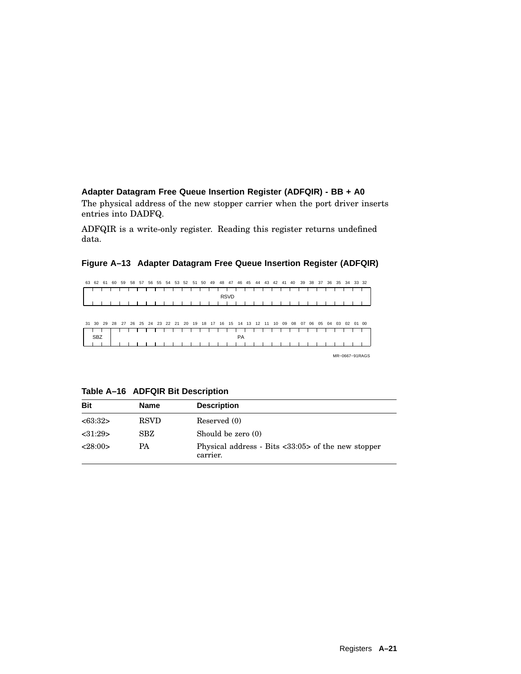## **Adapter Datagram Free Queue Insertion Register (ADFQIR) - BB + A0** The physical address of the new stopper carrier when the port driver inserts entries into DADFQ.

ADFQIR is a write-only register. Reading this register returns undefined data.

# **Figure A–13 Adapter Datagram Free Queue Insertion Register (ADFQIR)**



MR−0667−91RAGS

| Table A-16 ADFQIR Bit Description |  |  |  |
|-----------------------------------|--|--|--|
|-----------------------------------|--|--|--|

| <b>Bit</b> | Name        | <b>Description</b>                                                             |
|------------|-------------|--------------------------------------------------------------------------------|
| <63:32>    | <b>RSVD</b> | Reserved (0)                                                                   |
| < 31:29    | SBZ         | Should be zero $(0)$                                                           |
| <28:00>    | PA          | Physical address - Bits $\langle 33:05 \rangle$ of the new stopper<br>carrier. |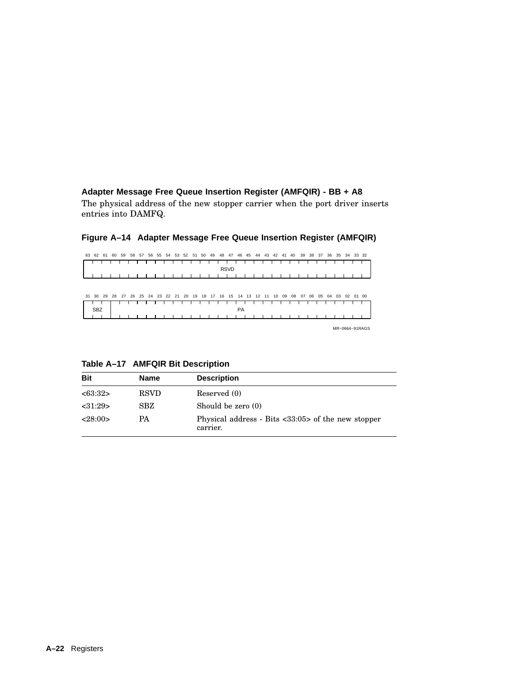## **Adapter Message Free Queue Insertion Register (AMFQIR) - BB + A8**

The physical address of the new stopper carrier when the port driver inserts entries into DAMFQ.

| 63 | 62         | 61 | 60 | 59 | 58 | 57 | 56 | 55 | 54 | 53 | 52                         | 51 | 50 | 49 | 48 | 47          | 46 | 45 | 44 | 43 | 42 | 41 | 40 | 39 | 38 | 37 | 36 | 35 |    | 34 33 32 |                |
|----|------------|----|----|----|----|----|----|----|----|----|----------------------------|----|----|----|----|-------------|----|----|----|----|----|----|----|----|----|----|----|----|----|----------|----------------|
|    |            |    |    |    |    |    |    |    |    |    |                            |    |    |    |    | <b>RSVD</b> |    |    |    |    |    |    |    |    |    |    |    |    |    |          |                |
|    |            |    |    |    |    |    |    |    |    |    |                            |    |    |    |    |             |    |    |    |    |    |    |    |    |    |    |    |    |    |          |                |
|    |            |    |    |    |    |    |    |    |    |    |                            |    |    |    |    |             |    |    |    |    |    |    |    |    |    |    |    |    |    |          |                |
| 31 | 30         | 29 | 28 |    |    |    |    |    |    |    | 27 26 25 24 23 22 21 20 19 |    | 18 | 17 | 16 | 15          | 14 | 13 | 12 | 11 | 10 | 09 | 08 | 07 | 06 | 05 | 04 | 03 | 02 | 01 00    |                |
|    | <b>SBZ</b> |    |    |    |    |    |    |    |    |    |                            |    |    |    |    |             | PA |    |    |    |    |    |    |    |    |    |    |    |    |          |                |
|    |            |    |    |    |    |    |    |    |    |    |                            |    |    |    |    |             |    |    |    |    |    |    |    |    |    |    |    |    |    |          |                |
|    |            |    |    |    |    |    |    |    |    |    |                            |    |    |    |    |             |    |    |    |    |    |    |    |    |    |    |    |    |    |          | MR-0664-91RAGS |

# **Figure A–14 Adapter Message Free Queue Insertion Register (AMFQIR)**

**Table A–17 AMFQIR Bit Description**

| <b>Bit</b> | <b>Name</b> | <b>Description</b>                                                             |
|------------|-------------|--------------------------------------------------------------------------------|
| <63:32>    | <b>RSVD</b> | Reserved (0)                                                                   |
| < 31:29    | <b>SBZ</b>  | Should be zero (0)                                                             |
| <28:00>    | РA          | Physical address - Bits $\langle 33:05 \rangle$ of the new stopper<br>carrier. |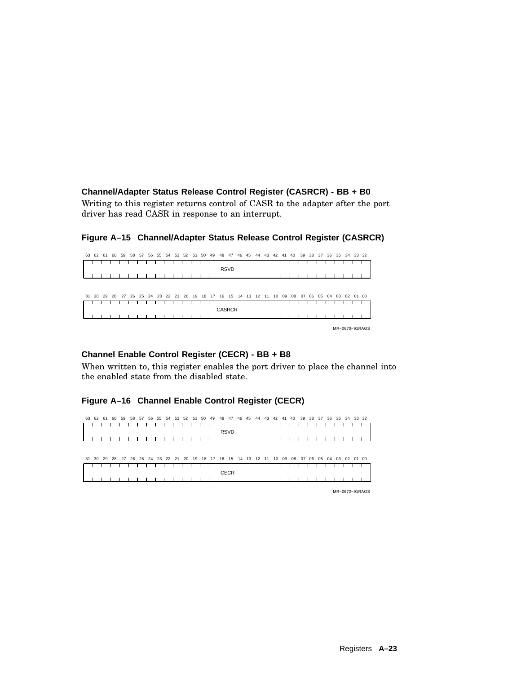## **Channel/Adapter Status Release Control Register (CASRCR) - BB + B0**

Writing to this register returns control of CASR to the adapter after the port driver has read CASR in response to an interrupt.

| 63 | 62 | 61 | 60 | 59 | 58                                                       | 57 |  |  | 56 55 54 53 52 51 50 | 49 |               | 48 47       | 46 45 | 44 | 43 42 41 40 |    |    | 39 |    |    |    |    | 38 37 36 35 34 33 32 |       |
|----|----|----|----|----|----------------------------------------------------------|----|--|--|----------------------|----|---------------|-------------|-------|----|-------------|----|----|----|----|----|----|----|----------------------|-------|
|    |    |    |    |    |                                                          |    |  |  |                      |    |               |             |       |    |             |    |    |    |    |    |    |    |                      |       |
|    |    |    |    |    |                                                          |    |  |  |                      |    |               | <b>RSVD</b> |       |    |             |    |    |    |    |    |    |    |                      |       |
|    |    |    |    |    |                                                          |    |  |  |                      |    |               |             |       |    |             |    |    |    |    |    |    |    |                      |       |
| 31 | 30 | 29 |    |    | 28 27 26 25 24 23 22 21 20 19 18 17 16 15 14 13 12 11 10 |    |  |  |                      |    |               |             |       |    |             | 09 | 08 | 07 | 06 | 05 | 04 | 03 | 02                   | 01 00 |
|    |    |    |    |    |                                                          |    |  |  |                      |    | <b>CASRCR</b> |             |       |    |             |    |    |    |    |    |    |    |                      |       |
|    |    |    |    |    |                                                          |    |  |  |                      |    |               |             |       |    |             |    |    |    |    |    |    |    |                      |       |
|    |    |    |    |    |                                                          |    |  |  |                      |    |               |             |       |    |             |    |    |    |    |    |    |    | MR-0670-91RAGS       |       |

#### **Figure A–15 Channel/Adapter Status Release Control Register (CASRCR)**

#### **Channel Enable Control Register (CECR) - BB + B8**

When written to, this register enables the port driver to place the channel into the enabled state from the disabled state.

#### **Figure A–16 Channel Enable Control Register (CECR)**



MR−0672−91RAGS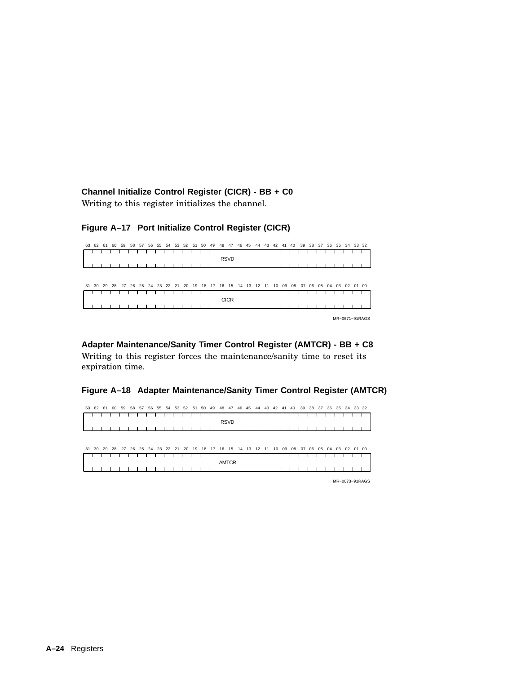**Channel Initialize Control Register (CICR) - BB + C0**

Writing to this register initializes the channel.

## **Figure A–17 Port Initialize Control Register (CICR)**



## **Adapter Maintenance/Sanity Timer Control Register (AMTCR) - BB + C8**

Writing to this register forces the maintenance/sanity time to reset its expiration time.

#### **Figure A–18 Adapter Maintenance/Sanity Timer Control Register (AMTCR)**



MR−0673−91RAGS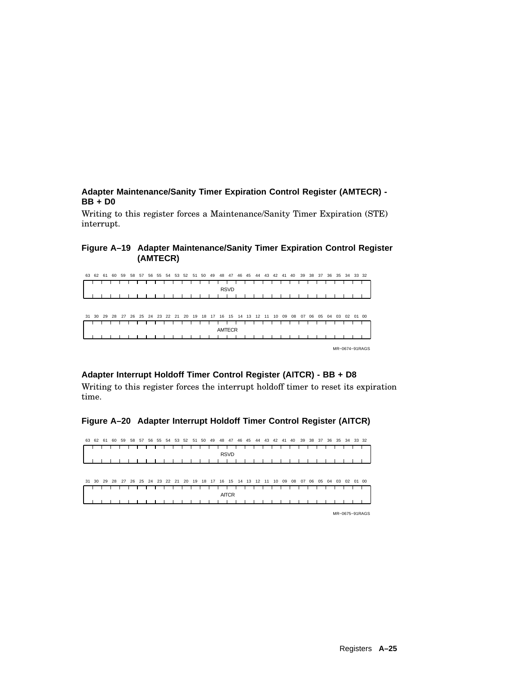**Adapter Maintenance/Sanity Timer Expiration Control Register (AMTECR) - BB + D0**

Writing to this register forces a Maintenance/Sanity Timer Expiration (STE) interrupt.

#### **Figure A–19 Adapter Maintenance/Sanity Timer Expiration Control Register (AMTECR)**

| 63 | 62 61 | 60 | 59                                                                   | 58 | -57 | 56 | 55 | 54 | -53 | 52 | 51 | 50 | 49 | 48            | 47          | 46 | 45 | 44 | 43 | 42 | 41 | 40 | 39 |    | 38 37 | 36    | 35 | 34       | 33 32 |                |
|----|-------|----|----------------------------------------------------------------------|----|-----|----|----|----|-----|----|----|----|----|---------------|-------------|----|----|----|----|----|----|----|----|----|-------|-------|----|----------|-------|----------------|
|    |       |    |                                                                      |    |     |    |    |    |     |    |    |    |    |               |             |    |    |    |    |    |    |    |    |    |       |       |    |          |       |                |
|    |       |    |                                                                      |    |     |    |    |    |     |    |    |    |    |               | <b>RSVD</b> |    |    |    |    |    |    |    |    |    |       |       |    |          |       |                |
|    |       |    |                                                                      |    |     |    |    |    |     |    |    |    |    |               |             |    |    |    |    |    |    |    |    |    |       |       |    |          |       |                |
|    |       |    |                                                                      |    |     |    |    |    |     |    |    |    |    |               |             |    |    |    |    |    |    |    |    |    |       |       |    |          |       |                |
|    |       |    |                                                                      |    |     |    |    |    |     |    |    |    |    |               |             |    |    |    |    |    |    |    |    |    |       |       |    |          |       |                |
|    |       |    | 31 30 29 28 27 26 25 24 23 22 21 20 19 18 17 16 15 14 13 12 11 10 09 |    |     |    |    |    |     |    |    |    |    |               |             |    |    |    |    |    |    | 08 | 07 | 06 |       | 05 04 | 03 | 02 01 00 |       |                |
|    |       |    |                                                                      |    |     |    |    |    |     |    |    |    |    |               |             |    |    |    |    |    |    |    |    |    |       |       |    |          |       |                |
|    |       |    |                                                                      |    |     |    |    |    |     |    |    |    |    | <b>AMTECR</b> |             |    |    |    |    |    |    |    |    |    |       |       |    |          |       |                |
|    |       |    |                                                                      |    |     |    |    |    |     |    |    |    |    |               |             |    |    |    |    |    |    |    |    |    |       |       |    |          |       |                |
|    |       |    |                                                                      |    |     |    |    |    |     |    |    |    |    |               |             |    |    |    |    |    |    |    |    |    |       |       |    |          |       |                |
|    |       |    |                                                                      |    |     |    |    |    |     |    |    |    |    |               |             |    |    |    |    |    |    |    |    |    |       |       |    |          |       | MR-0674-91RAGS |

## **Adapter Interrupt Holdoff Timer Control Register (AITCR) - BB + D8**

Writing to this register forces the interrupt holdoff timer to reset its expiration time.

## **Figure A–20 Adapter Interrupt Holdoff Timer Control Register (AITCR)**



MR−0675−91RAGS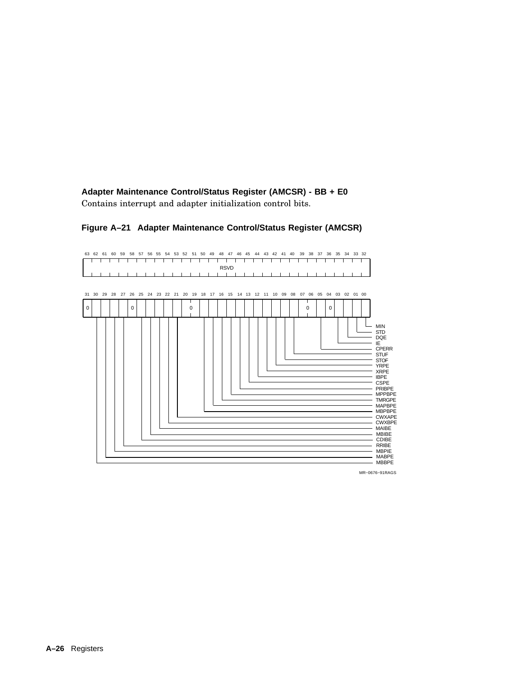**Adapter Maintenance Control/Status Register (AMCSR) - BB + E0** Contains interrupt and adapter initialization control bits.



#### **Figure A–21 Adapter Maintenance Control/Status Register (AMCSR)**

MR−0676−91RAGS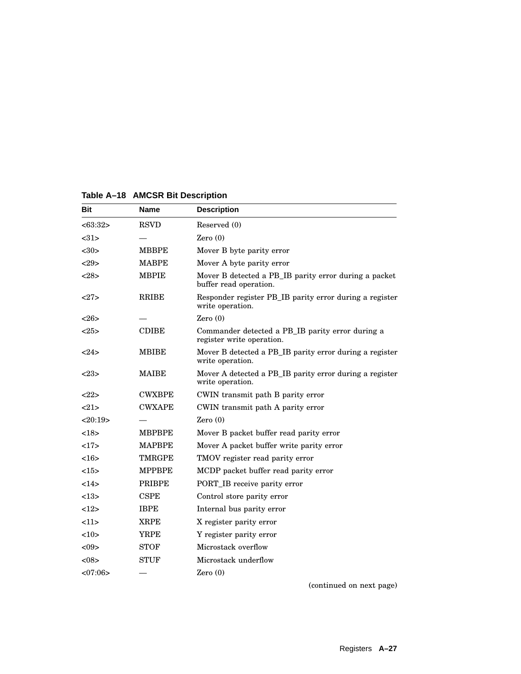| Bit     | Name          | <b>Description</b>                                                              |
|---------|---------------|---------------------------------------------------------------------------------|
| <63:32> | <b>RSVD</b>   | Reserved (0)                                                                    |
| <31>    |               | Zero $(0)$                                                                      |
| $30$    | <b>MBBPE</b>  | Mover B byte parity error                                                       |
| 29      | <b>MABPE</b>  | Mover A byte parity error                                                       |
| <28>    | <b>MBPIE</b>  | Mover B detected a PB_IB parity error during a packet<br>buffer read operation. |
| <27>    | <b>RRIBE</b>  | Responder register PB IB parity error during a register<br>write operation.     |
| <>26>   |               | Zero $(0)$                                                                      |
| <25>    | <b>CDIBE</b>  | Commander detected a PB_IB parity error during a<br>register write operation.   |
| $24>$   | MBIBE         | Mover B detected a PB IB parity error during a register<br>write operation.     |
| <23>    | <b>MAIBE</b>  | Mover A detected a PB IB parity error during a register<br>write operation.     |
| <22>    | <b>CWXBPE</b> | CWIN transmit path B parity error                                               |
| 21      | <b>CWXAPE</b> | CWIN transmit path A parity error                                               |
| <20:19> |               | Zero $(0)$                                                                      |
| <18>    | <b>MBPBPE</b> | Mover B packet buffer read parity error                                         |
| 17      | MAPBPE        | Mover A packet buffer write parity error                                        |
| <16     | <b>TMRGPE</b> | TMOV register read parity error                                                 |
| <15>    | <b>MPPBPE</b> | MCDP packet buffer read parity error                                            |
| 14>     | <b>PRIBPE</b> | <b>PORT_IB</b> receive parity error                                             |
| <13>    | <b>CSPE</b>   | Control store parity error                                                      |
| 12      | <b>IBPE</b>   | Internal bus parity error                                                       |
| 11      | <b>XRPE</b>   | X register parity error                                                         |
| <10>    | YRPE          | Y register parity error                                                         |
| < 09    | <b>STOF</b>   | Microstack overflow                                                             |
| <08>    | <b>STUF</b>   | Microstack underflow                                                            |
| <07:06> |               | Zero $(0)$                                                                      |

**Table A–18 AMCSR Bit Description**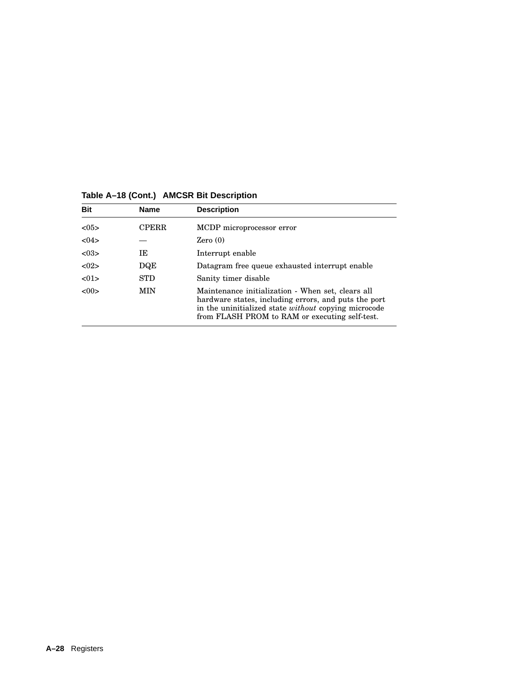| <b>Bit</b> | <b>Name</b>  | <b>Description</b>                                                                                                                                                                                                         |
|------------|--------------|----------------------------------------------------------------------------------------------------------------------------------------------------------------------------------------------------------------------------|
| < 0.5      | <b>CPERR</b> | MCDP microprocessor error                                                                                                                                                                                                  |
| <04>       |              | Zero(0)                                                                                                                                                                                                                    |
| < 03       | IΕ           | Interrupt enable                                                                                                                                                                                                           |
| < 02       | DQE          | Datagram free queue exhausted interrupt enable                                                                                                                                                                             |
| < 01       | <b>STD</b>   | Sanity timer disable                                                                                                                                                                                                       |
| <00        | <b>MIN</b>   | Maintenance initialization - When set, clears all<br>hardware states, including errors, and puts the port<br>in the uninitialized state <i>without</i> copying microcode<br>from FLASH PROM to RAM or executing self-test. |

# **Table A–18 (Cont.) AMCSR Bit Description**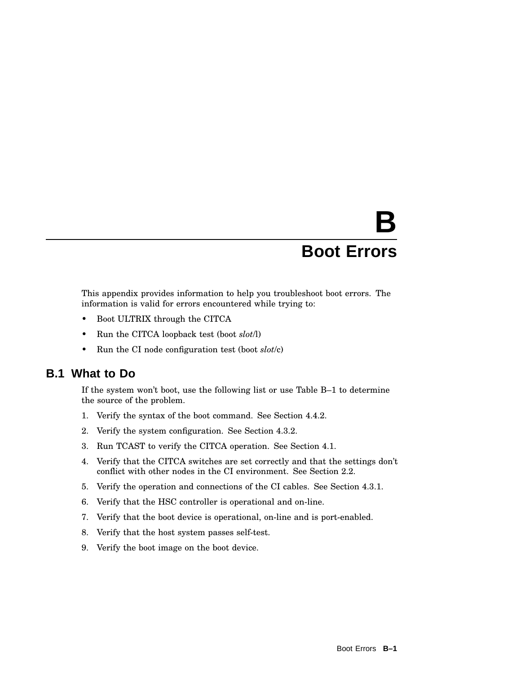# **B Boot Errors**

This appendix provides information to help you troubleshoot boot errors. The information is valid for errors encountered while trying to:

- Boot ULTRIX through the CITCA
- Run the CITCA loopback test (boot *slot*/l)
- Run the CI node configuration test (boot *slot*/c)

## **B.1 What to Do**

If the system won't boot, use the following list or use Table B–1 to determine the source of the problem.

- 1. Verify the syntax of the boot command. See Section 4.4.2.
- 2. Verify the system configuration. See Section 4.3.2.
- 3. Run TCAST to verify the CITCA operation. See Section 4.1.
- 4. Verify that the CITCA switches are set correctly and that the settings don't conflict with other nodes in the CI environment. See Section 2.2.
- 5. Verify the operation and connections of the CI cables. See Section 4.3.1.
- 6. Verify that the HSC controller is operational and on-line.
- 7. Verify that the boot device is operational, on-line and is port-enabled.
- 8. Verify that the host system passes self-test.
- 9. Verify the boot image on the boot device.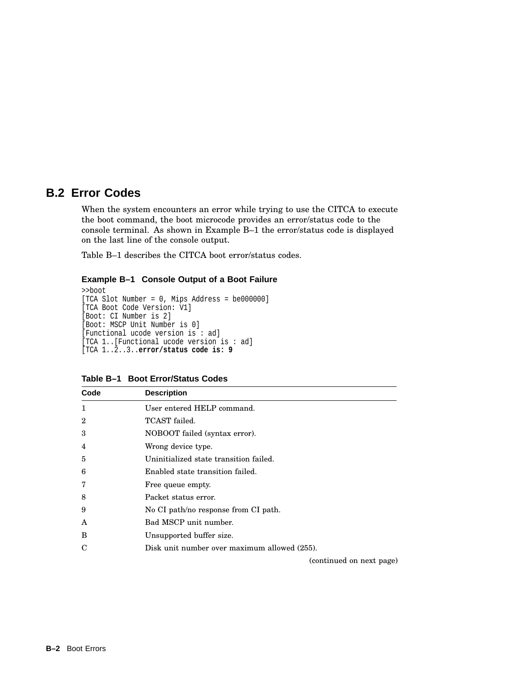# **B.2 Error Codes**

When the system encounters an error while trying to use the CITCA to execute the boot command, the boot microcode provides an error/status code to the console terminal. As shown in Example B–1 the error/status code is displayed on the last line of the console output.

Table B–1 describes the CITCA boot error/status codes.

#### **Example B–1 Console Output of a Boot Failure**

```
>>boot
[TCA Slot Number = 0, Mips Address = be000000]
[TCA Boot Code Version: V1]
[Boot: CI Number is 2]
[Boot: MSCP Unit Number is 0]
[Functional ucode version is : ad]
[TCA 1..[Functional ucode version is : ad]
[TCA 1..2..3..error/status code is: 9
```

| Code         | <b>Description</b>                           |
|--------------|----------------------------------------------|
| $\mathbf{1}$ | User entered HELP command.                   |
| $\mathbf 2$  | TCAST failed.                                |
| 3            | NOBOOT failed (syntax error).                |
| 4            | Wrong device type.                           |
| 5            | Uninitialized state transition failed.       |
| 6            | Enabled state transition failed.             |
| 7            | Free queue empty.                            |
| 8            | Packet status error.                         |
| 9            | No CI path/no response from CI path.         |
| A            | Bad MSCP unit number.                        |
| B            | Unsupported buffer size.                     |
| C            | Disk unit number over maximum allowed (255). |

**Table B–1 Boot Error/Status Codes**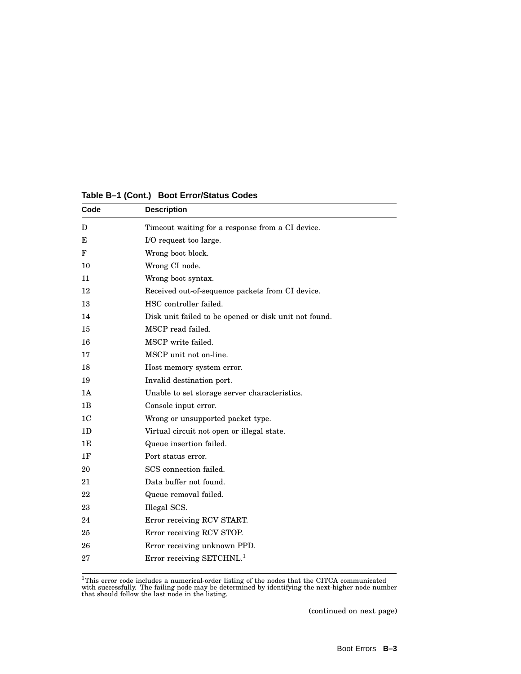| Code           | <b>Description</b>                                    |  |  |
|----------------|-------------------------------------------------------|--|--|
| D              | Timeout waiting for a response from a CI device.      |  |  |
| Е              | I/O request too large.                                |  |  |
| F              | Wrong boot block.                                     |  |  |
| 10             | Wrong CI node.                                        |  |  |
| 11             | Wrong boot syntax.                                    |  |  |
| 12             | Received out-of-sequence packets from CI device.      |  |  |
| 13             | HSC controller failed.                                |  |  |
| 14             | Disk unit failed to be opened or disk unit not found. |  |  |
| 15             | MSCP read failed.                                     |  |  |
| 16             | MSCP write failed.                                    |  |  |
| 17             | MSCP unit not on-line.                                |  |  |
| 18             | Host memory system error.                             |  |  |
| 19             | Invalid destination port.                             |  |  |
| 1A             | Unable to set storage server characteristics.         |  |  |
| 1B             | Console input error.                                  |  |  |
| 1 <sup>C</sup> | Wrong or unsupported packet type.                     |  |  |
| 1 <sub>D</sub> | Virtual circuit not open or illegal state.            |  |  |
| 1E             | Queue insertion failed.                               |  |  |
| 1F             | Port status error.                                    |  |  |
| 20             | SCS connection failed.                                |  |  |
| 21             | Data buffer not found.                                |  |  |
| 22             | Queue removal failed.                                 |  |  |
| 23             | Illegal SCS.                                          |  |  |
| 24             | Error receiving RCV START.                            |  |  |
| 25             | Error receiving RCV STOP.                             |  |  |
| 26             | Error receiving unknown PPD.                          |  |  |
| 27             | Error receiving $SETCHNL.1$                           |  |  |
|                |                                                       |  |  |

**Table B–1 (Cont.) Boot Error/Status Codes**

 ${}^{1}$ This error code includes a numerical-order listing of the nodes that the CITCA communicated with successfully. The failing node may be determined by identifying the next-higher node number that should follow the las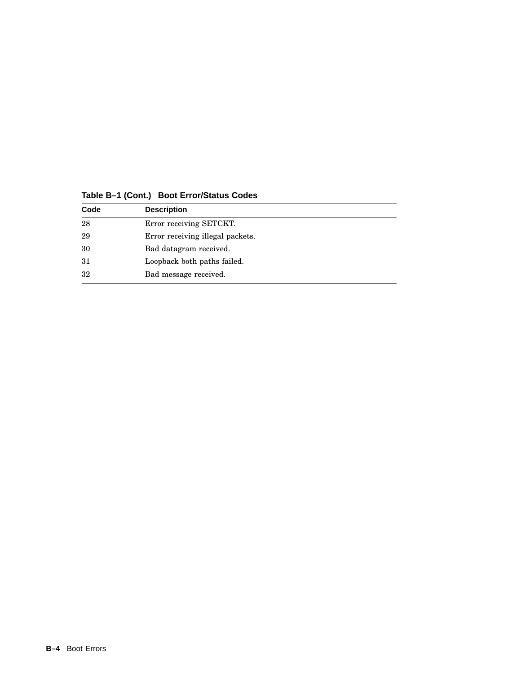| Code | <b>Description</b>               |
|------|----------------------------------|
| 28   | Error receiving SETCKT.          |
| 29   | Error receiving illegal packets. |
| 30   | Bad datagram received.           |
| 31   | Loopback both paths failed.      |
| 32   | Bad message received.            |

**Table B–1 (Cont.) Boot Error/Status Codes**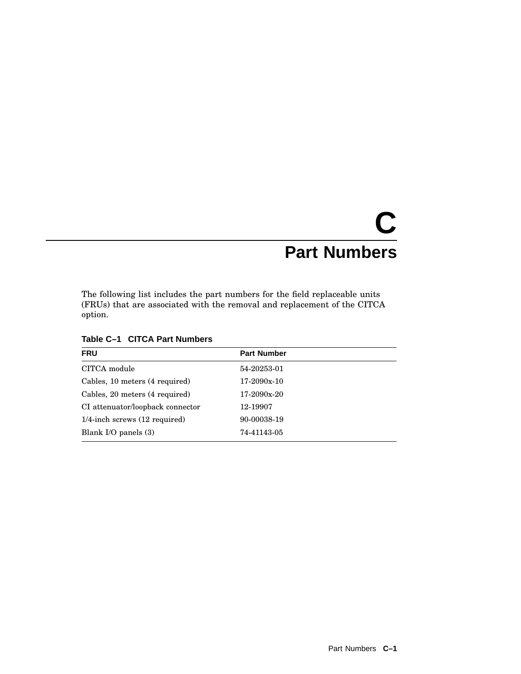# **C Part Numbers**

The following list includes the part numbers for the field replaceable units (FRUs) that are associated with the removal and replacement of the CITCA option.

| <b>FRU</b>                                 | <b>Part Number</b> |  |
|--------------------------------------------|--------------------|--|
| CITCA module                               | 54-20253-01        |  |
| Cables, 10 meters (4 required)             | 17-2090x-10        |  |
| Cables, 20 meters (4 required)             | 17-2090x-20        |  |
| CI attenuator/loopback connector           | 12-19907           |  |
| $1/4$ -inch screws $(12 \text{ required})$ | 90-00038-19        |  |
| Blank I/O panels $(3)$                     | 74-41143-05        |  |
|                                            |                    |  |

**Table C–1 CITCA Part Numbers**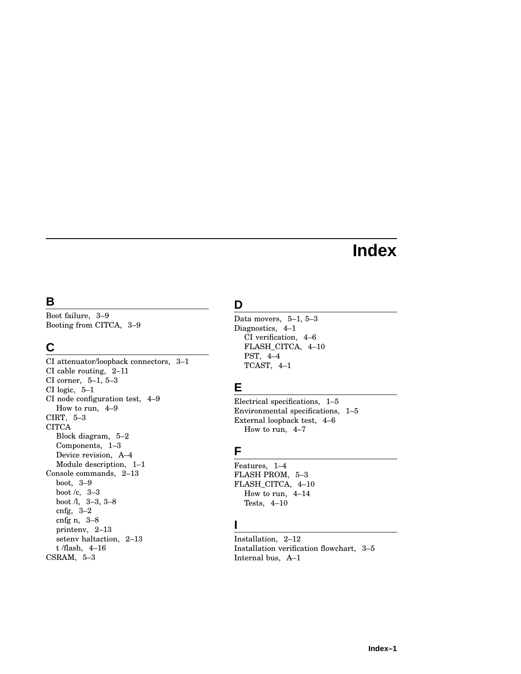# **Index**

# **B**

Boot failure, 3–9 Booting from CITCA, 3–9

# **C**

CI attenuator/loopback connectors, 3–1 CI cable routing, 2–11 CI corner, 5–1, 5–3 CI logic, 5–1 CI node configuration test, 4–9 How to run, 4–9 CIRT, 5–3 **CITCA** Block diagram, 5–2 Components, 1–3 Device revision, A–4 Module description, 1–1 Console commands, 2–13 boot, 3–9 boot /c, 3–3 boot /l, 3–3, 3–8 cnfg, 3–2 cnfg n, 3–8 printenv, 2–13 setenv haltaction, 2–13 t /flash, 4–16 CSRAM, 5–3

# **D**

Data movers, 5–1, 5–3 Diagnostics, 4–1 CI verification, 4–6 FLASH\_CITCA, 4–10 PST, 4–4 TCAST, 4–1

# **E**

Electrical specifications, 1–5 Environmental specifications, 1–5 External loopback test, 4–6 How to run, 4–7

# **F**

Features, 1–4 FLASH PROM, 5–3 FLASH\_CITCA, 4–10 How to run, 4–14 Tests, 4–10

# **I**

Installation, 2–12 Installation verification flowchart, 3–5 Internal bus, A–1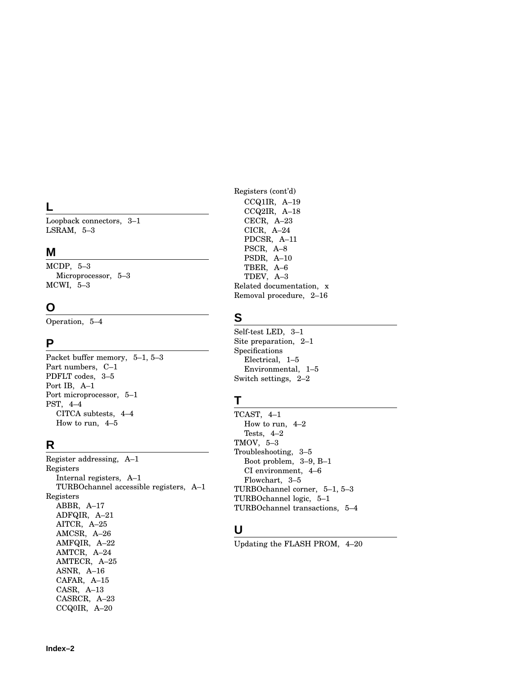# **L**

Loopback connectors, 3–1 LSRAM, 5–3

# **M**

MCDP, 5–3 Microprocessor, 5–3 MCWI, 5–3

# **O**

Operation, 5–4

# **P**

Packet buffer memory, 5–1, 5–3 Part numbers, C–1 PDFLT codes, 3–5 Port IB, A–1 Port microprocessor, 5–1 PST, 4–4 CITCA subtests, 4–4 How to run, 4–5

# **R**

Register addressing, A–1 Registers Internal registers, A–1 TURBOchannel accessible registers, A–1 Registers ABBR, A–17 ADFQIR, A–21 AITCR, A–25 AMCSR, A–26 AMFQIR, A–22 AMTCR, A–24 AMTECR, A–25 ASNR, A–16 CAFAR, A–15 CASR, A–13 CASRCR, A–23 CCQ0IR, A–20

Registers (cont'd) CCQ1IR, A–19 CCQ2IR, A–18 CECR, A–23 CICR, A–24 PDCSR, A–11 PSCR, A–8 PSDR, A–10 TBER, A–6 TDEV, A–3 Related documentation, x Removal procedure, 2–16

# **S**

Self-test LED, 3–1 Site preparation, 2–1 Specifications Electrical, 1–5 Environmental, 1–5 Switch settings, 2–2

# **T**

TCAST, 4–1 How to run, 4–2 Tests, 4–2 TMOV, 5–3 Troubleshooting, 3–5 Boot problem, 3–9, B–1 CI environment, 4–6 Flowchart, 3–5 TURBOchannel corner, 5–1, 5–3 TURBOchannel logic, 5–1 TURBOchannel transactions, 5–4

# **U**

Updating the FLASH PROM, 4–20